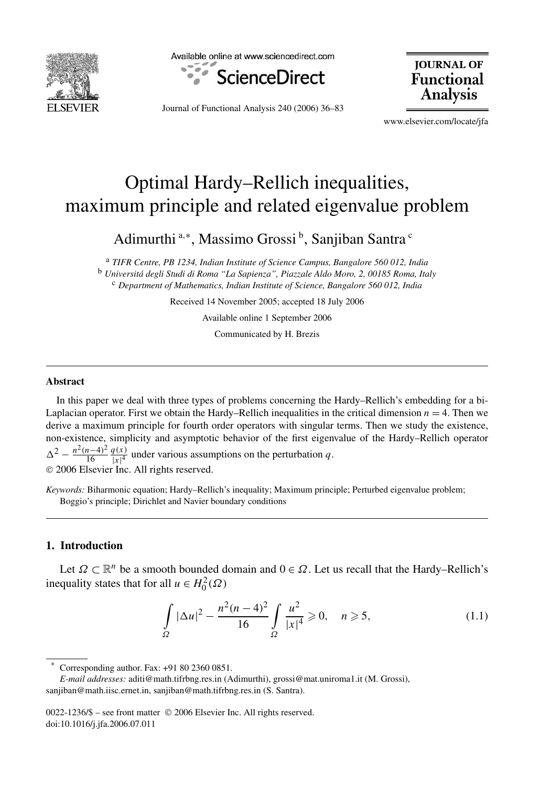

Available online at www.sciencedirect.com



**JOURNAL OF Functional Analysis** 

Journal of Functional Analysis 240 (2006) 36–83

www.elsevier.com/locate/jfa

# Optimal Hardy–Rellich inequalities, maximum principle and related eigenvalue problem

Adimurthi <sup>a,∗</sup>, Massimo Grossi <sup>b</sup>, Sanjiban Santra <sup>c</sup>

<sup>a</sup> *TIFR Centre, PB 1234, Indian Institute of Science Campus, Bangalore 560 012, India* <sup>b</sup> *Universitá degli Studi di Roma "La Sapienza", Piazzale Aldo Moro, 2, 00185 Roma, Italy* <sup>c</sup> *Department of Mathematics, Indian Institute of Science, Bangalore 560 012, India*

Received 14 November 2005; accepted 18 July 2006

Available online 1 September 2006

Communicated by H. Brezis

#### **Abstract**

In this paper we deal with three types of problems concerning the Hardy–Rellich's embedding for a bi-Laplacian operator. First we obtain the Hardy–Rellich inequalities in the critical dimension  $n = 4$ . Then we derive a maximum principle for fourth order operators with singular terms. Then we study the existence, non-existence, simplicity and asymptotic behavior of the first eigenvalue of the Hardy–Rellich operator  $\Delta^2 - \frac{n^2(n-4)^2}{16} \frac{q(x)}{|x|^4}$  $\frac{q(x)}{|x|^4}$  under various assumptions on the perturbation q. © 2006 Elsevier Inc. All rights reserved.

*Keywords:* Biharmonic equation; Hardy–Rellich's inequality; Maximum principle; Perturbed eigenvalue problem; Boggio's principle; Dirichlet and Navier boundary conditions

### **1. Introduction**

Let  $\Omega \subset \mathbb{R}^n$  be a smooth bounded domain and  $0 \in \Omega$ . Let us recall that the Hardy–Rellich's inequality states that for all  $u \in H_0^2(\Omega)$ 

$$
\int_{\Omega} |\Delta u|^2 - \frac{n^2 (n-4)^2}{16} \int_{\Omega} \frac{u^2}{|x|^4} \ge 0, \quad n \ge 5,
$$
\n(1.1)

Corresponding author. Fax: +91 80 2360 0851.

0022-1236/\$ – see front matter © 2006 Elsevier Inc. All rights reserved. doi:10.1016/j.jfa.2006.07.011

*E-mail addresses:* aditi@math.tifrbng.res.in (Adimurthi), grossi@mat.uniroma1.it (M. Grossi), sanjiban@math.iisc.ernet.in, sanjiban@math.tifrbng.res.in (S. Santra).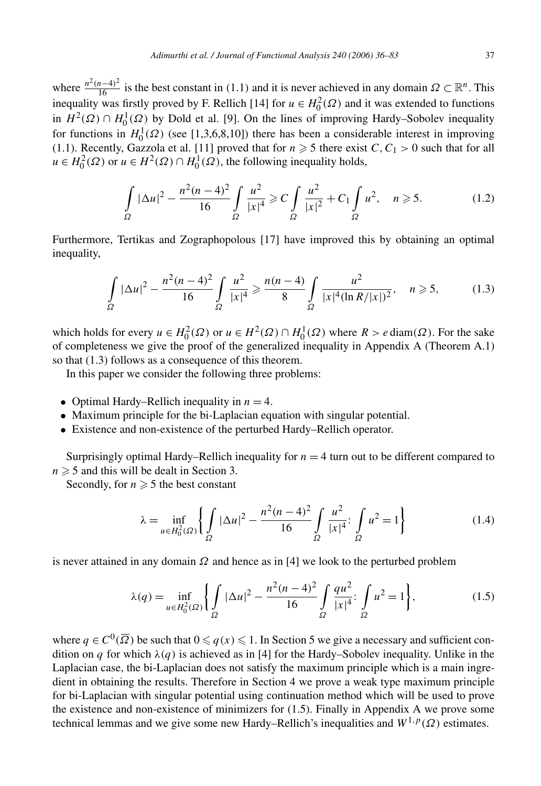where  $\frac{n^2(n-4)^2}{16}$  is the best constant in (1.1) and it is never achieved in any domain  $\Omega \subset \mathbb{R}^n$ . This inequality was firstly proved by F. Rellich [14] for  $u \in H_0^2(\Omega)$  and it was extended to functions in  $H^2(\Omega) \cap H_0^1(\Omega)$  by Dold et al. [9]. On the lines of improving Hardy–Sobolev inequality for functions in  $H_0^1(\Omega)$  (see [1,3,6,8,10]) there has been a considerable interest in improving (1.1). Recently, Gazzola et al. [11] proved that for  $n \geq 5$  there exist  $C, C_1 > 0$  such that for all  $u \in H_0^2(\Omega)$  or  $u \in H^2(\Omega) \cap H_0^1(\Omega)$ , the following inequality holds,

$$
\int_{\Omega} |\Delta u|^2 - \frac{n^2 (n-4)^2}{16} \int_{\Omega} \frac{u^2}{|x|^4} \ge C \int_{\Omega} \frac{u^2}{|x|^2} + C_1 \int_{\Omega} u^2, \quad n \ge 5. \tag{1.2}
$$

Furthermore, Tertikas and Zographopolous [17] have improved this by obtaining an optimal inequality,

$$
\int_{\Omega} |\Delta u|^2 - \frac{n^2(n-4)^2}{16} \int_{\Omega} \frac{u^2}{|x|^4} \ge \frac{n(n-4)}{8} \int_{\Omega} \frac{u^2}{|x|^4 (\ln R/|x|)^2}, \quad n \ge 5,
$$
 (1.3)

which holds for every  $u \in H_0^2(\Omega)$  or  $u \in H^2(\Omega) \cap H_0^1(\Omega)$  where  $R > e \text{diam}(\Omega)$ . For the sake of completeness we give the proof of the generalized inequality in Appendix A (Theorem A.1) so that (1.3) follows as a consequence of this theorem.

In this paper we consider the following three problems:

- Optimal Hardy–Rellich inequality in  $n = 4$ .
- Maximum principle for the bi-Laplacian equation with singular potential.
- Existence and non-existence of the perturbed Hardy–Rellich operator.

Surprisingly optimal Hardy–Rellich inequality for  $n = 4$  turn out to be different compared to  $n \geqslant 5$  and this will be dealt in Section 3.

Secondly, for  $n \geqslant 5$  the best constant

$$
\lambda = \inf_{u \in H_0^2(\Omega)} \left\{ \int_{\Omega} |\Delta u|^2 - \frac{n^2(n-4)^2}{16} \int_{\Omega} \frac{u^2}{|x|^4} \, dx \right\} \int_{\Omega} u^2 = 1 \right\} \tag{1.4}
$$

is never attained in any domain *Ω* and hence as in [4] we look to the perturbed problem

$$
\lambda(q) = \inf_{u \in H_0^2(\Omega)} \left\{ \int_{\Omega} |\Delta u|^2 - \frac{n^2(n-4)^2}{16} \int_{\Omega} \frac{qu^2}{|x|^4} \, dy \right\} \, dv^2 = 1 \right\},\tag{1.5}
$$

where  $q \in C^0(\overline{\Omega})$  be such that  $0 \leq q(x) \leq 1$ . In Section 5 we give a necessary and sufficient condition on *q* for which  $\lambda(q)$  is achieved as in [4] for the Hardy–Sobolev inequality. Unlike in the Laplacian case, the bi-Laplacian does not satisfy the maximum principle which is a main ingredient in obtaining the results. Therefore in Section 4 we prove a weak type maximum principle for bi-Laplacian with singular potential using continuation method which will be used to prove the existence and non-existence of minimizers for (1.5). Finally in Appendix A we prove some technical lemmas and we give some new Hardy–Rellich's inequalities and  $W^{1,p}(\Omega)$  estimates.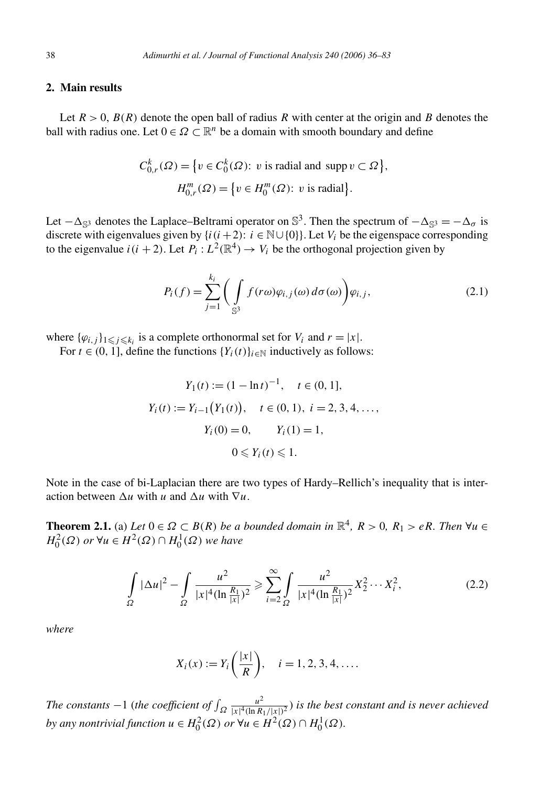### **2. Main results**

Let  $R > 0$ ,  $B(R)$  denote the open ball of radius R with center at the origin and B denotes the ball with radius one. Let  $0 \in \Omega \subset \mathbb{R}^n$  be a domain with smooth boundary and define

$$
C_{0,r}^k(\Omega) = \{ v \in C_0^k(\Omega) : v \text{ is radial and } \text{supp } v \subset \Omega \},
$$
  

$$
H_{0,r}^m(\Omega) = \{ v \in H_0^m(\Omega) : v \text{ is radial} \}.
$$

Let  $-\Delta_{\mathbb{S}^3}$  denotes the Laplace–Beltrami operator on  $\mathbb{S}^3$ . Then the spectrum of  $-\Delta_{\mathbb{S}^3} = -\Delta_{\sigma}$  is discrete with eigenvalues given by  $\{i(i+2): i \in \mathbb{N} \cup \{0\}\}\)$ . Let  $V_i$  be the eigenspace corresponding to the eigenvalue  $i(i + 2)$ . Let  $P_i: L^2(\mathbb{R}^4) \to V_i$  be the orthogonal projection given by

$$
P_i(f) = \sum_{j=1}^{k_i} \left( \int_{\mathbb{S}^3} f(r\omega) \varphi_{i,j}(\omega) d\sigma(\omega) \right) \varphi_{i,j}, \tag{2.1}
$$

where  $\{\varphi_{i,j}\}_{1\leq j\leq k_i}$  is a complete orthonormal set for  $V_i$  and  $r = |x|$ .

For  $t \in (0, 1]$ , define the functions  $\{Y_i(t)\}_{i \in \mathbb{N}}$  inductively as follows:

$$
Y_1(t) := (1 - \ln t)^{-1}, \quad t \in (0, 1],
$$
  
\n
$$
Y_i(t) := Y_{i-1}(Y_1(t)), \quad t \in (0, 1), \quad i = 2, 3, 4, \dots,
$$
  
\n
$$
Y_i(0) = 0, \qquad Y_i(1) = 1,
$$
  
\n
$$
0 \le Y_i(t) \le 1.
$$

Note in the case of bi-Laplacian there are two types of Hardy–Rellich's inequality that is interaction between  $\Delta u$  with *u* and  $\Delta u$  with  $\nabla u$ .

**Theorem 2.1.** (a) *Let*  $0 \in \Omega \subset B(R)$  *be a bounded domain in*  $\mathbb{R}^4$ *,*  $R > 0$ *,*  $R_1 > eR$ *. Then*  $\forall u \in \Omega$  $H_0^2(\Omega)$  *or* ∀*u* ∈  $H^2(\Omega) \cap H_0^1(\Omega)$  *we have* 

$$
\int_{\Omega} |\Delta u|^2 - \int_{\Omega} \frac{u^2}{|x|^4 (\ln \frac{R_1}{|x|})^2} \ge \sum_{i=2}^{\infty} \int_{\Omega} \frac{u^2}{|x|^4 (\ln \frac{R_1}{|x|})^2} X_2^2 \cdots X_i^2,
$$
\n(2.2)

*where*

$$
X_i(x) := Y_i\left(\frac{|x|}{R}\right), \quad i = 1, 2, 3, 4, ....
$$

*The constants*  $-1$  (*the coefficient of*  $\int_{\Omega} \frac{u^2}{|x|^4 (\ln R_1/|x|)^2}$ ) *is the best constant and is never achieved by any nontrivial function*  $u \in H_0^2(\Omega)$  *or*  $\forall u \in H^2(\Omega) \cap H_0^1(\Omega)$ *.*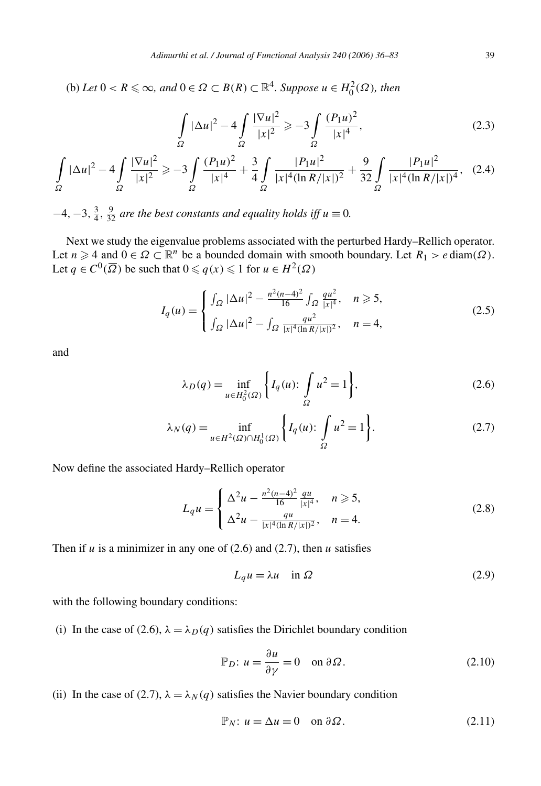$P(A)$  *Let*  $0 < R \le \infty$ *, and*  $0 \in \Omega \subset B(R) \subset \mathbb{R}^4$ *. Suppose*  $u \in H_0^2(\Omega)$ *, then* 

$$
\int_{\Omega} |\Delta u|^2 - 4 \int_{\Omega} \frac{|\nabla u|^2}{|x|^2} \ge -3 \int_{\Omega} \frac{(P_1 u)^2}{|x|^4},\tag{2.3}
$$

$$
\int_{\Omega} |\Delta u|^2 - 4 \int_{\Omega} \frac{|\nabla u|^2}{|x|^2} \ge -3 \int_{\Omega} \frac{(P_1 u)^2}{|x|^4} + \frac{3}{4} \int_{\Omega} \frac{|P_1 u|^2}{|x|^4 (\ln R / |x|)^2} + \frac{9}{32} \int_{\Omega} \frac{|P_1 u|^2}{|x|^4 (\ln R / |x|)^4},
$$
 (2.4)

 $-4$ ,  $-3$ ,  $\frac{3}{4}$ ,  $\frac{9}{32}$  *are the best constants and equality holds iff*  $u \equiv 0$ *.* 

Next we study the eigenvalue problems associated with the perturbed Hardy–Rellich operator. Let  $n \geq 4$  and  $0 \in \Omega \subset \mathbb{R}^n$  be a bounded domain with smooth boundary. Let  $R_1 > e \operatorname{diam}(\Omega)$ . Let  $q \in C^0(\overline{\Omega})$  be such that  $0 \leq q(x) \leq 1$  for  $u \in H^2(\Omega)$ 

$$
I_q(u) = \begin{cases} \int_{\Omega} |\Delta u|^2 - \frac{n^2(n-4)^2}{16} \int_{\Omega} \frac{qu^2}{|x|^4}, & n \geq 5, \\ \int_{\Omega} |\Delta u|^2 - \int_{\Omega} \frac{qu^2}{|x|^4(\ln R/|x|)^2}, & n = 4, \end{cases}
$$
(2.5)

and

$$
\lambda_D(q) = \inf_{u \in H_0^2(\Omega)} \left\{ I_q(u) : \int_{\Omega} u^2 = 1 \right\},\tag{2.6}
$$

$$
\lambda_N(q) = \inf_{u \in H^2(\Omega) \cap H_0^1(\Omega)} \left\{ I_q(u) : \int_{\Omega} u^2 = 1 \right\}.
$$
 (2.7)

Now define the associated Hardy–Rellich operator

$$
L_{q}u = \begin{cases} \Delta^{2}u - \frac{n^{2}(n-4)^{2}}{16} \frac{qu}{|x|^{4}}, & n \geqslant 5, \\ \Delta^{2}u - \frac{qu}{|x|^{4}(\ln R/|x|)^{2}}, & n = 4. \end{cases}
$$
\n(2.8)

Then if  $u$  is a minimizer in any one of  $(2.6)$  and  $(2.7)$ , then  $u$  satisfies

$$
L_q u = \lambda u \quad \text{in } \Omega \tag{2.9}
$$

with the following boundary conditions:

(i) In the case of (2.6),  $\lambda = \lambda_D(q)$  satisfies the Dirichlet boundary condition

$$
\mathbb{P}_D: u = \frac{\partial u}{\partial \gamma} = 0 \quad \text{on } \partial \Omega.
$$
 (2.10)

(ii) In the case of (2.7),  $\lambda = \lambda_N(q)$  satisfies the Navier boundary condition

$$
\mathbb{P}_N: u = \Delta u = 0 \quad \text{on } \partial \Omega. \tag{2.11}
$$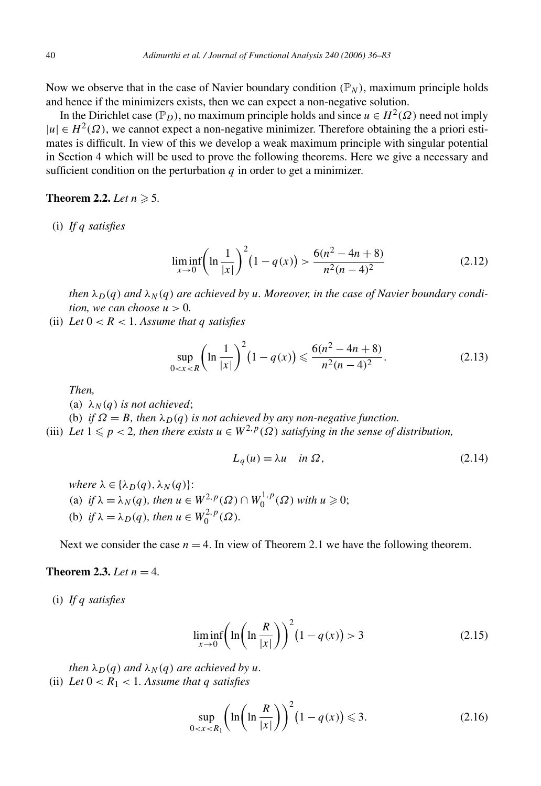Now we observe that in the case of Navier boundary condition  $(\mathbb{P}_N)$ , maximum principle holds and hence if the minimizers exists, then we can expect a non-negative solution.

In the Dirichlet case  $(\mathbb{P}_D)$ , no maximum principle holds and since  $u \in H^2(\Omega)$  need not imply  $|u| \in H^2(\Omega)$ , we cannot expect a non-negative minimizer. Therefore obtaining the a priori estimates is difficult. In view of this we develop a weak maximum principle with singular potential in Section 4 which will be used to prove the following theorems. Here we give a necessary and sufficient condition on the perturbation  $q$  in order to get a minimizer.

## **Theorem 2.2.** *Let*  $n \ge 5$ .

(i) *If q satisfies*

$$
\liminf_{x \to 0} \left( \ln \frac{1}{|x|} \right)^2 (1 - q(x)) > \frac{6(n^2 - 4n + 8)}{n^2 (n - 4)^2} \tag{2.12}
$$

*then*  $\lambda_D(q)$  *and*  $\lambda_N(q)$  *are achieved by u. Moreover, in the case of Navier boundary condition, we can choose*  $u > 0$ *.* 

(ii) Let  $0 < R < 1$ . Assume that q satisfies

$$
\sup_{0 < x < R} \left( \ln \frac{1}{|x|} \right)^2 \left( 1 - q(x) \right) \leq \frac{6(n^2 - 4n + 8)}{n^2 (n - 4)^2} . \tag{2.13}
$$

*Then,*

- (a)  $\lambda_N(q)$  *is not achieved*;
- (b) *if*  $\Omega = B$ , then  $\lambda_D(q)$  *is not achieved by any non-negative function.*
- (iii) *Let*  $1 \leq p < 2$ , then there exists  $u \in W^{2,p}(\Omega)$  satisfying in the sense of distribution,

$$
L_q(u) = \lambda u \quad \text{in } \Omega, \tag{2.14}
$$

*where*  $\lambda \in \{\lambda_D(q), \lambda_N(q)\}$ : (a) *if*  $\lambda = \lambda_N(q)$ *, then*  $u \in W^{2,p}(\Omega) \cap W^{1,p}_0(\Omega)$  *with*  $u \ge 0$ ; (b) *if*  $\lambda = \lambda_D(q)$ *, then*  $u \in W_0^{2,p}(\Omega)$ *.* 

Next we consider the case  $n = 4$ . In view of Theorem 2.1 we have the following theorem.

#### **Theorem 2.3.** *Let*  $n = 4$ .

(i) *If q satisfies*

$$
\liminf_{x \to 0} \left( \ln \left( \ln \frac{R}{|x|} \right) \right)^2 (1 - q(x)) > 3 \tag{2.15}
$$

*then*  $\lambda_D(q)$  *and*  $\lambda_N(q)$  *are achieved by u.* (ii) Let  $0 < R_1 < 1$ . Assume that q satisfies

$$
\sup_{0 < x < R_1} \left( \ln \left( \ln \frac{R}{|x|} \right) \right)^2 \left( 1 - q(x) \right) \leqslant 3. \tag{2.16}
$$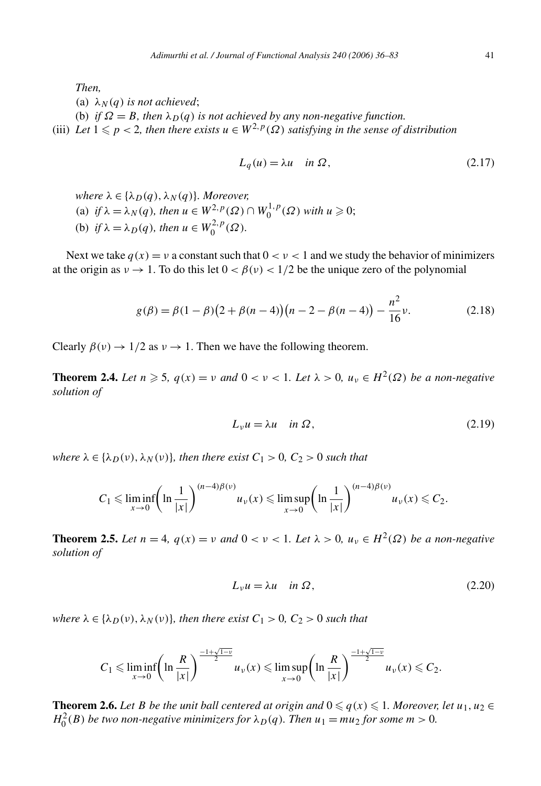*Then,*

(a)  $\lambda_N(q)$  *is not achieved*;

(b) *if*  $\Omega = B$ , then  $\lambda_D(q)$  *is not achieved by any non-negative function.* 

(iii) Let  $1 \leq p < 2$ , then there exists  $u \in W^{2,p}(\Omega)$  satisfying in the sense of distribution

$$
L_q(u) = \lambda u \quad \text{in } \Omega, \tag{2.17}
$$

 $where \lambda \in \{\lambda_D(q), \lambda_N(q)\}.$  *Moreover,* 

- (a) *if*  $\lambda = \lambda_N(q)$ *, then*  $u \in W^{2,p}(\Omega) \cap W^{1,p}_0(\Omega)$  *with*  $u \ge 0$ ;
- (b) *if*  $\lambda = \lambda_D(q)$ *, then*  $u \in W_0^{2,p}(\Omega)$ *.*

Next we take  $q(x) = v$  a constant such that  $0 < v < 1$  and we study the behavior of minimizers at the origin as  $v \to 1$ . To do this let  $0 < \beta(v) < 1/2$  be the unique zero of the polynomial

$$
g(\beta) = \beta(1 - \beta)\left(2 + \beta(n - 4)\right)\left(n - 2 - \beta(n - 4)\right) - \frac{n^2}{16}\nu.
$$
 (2.18)

Clearly  $\beta(\nu) \rightarrow 1/2$  as  $\nu \rightarrow 1$ . Then we have the following theorem.

**Theorem 2.4.** Let  $n \ge 5$ ,  $q(x) = v$  and  $0 < v < 1$ . Let  $\lambda > 0$ ,  $u_v \in H^2(\Omega)$  be a non-negative *solution of*

$$
L_v u = \lambda u \quad \text{in } \Omega, \tag{2.19}
$$

*where*  $\lambda \in \{\lambda_D(v), \lambda_N(v)\}$ *, then there exist*  $C_1 > 0$ *,*  $C_2 > 0$  *such that* 

$$
C_1 \leqslant \liminf_{x \to 0} \left( \ln \frac{1}{|x|} \right)^{(n-4)\beta(\nu)} u_{\nu}(x) \leqslant \limsup_{x \to 0} \left( \ln \frac{1}{|x|} \right)^{(n-4)\beta(\nu)} u_{\nu}(x) \leqslant C_2.
$$

**Theorem 2.5.** *Let*  $n = 4$ *,*  $q(x) = v$  *and*  $0 < v < 1$ *. Let*  $\lambda > 0$ *,*  $u_v \in H^2(\Omega)$  *be a non-negative solution of*

$$
L_v u = \lambda u \quad \text{in } \Omega, \tag{2.20}
$$

*where*  $\lambda \in \{\lambda_D(v), \lambda_N(v)\}$ *, then there exist*  $C_1 > 0$ *,*  $C_2 > 0$  *such that* 

$$
C_1 \leqslant \liminf_{x \to 0} \left( \ln \frac{R}{|x|} \right)^{\frac{-1+\sqrt{1-v}}{2}} u_{\nu}(x) \leqslant \limsup_{x \to 0} \left( \ln \frac{R}{|x|} \right)^{\frac{-1+\sqrt{1-v}}{2}} u_{\nu}(x) \leqslant C_2.
$$

**Theorem 2.6.** *Let B be the unit ball centered at origin and*  $0 \leq q(x) \leq 1$ *. Moreover, let*  $u_1, u_2 \in$  $H_0^2(B)$  *be two non-negative minimizers for*  $\lambda_D(q)$ *. Then*  $u_1 = mu_2$  *for some*  $m > 0$ *.*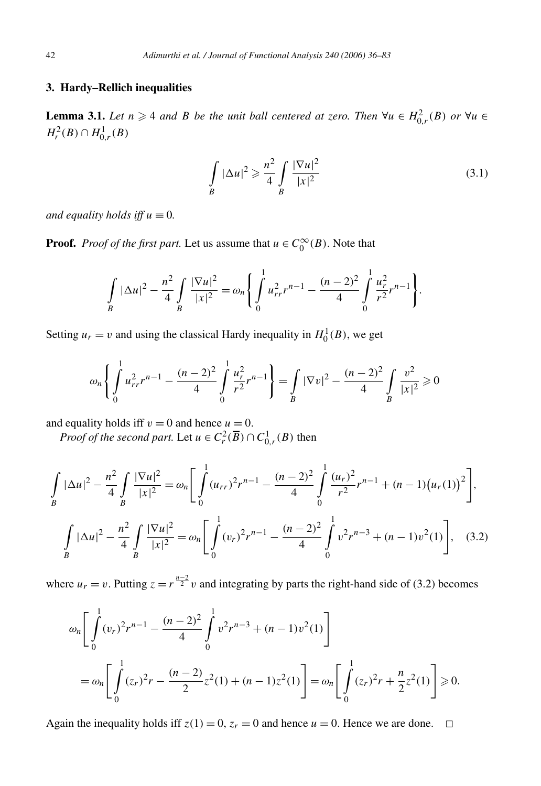### **3. Hardy–Rellich inequalities**

**Lemma 3.1.** *Let*  $n \geq 4$  *and B be the unit ball centered at zero. Then*  $\forall u \in H_{0,r}^2(B)$  *or*  $\forall u \in H_{0,r}^2(B)$ *H*<sup>2</sup><sub>*r*</sub></sub> $(B) ∩ H$ <sup>1</sup><sub>0</sub><sup>*r*</sup> $(B)$ 

$$
\int_{B} |\Delta u|^2 \geqslant \frac{n^2}{4} \int_{B} \frac{|\nabla u|^2}{|x|^2}
$$
\n(3.1)

*and equality holds iff*  $u \equiv 0$ *.* 

**Proof.** *Proof of the first part.* Let us assume that  $u \in C_0^{\infty}(B)$ . Note that

$$
\int\limits_B |\Delta u|^2 - \frac{n^2}{4} \int\limits_B \frac{|\nabla u|^2}{|x|^2} = \omega_n \left\{ \int\limits_0^1 u_{rr}^2 r^{n-1} - \frac{(n-2)^2}{4} \int\limits_0^1 \frac{u_r^2}{r^2} r^{n-1} \right\}.
$$

Setting  $u_r = v$  and using the classical Hardy inequality in  $H_0^1(B)$ , we get

$$
\omega_n \left\{ \int_0^1 u_{rr}^2 r^{n-1} - \frac{(n-2)^2}{4} \int_0^1 \frac{u_r^2}{r^2} r^{n-1} \right\} = \int_B |\nabla v|^2 - \frac{(n-2)^2}{4} \int_B \frac{v^2}{|x|^2} \ge 0
$$

and equality holds iff  $v = 0$  and hence  $u = 0$ .

*Proof of the second part.* Let  $u \in C_r^2(\overline{B}) \cap C_{0,r}^1(B)$  then

$$
\int_{B} |\Delta u|^{2} - \frac{n^{2}}{4} \int_{B} \frac{|\nabla u|^{2}}{|x|^{2}} = \omega_{n} \left[ \int_{0}^{1} (u_{rr})^{2} r^{n-1} - \frac{(n-2)^{2}}{4} \int_{0}^{1} \frac{(u_{r})^{2}}{r^{2}} r^{n-1} + (n-1)(u_{r}(1))^{2} \right],
$$

$$
\int_{B} |\Delta u|^{2} - \frac{n^{2}}{4} \int_{B} \frac{|\nabla u|^{2}}{|x|^{2}} = \omega_{n} \left[ \int_{0}^{1} (v_{r})^{2} r^{n-1} - \frac{(n-2)^{2}}{4} \int_{0}^{1} v^{2} r^{n-3} + (n-1)v^{2}(1) \right], \quad (3.2)
$$

where  $u_r = v$ . Putting  $z = r^{\frac{n-2}{2}}v$  and integrating by parts the right-hand side of (3.2) becomes

$$
\omega_n \left[ \int_0^1 (v_r)^2 r^{n-1} - \frac{(n-2)^2}{4} \int_0^1 v^2 r^{n-3} + (n-1)v^2(1) \right]
$$
  
=  $\omega_n \left[ \int_0^1 (z_r)^2 r - \frac{(n-2)}{2} z^2(1) + (n-1)z^2(1) \right] = \omega_n \left[ \int_0^1 (z_r)^2 r + \frac{n}{2} z^2(1) \right] \ge 0.$ 

Again the inequality holds iff  $z(1) = 0$ ,  $z_r = 0$  and hence  $u = 0$ . Hence we are done.  $\Box$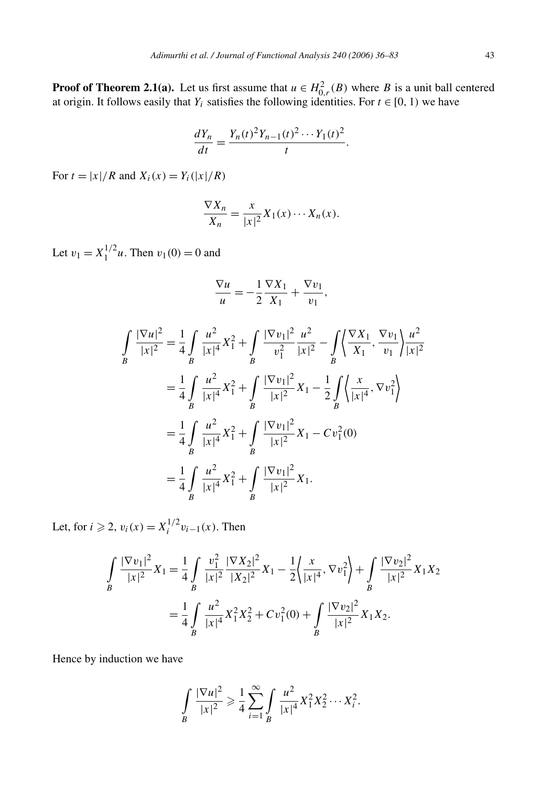**Proof of Theorem 2.1(a).** Let us first assume that  $u \in H^2_{0,r}(B)$  where *B* is a unit ball centered at origin. It follows easily that  $Y_i$  satisfies the following identities. For  $t \in [0, 1)$  we have

$$
\frac{dY_n}{dt} = \frac{Y_n(t)^2 Y_{n-1}(t)^2 \cdots Y_1(t)^2}{t}.
$$

For  $t = |x|/R$  and  $X_i(x) = Y_i(|x|/R)$ 

$$
\frac{\nabla X_n}{X_n} = \frac{x}{|x|^2} X_1(x) \cdots X_n(x).
$$

Let  $v_1 = X_1^{1/2}u$ . Then  $v_1(0) = 0$  and

$$
\frac{\nabla u}{u} = -\frac{1}{2}\frac{\nabla X_1}{X_1} + \frac{\nabla v_1}{v_1},
$$

$$
\int_{B} \frac{|\nabla u|^{2}}{|x|^{2}} = \frac{1}{4} \int_{B} \frac{u^{2}}{|x|^{4}} X_{1}^{2} + \int_{B} \frac{|\nabla v_{1}|^{2}}{v_{1}^{2}} \frac{u^{2}}{|x|^{2}} - \int_{B} \left\langle \frac{\nabla X_{1}}{X_{1}}, \frac{\nabla v_{1}}{v_{1}} \right\rangle \frac{u^{2}}{|x|^{2}}
$$

$$
= \frac{1}{4} \int_{B} \frac{u^{2}}{|x|^{4}} X_{1}^{2} + \int_{B} \frac{|\nabla v_{1}|^{2}}{|x|^{2}} X_{1} - \frac{1}{2} \int_{B} \left\langle \frac{x}{|x|^{4}}, \nabla v_{1}^{2} \right\rangle
$$

$$
= \frac{1}{4} \int_{B} \frac{u^{2}}{|x|^{4}} X_{1}^{2} + \int_{B} \frac{|\nabla v_{1}|^{2}}{|x|^{2}} X_{1} - Cv_{1}^{2}(0)
$$

$$
= \frac{1}{4} \int_{B} \frac{u^{2}}{|x|^{4}} X_{1}^{2} + \int_{B} \frac{|\nabla v_{1}|^{2}}{|x|^{2}} X_{1}.
$$

Let, for  $i \ge 2$ ,  $v_i(x) = X_i^{1/2} v_{i-1}(x)$ . Then

$$
\int_{B} \frac{|\nabla v_{1}|^{2}}{|x|^{2}} X_{1} = \frac{1}{4} \int_{B} \frac{v_{1}^{2}}{|x|^{2}} \frac{|\nabla X_{2}|^{2}}{|X_{2}|^{2}} X_{1} - \frac{1}{2} \left\langle \frac{x}{|x|^{4}}, \nabla v_{1}^{2} \right\rangle + \int_{B} \frac{|\nabla v_{2}|^{2}}{|x|^{2}} X_{1} X_{2}
$$

$$
= \frac{1}{4} \int_{B} \frac{u^{2}}{|x|^{4}} X_{1}^{2} X_{2}^{2} + C v_{1}^{2}(0) + \int_{B} \frac{|\nabla v_{2}|^{2}}{|x|^{2}} X_{1} X_{2}.
$$

Hence by induction we have

$$
\int_{B} \frac{|\nabla u|^2}{|x|^2} \ge \frac{1}{4} \sum_{i=1}^{\infty} \int_{B} \frac{u^2}{|x|^4} X_1^2 X_2^2 \cdots X_i^2.
$$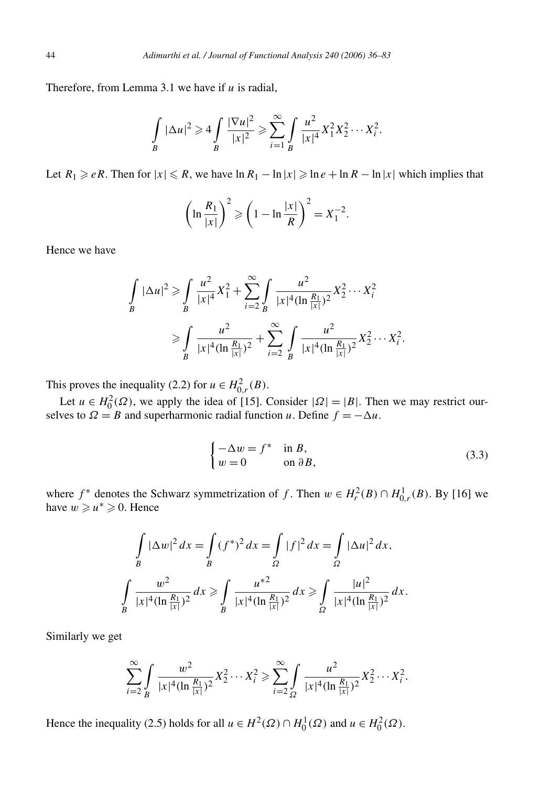Therefore, from Lemma 3.1 we have if *u* is radial,

$$
\int_{B} |\Delta u|^{2} \geq 4 \int_{B} \frac{|\nabla u|^{2}}{|x|^{2}} \geq \sum_{i=1}^{\infty} \int_{B} \frac{u^{2}}{|x|^{4}} X_{1}^{2} X_{2}^{2} \cdots X_{i}^{2}.
$$

Let  $R_1 \geq eR$ . Then for  $|x| \leq R$ , we have  $\ln R_1 - \ln |x| \geq \ln e + \ln R - \ln |x|$  which implies that

$$
\left(\ln\frac{R_1}{|x|}\right)^2 \geqslant \left(1-\ln\frac{|x|}{R}\right)^2 = X_1^{-2}.
$$

Hence we have

$$
\int_{B} |\Delta u|^{2} \ge \int_{B} \frac{u^{2}}{|x|^{4}} X_{1}^{2} + \sum_{i=2}^{\infty} \int_{B} \frac{u^{2}}{|x|^{4} (\ln \frac{R_{1}}{|x|})^{2}} X_{2}^{2} \cdots X_{i}^{2}
$$

$$
\ge \int_{B} \frac{u^{2}}{|x|^{4} (\ln \frac{R_{1}}{|x|})^{2}} + \sum_{i=2}^{\infty} \int_{B} \frac{u^{2}}{|x|^{4} (\ln \frac{R_{1}}{|x|})^{2}} X_{2}^{2} \cdots X_{i}^{2}.
$$

This proves the inequality (2.2) for  $u \in H^2_{0,r}(B)$ .

Let  $u \in H_0^2(\Omega)$ , we apply the idea of [15]. Consider  $|\Omega| = |B|$ . Then we may restrict ourselves to  $\Omega = B$  and superharmonic radial function *u*. Define  $f = -\Delta u$ .

$$
\begin{cases}\n-\Delta w = f^* & \text{in } B, \\
w = 0 & \text{on } \partial B,\n\end{cases}
$$
\n(3.3)

where  $f^*$  denotes the Schwarz symmetrization of *f*. Then  $w \in H_r^2(B) \cap H_{0,r}^1(B)$ . By [16] we have  $w \geq u^* \geq 0$ . Hence

$$
\int_{B} |\Delta w|^2 dx = \int_{B} (f^*)^2 dx = \int_{\Omega} |f|^2 dx = \int_{\Omega} |\Delta u|^2 dx,
$$
  

$$
\int_{B} \frac{w^2}{|x|^4 (\ln \frac{R_1}{|x|})^2} dx \ge \int_{B} \frac{u^{*2}}{|x|^4 (\ln \frac{R_1}{|x|})^2} dx \ge \int_{\Omega} \frac{|u|^2}{|x|^4 (\ln \frac{R_1}{|x|})^2} dx.
$$

Similarly we get

$$
\sum_{i=2}^{\infty} \int \frac{w^2}{|x|^4 (\ln \frac{R_1}{|x|})^2} X_2^2 \cdots X_i^2 \ge \sum_{i=2}^{\infty} \int \frac{u^2}{|x|^4 (\ln \frac{R_1}{|x|})^2} X_2^2 \cdots X_i^2.
$$

Hence the inequality (2.5) holds for all  $u \in H^2(\Omega) \cap H_0^1(\Omega)$  and  $u \in H_0^2(\Omega)$ .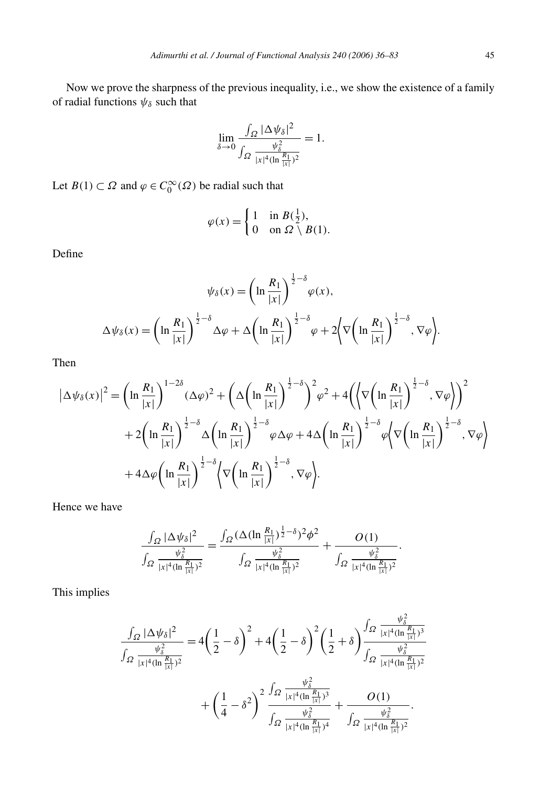Now we prove the sharpness of the previous inequality, i.e., we show the existence of a family of radial functions  $\psi_\delta$  such that

$$
\lim_{\delta \to 0} \frac{\int_{\Omega} |\Delta \psi_{\delta}|^2}{\int_{\Omega} \frac{\psi_{\delta}^2}{|x|^4 (\ln \frac{R_1}{|x|})^2}} = 1.
$$

Let *B*(1)  $\subset \Omega$  and  $\varphi \in C_0^{\infty}(\Omega)$  be radial such that

$$
\varphi(x) = \begin{cases} 1 & \text{in } B(\frac{1}{2}), \\ 0 & \text{on } \Omega \setminus B(1). \end{cases}
$$

Define

$$
\psi_{\delta}(x) = \left(\ln \frac{R_1}{|x|}\right)^{\frac{1}{2} - \delta} \varphi(x),
$$

$$
\Delta \psi_{\delta}(x) = \left(\ln \frac{R_1}{|x|}\right)^{\frac{1}{2} - \delta} \Delta \varphi + \Delta \left(\ln \frac{R_1}{|x|}\right)^{\frac{1}{2} - \delta} \varphi + 2 \left\langle \nabla \left(\ln \frac{R_1}{|x|}\right)^{\frac{1}{2} - \delta}, \nabla \varphi \right\rangle.
$$

Then

$$
\left|\Delta\psi_{\delta}(x)\right|^{2} = \left(\ln\frac{R_{1}}{|x|}\right)^{1-2\delta}(\Delta\varphi)^{2} + \left(\Delta\left(\ln\frac{R_{1}}{|x|}\right)^{\frac{1}{2}-\delta}\right)^{2}\varphi^{2} + 4\left(\left\langle\nabla\left(\ln\frac{R_{1}}{|x|}\right)^{\frac{1}{2}-\delta},\nabla\varphi\right\rangle\right)^{2} + 2\left(\ln\frac{R_{1}}{|x|}\right)^{\frac{1}{2}-\delta}\Delta\left(\ln\frac{R_{1}}{|x|}\right)^{\frac{1}{2}-\delta}\varphi\Delta\varphi + 4\Delta\left(\ln\frac{R_{1}}{|x|}\right)^{\frac{1}{2}-\delta}\varphi\left\langle\nabla\left(\ln\frac{R_{1}}{|x|}\right)^{\frac{1}{2}-\delta},\nabla\varphi\right\rangle + 4\Delta\varphi\left(\ln\frac{R_{1}}{|x|}\right)^{\frac{1}{2}-\delta}\left\langle\nabla\left(\ln\frac{R_{1}}{|x|}\right)^{\frac{1}{2}-\delta},\nabla\varphi\right\rangle.
$$

Hence we have

$$
\frac{\int_{\Omega} |\Delta \psi_{\delta}|^2}{\int_{\Omega} \frac{\psi_{\delta}^2}{|x|^4 (\ln \frac{R_1}{|x|})^2}} = \frac{\int_{\Omega} (\Delta (\ln \frac{R_1}{|x|})^{\frac{1}{2} - \delta})^2 \phi^2}{\int_{\Omega} \frac{\psi_{\delta}^2}{|x|^4 (\ln \frac{R_1}{|x|})^2}} + \frac{O(1)}{\int_{\Omega} \frac{\psi_{\delta}^2}{|x|^4 (\ln \frac{R_1}{|x|})^2}}.
$$

This implies

$$
\frac{\int_{\Omega} |\Delta \psi_{\delta}|^2}{\int_{\Omega} \frac{\psi_{\delta}^2}{|x|^4 (\ln \frac{R_1}{|x|})^2}} = 4\left(\frac{1}{2} - \delta\right)^2 + 4\left(\frac{1}{2} - \delta\right)^2 \left(\frac{1}{2} + \delta\right) \frac{\int_{\Omega} \frac{\psi_{\delta}^2}{|x|^4 (\ln \frac{R_1}{|x|})^3}}{\int_{\Omega} \frac{\psi_{\delta}^2}{|x|^4 (\ln \frac{R_1}{|x|})^2}} + \left(\frac{1}{4} - \delta^2\right)^2 \frac{\int_{\Omega} \frac{\psi_{\delta}^2}{|x|^4 (\ln \frac{R_1}{|x|})^3}}{\int_{\Omega} \frac{\psi_{\delta}^2}{|x|^4 (\ln \frac{R_1}{|x|})^4}} + \frac{O(1)}{\int_{\Omega} \frac{\psi_{\delta}^2}{|x|^4 (\ln \frac{R_1}{|x|})^2}}.
$$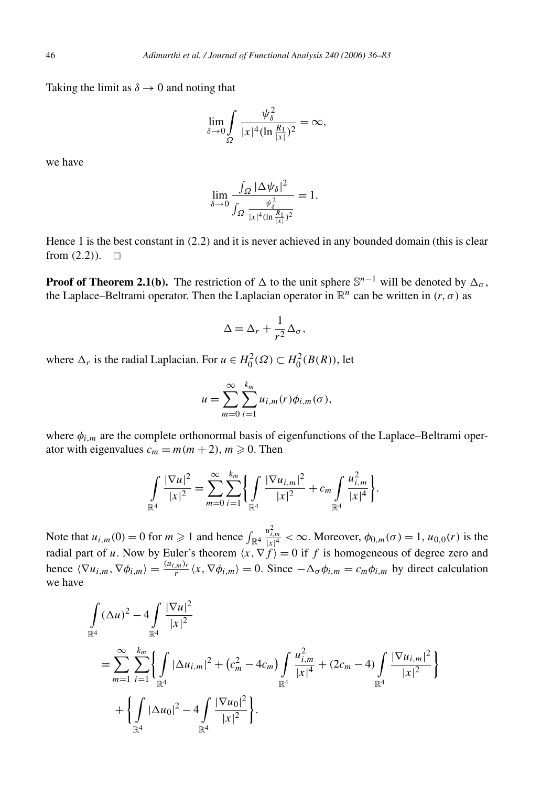Taking the limit as  $\delta \rightarrow 0$  and noting that

$$
\lim_{\delta \to 0} \int\limits_{\Omega} \frac{\psi_{\delta}^2}{|x|^4 (\ln \frac{R_1}{|x|})^2} = \infty,
$$

we have

$$
\lim_{\delta \to 0} \frac{\int_{\Omega} |\Delta \psi_{\delta}|^2}{\int_{\Omega} \frac{\psi_{\delta}^2}{|x|^4 (\ln \frac{R_1}{|x|})^2}} = 1.
$$

Hence 1 is the best constant in *(*2*.*2*)* and it is never achieved in any bounded domain (this is clear from  $(2.2)$ ).  $\Box$ 

**Proof of Theorem 2.1(b).** The restriction of  $\Delta$  to the unit sphere  $\mathbb{S}^{n-1}$  will be denoted by  $\Delta_{\sigma}$ , the Laplace–Beltrami operator. Then the Laplacian operator in  $\mathbb{R}^n$  can be written in *(r, σ)* as

$$
\Delta = \Delta_r + \frac{1}{r^2} \Delta_\sigma,
$$

where  $\Delta_r$  is the radial Laplacian. For  $u \in H_0^2(\Omega) \subset H_0^2(B(R))$ , let

$$
u = \sum_{m=0}^{\infty} \sum_{i=1}^{k_m} u_{i,m}(r) \phi_{i,m}(\sigma),
$$

where *φi,m* are the complete orthonormal basis of eigenfunctions of the Laplace–Beltrami operator with eigenvalues  $c_m = m(m + 2)$ ,  $m \ge 0$ . Then

$$
\int_{\mathbb{R}^4} \frac{|\nabla u|^2}{|x|^2} = \sum_{m=0}^{\infty} \sum_{i=1}^{k_m} \left\{ \int_{\mathbb{R}^4} \frac{|\nabla u_{i,m}|^2}{|x|^2} + c_m \int_{\mathbb{R}^4} \frac{u_{i,m}^2}{|x|^4} \right\}.
$$

Note that  $u_{i,m}(0) = 0$  for  $m \geq 1$  and hence  $\int_{\mathbb{R}^4}$  $\frac{u_{i,m}^2}{|x|^4} < \infty$ . Moreover,  $\phi_{0,m}(\sigma) = 1$ ,  $u_{0,0}(r)$  is the radial part of *u*. Now by Euler's theorem  $\langle x, \nabla f \rangle = 0$  if *f* is homogeneous of degree zero and hence  $\langle \nabla u_{i,m}, \nabla \phi_{i,m} \rangle = \frac{(u_{i,m})_r}{r} \langle x, \nabla \phi_{i,m} \rangle = 0$ . Since  $-\Delta_\sigma \phi_{i,m} = c_m \phi_{i,m}$  by direct calculation we have

$$
\int_{\mathbb{R}^4} (\Delta u)^2 - 4 \int_{\mathbb{R}^4} \frac{|\nabla u|^2}{|x|^2} \n= \sum_{m=1}^{\infty} \sum_{i=1}^{k_m} \left\{ \int_{\mathbb{R}^4} |\Delta u_{i,m}|^2 + (c_m^2 - 4c_m) \int_{\mathbb{R}^4} \frac{u_{i,m}^2}{|x|^4} + (2c_m - 4) \int_{\mathbb{R}^4} \frac{|\nabla u_{i,m}|^2}{|x|^2} \right\} \n+ \left\{ \int_{\mathbb{R}^4} |\Delta u_0|^2 - 4 \int_{\mathbb{R}^4} \frac{|\nabla u_0|^2}{|x|^2} \right\}.
$$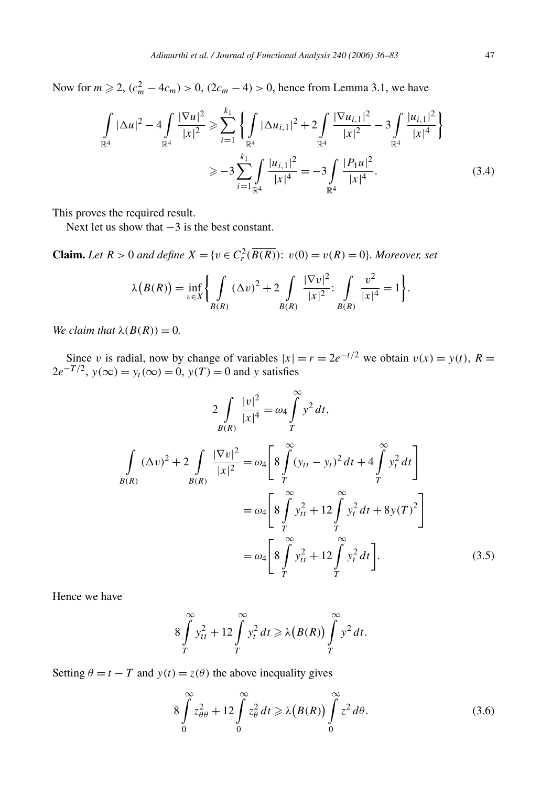Now for  $m \ge 2$ ,  $(c_m^2 - 4c_m) > 0$ ,  $(2c_m - 4) > 0$ , hence from Lemma 3.1, we have

$$
\int_{\mathbb{R}^4} |\Delta u|^2 - 4 \int_{\mathbb{R}^4} \frac{|\nabla u|^2}{|x|^2} \ge \sum_{i=1}^{k_1} \left\{ \int_{\mathbb{R}^4} |\Delta u_{i,1}|^2 + 2 \int_{\mathbb{R}^4} \frac{|\nabla u_{i,1}|^2}{|x|^2} - 3 \int_{\mathbb{R}^4} \frac{|u_{i,1}|^2}{|x|^4} \right\}
$$
  

$$
\ge -3 \sum_{i=1}^{k_1} \int_{\mathbb{R}^4} \frac{|u_{i,1}|^2}{|x|^4} = -3 \int_{\mathbb{R}^4} \frac{|P_1 u|^2}{|x|^4}.
$$
 (3.4)

This proves the required result.

Next let us show that  $-3$  is the best constant.

**Claim.** *Let*  $R > 0$  *and define*  $X = \{v \in C_r^2(\overline{B(R)}) : v(0) = v(R) = 0\}$ *. Moreover, set* 

$$
\lambda(B(R)) = \inf_{v \in X} \left\{ \int_{B(R)} (\Delta v)^2 + 2 \int_{B(R)} \frac{|\nabla v|^2}{|x|^2} \Big| \int_{B(R)} \frac{v^2}{|x|^4} = 1 \right\}.
$$

*We claim that*  $\lambda(B(R)) = 0$ *.* 

Since *v* is radial, now by change of variables  $|x| = r = 2e^{-t/2}$  we obtain  $v(x) = y(t)$ ,  $R =$  $2e^{-T/2}$ ,  $y(\infty) = y_t(\infty) = 0$ ,  $y(T) = 0$  and *y* satisfies

$$
2\int_{B(R)} \frac{|v|^2}{|x|^4} = \omega_4 \int_{T}^{\infty} y^2 dt,
$$
  

$$
\int_{B(R)} (\Delta v)^2 + 2\int_{B(R)} \frac{|\nabla v|^2}{|x|^2} = \omega_4 \left[ 8 \int_{T}^{\infty} (y_{tt} - y_t)^2 dt + 4 \int_{T}^{\infty} y_t^2 dt \right]
$$
  

$$
= \omega_4 \left[ 8 \int_{T}^{\infty} y_{tt}^2 + 12 \int_{T}^{\infty} y_t^2 dt + 8y(T)^2 \right]
$$
  

$$
= \omega_4 \left[ 8 \int_{T}^{\infty} y_{tt}^2 + 12 \int_{T}^{\infty} y_t^2 dt \right].
$$
 (3.5)

∞

Hence we have

$$
8\int\limits_T^\infty y_{tt}^2 + 12\int\limits_T^\infty y_t^2 dt \ge \lambda \big(B(R)\big)\int\limits_T^\infty y^2 dt.
$$

Setting  $\theta = t - T$  and  $y(t) = z(\theta)$  the above inequality gives

$$
8\int_{0}^{\infty} z_{\theta\theta}^{2} + 12\int_{0}^{\infty} z_{\theta}^{2} dt \ge \lambda(B(R))\int_{0}^{\infty} z^{2} d\theta.
$$
 (3.6)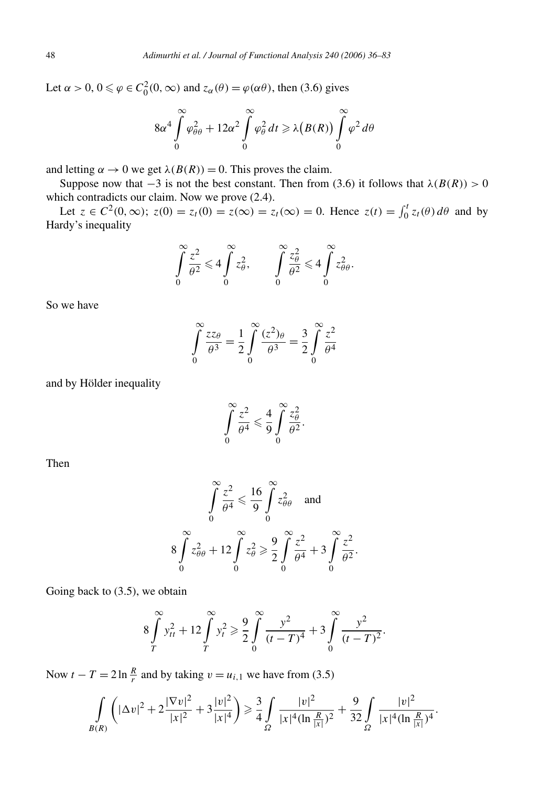Let  $\alpha > 0$ ,  $0 \le \varphi \in C_0^2(0, \infty)$  and  $z_\alpha(\theta) = \varphi(\alpha \theta)$ , then (3.6) gives

$$
8\alpha^4 \int\limits_0^\infty \varphi_{\theta\theta}^2 + 12\alpha^2 \int\limits_0^\infty \varphi_{\theta}^2 dt \ge \lambda\big(B(R)\big) \int\limits_0^\infty \varphi^2 d\theta
$$

and letting  $\alpha \to 0$  we get  $\lambda(B(R)) = 0$ . This proves the claim.

Suppose now that  $-3$  is not the best constant. Then from (3.6) it follows that  $\lambda(B(R)) > 0$ which contradicts our claim. Now we prove (2.4).

Let  $z \in C^2(0, \infty)$ ;  $z(0) = z_t(0) = z_t(\infty) = z_t(\infty) = 0$ . Hence  $z(t) = \int_0^t z_t(\theta) d\theta$  and by Hardy's inequality

$$
\int_{0}^{\infty} \frac{z^2}{\theta^2} \leq 4 \int_{0}^{\infty} z_{\theta}^2, \qquad \int_{0}^{\infty} \frac{z_{\theta}^2}{\theta^2} \leq 4 \int_{0}^{\infty} z_{\theta\theta}^2.
$$

So we have

$$
\int_{0}^{\infty} \frac{zz_{\theta}}{\theta^3} = \frac{1}{2} \int_{0}^{\infty} \frac{(z^2)_{\theta}}{\theta^3} = \frac{3}{2} \int_{0}^{\infty} \frac{z^2}{\theta^4}
$$

and by Hölder inequality

$$
\int_{0}^{\infty} \frac{z^2}{\theta^4} \leqslant \frac{4}{9} \int_{0}^{\infty} \frac{z_{\theta}^2}{\theta^2}.
$$

Then

$$
\int_{0}^{\infty} \frac{z^2}{\theta^4} \le \frac{16}{9} \int_{0}^{\infty} z_{\theta\theta}^2 \quad \text{and}
$$

$$
8 \int_{0}^{\infty} z_{\theta\theta}^2 + 12 \int_{0}^{\infty} z_{\theta}^2 \ge \frac{9}{2} \int_{0}^{\infty} \frac{z^2}{\theta^4} + 3 \int_{0}^{\infty} \frac{z^2}{\theta^2}.
$$

Going back to (3.5), we obtain

$$
8\int_{T}^{\infty} y_{tt}^2 + 12\int_{T}^{\infty} y_t^2 \ge \frac{9}{2} \int_{0}^{\infty} \frac{y^2}{(t-T)^4} + 3\int_{0}^{\infty} \frac{y^2}{(t-T)^2}.
$$

Now  $t - T = 2 \ln \frac{R}{r}$  and by taking  $v = u_{i,1}$  we have from (3.5)

$$
\int\limits_{B(R)} \left( |\Delta v|^2 + 2 \frac{|\nabla v|^2}{|x|^2} + 3 \frac{|v|^2}{|x|^4} \right) \ge \frac{3}{4} \int\limits_{\Omega} \frac{|v|^2}{|x|^4 (\ln \frac{R}{|x|})^2} + \frac{9}{32} \int\limits_{\Omega} \frac{|v|^2}{|x|^4 (\ln \frac{R}{|x|})^4}.
$$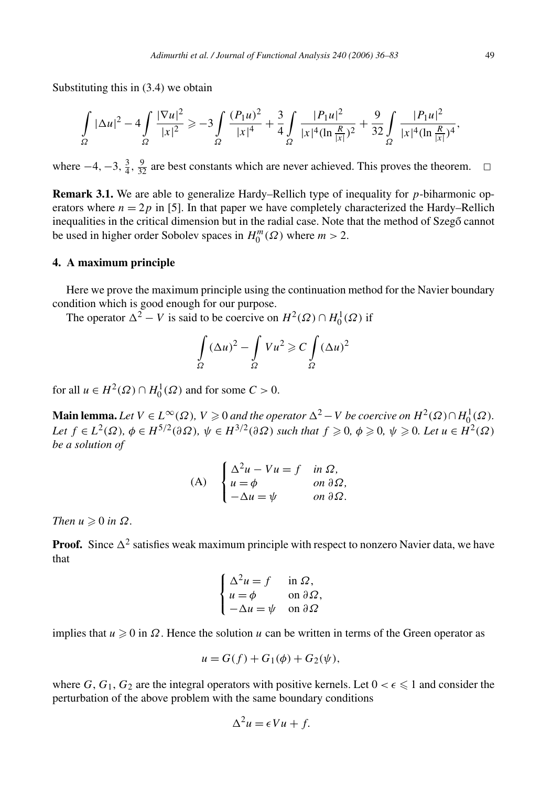Substituting this in (3.4) we obtain

$$
\int_{\Omega} |\Delta u|^2 - 4 \int_{\Omega} \frac{|\nabla u|^2}{|x|^2} \ge -3 \int_{\Omega} \frac{(P_1 u)^2}{|x|^4} + \frac{3}{4} \int_{\Omega} \frac{|P_1 u|^2}{|x|^4 (\ln \frac{R}{|x|})^2} + \frac{9}{32} \int_{\Omega} \frac{|P_1 u|^2}{|x|^4 (\ln \frac{R}{|x|})^4},
$$

where  $-4$ ,  $-3$ ,  $\frac{3}{4}$ ,  $\frac{9}{32}$  are best constants which are never achieved. This proves the theorem.  $□$ 

**Remark 3.1.** We are able to generalize Hardy–Rellich type of inequality for *p*-biharmonic operators where  $n = 2p$  in [5]. In that paper we have completely characterized the Hardy–Rellich inequalities in the critical dimension but in the radial case. Note that the method of Szego cannot be used in higher order Sobolev spaces in  $H_0^m(\Omega)$  where  $m > 2$ .

#### **4. A maximum principle**

Here we prove the maximum principle using the continuation method for the Navier boundary condition which is good enough for our purpose.

The operator  $\Delta^2 - V$  is said to be coercive on  $H^2(\Omega) \cap H_0^1(\Omega)$  if

$$
\int_{\Omega} (\Delta u)^2 - \int_{\Omega} Vu^2 \geqslant C \int_{\Omega} (\Delta u)^2
$$

for all  $u \in H^2(\Omega) \cap H_0^1(\Omega)$  and for some  $C > 0$ .

**Main lemma.** Let  $V \in L^{\infty}(\Omega)$ ,  $V \ge 0$  *and the operator*  $\Delta^{2} - V$  *be coercive on*  $H^{2}(\Omega) \cap H^{1}_{0}(\Omega)$ . Let  $f \in L^2(\Omega)$ ,  $\phi \in H^{5/2}(\partial \Omega)$ ,  $\psi \in H^{3/2}(\partial \Omega)$  such that  $f \geqslant 0$ ,  $\phi \geqslant 0$ ,  $\psi \geqslant 0$ . Let  $u \in H^2(\Omega)$ *be a solution of*

(A) 
$$
\begin{cases} \Delta^2 u - Vu = f & \text{in } \Omega, \\ u = \phi & \text{on } \partial \Omega, \\ -\Delta u = \psi & \text{on } \partial \Omega. \end{cases}
$$

*Then*  $u \geq 0$  *in*  $\Omega$ *.* 

**Proof.** Since  $\Delta^2$  satisfies weak maximum principle with respect to nonzero Navier data, we have that

$$
\begin{cases} \Delta^2 u = f & \text{in } \Omega, \\ u = \phi & \text{on } \partial \Omega, \\ -\Delta u = \psi & \text{on } \partial \Omega \end{cases}
$$

implies that  $u \ge 0$  in  $\Omega$ . Hence the solution  $u$  can be written in terms of the Green operator as

$$
u = G(f) + G_1(\phi) + G_2(\psi),
$$

where *G*,  $G_1$ ,  $G_2$  are the integral operators with positive kernels. Let  $0 < \epsilon \leq 1$  and consider the perturbation of the above problem with the same boundary conditions

$$
\Delta^2 u = \epsilon V u + f.
$$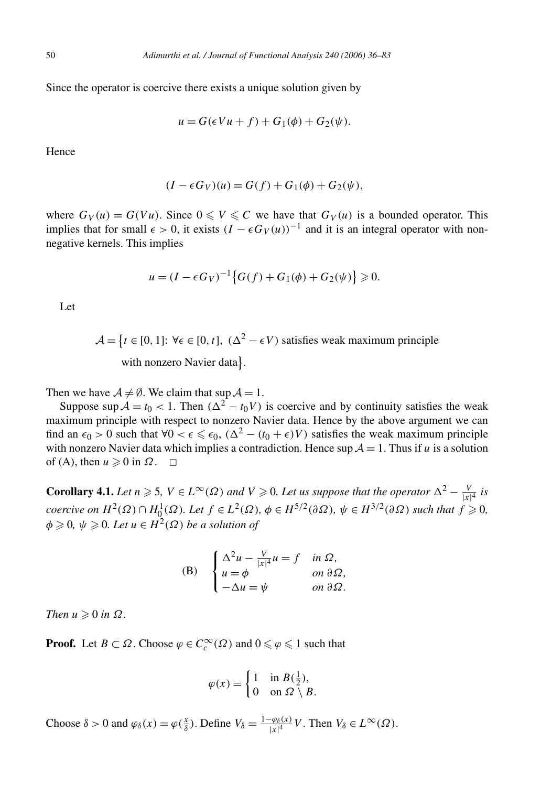Since the operator is coercive there exists a unique solution given by

$$
u = G(\epsilon Vu + f) + G_1(\phi) + G_2(\psi).
$$

Hence

$$
(I - \epsilon G_V)(u) = G(f) + G_1(\phi) + G_2(\psi),
$$

where  $G_V(u) = G(Vu)$ . Since  $0 \le V \le C$  we have that  $G_V(u)$  is a bounded operator. This implies that for small  $\epsilon > 0$ , it exists  $(I - \epsilon G_V(u))^{-1}$  and it is an integral operator with nonnegative kernels. This implies

$$
u = (I - \epsilon G_V)^{-1} \{ G(f) + G_1(\phi) + G_2(\psi) \} \ge 0.
$$

Let

$$
\mathcal{A} = \{t \in [0, 1]: \forall \epsilon \in [0, t], (\Delta^2 - \epsilon V) \text{ satisfies weak maximum principle with nonzero Navier data}\}.
$$

Then we have  $A \neq \emptyset$ . We claim that sup  $A = 1$ .

Suppose sup  $A = t_0 < 1$ . Then  $(\Delta^2 - t_0 V)$  is coercive and by continuity satisfies the weak maximum principle with respect to nonzero Navier data. Hence by the above argument we can find an  $\epsilon_0 > 0$  such that  $\forall 0 < \epsilon \leq \epsilon_0$ ,  $(\Delta^2 - (t_0 + \epsilon)V)$  satisfies the weak maximum principle with nonzero Navier data which implies a contradiction. Hence  $\sup \mathcal{A} = 1$ . Thus if *u* is a solution of (A), then  $u \ge 0$  in  $\Omega$ .  $\Box$ 

**Corollary 4.1.** *Let*  $n \ge 5$ ,  $V \in L^{\infty}(\Omega)$  and  $V \ge 0$ . Let us suppose that the operator  $\Delta^2 - \frac{V}{|x|^4}$  is coercive on  $H^2(\Omega) \cap H_0^1(\Omega)$ . Let  $f \in L^2(\Omega)$ ,  $\phi \in H^{5/2}(\partial \Omega)$ ,  $\psi \in H^{3/2}(\partial \Omega)$  such that  $f \geqslant 0$ ,  $\phi \geqslant 0$ ,  $\psi \geqslant 0$ . Let  $u \in H^2(\Omega)$  be a solution of

(B) 
$$
\begin{cases} \Delta^2 u - \frac{V}{|x|^4} u = f & \text{in } \Omega, \\ u = \phi & \text{on } \partial \Omega, \\ -\Delta u = \psi & \text{on } \partial \Omega. \end{cases}
$$

 $Then u \geqslant 0$  *in*  $\Omega$ *.* 

**Proof.** Let *B*  $\subset \Omega$ . Choose  $\varphi \in C_c^{\infty}(\Omega)$  and  $0 \leq \varphi \leq 1$  such that

$$
\varphi(x) = \begin{cases} 1 & \text{in } B(\frac{1}{2}), \\ 0 & \text{on } \Omega \setminus B. \end{cases}
$$

Choose  $\delta > 0$  and  $\varphi_{\delta}(x) = \varphi(\frac{x}{\delta})$ . Define  $V_{\delta} = \frac{1-\varphi_{\delta}(x)}{|x|^4}V$ . Then  $V_{\delta} \in L^{\infty}(\Omega)$ .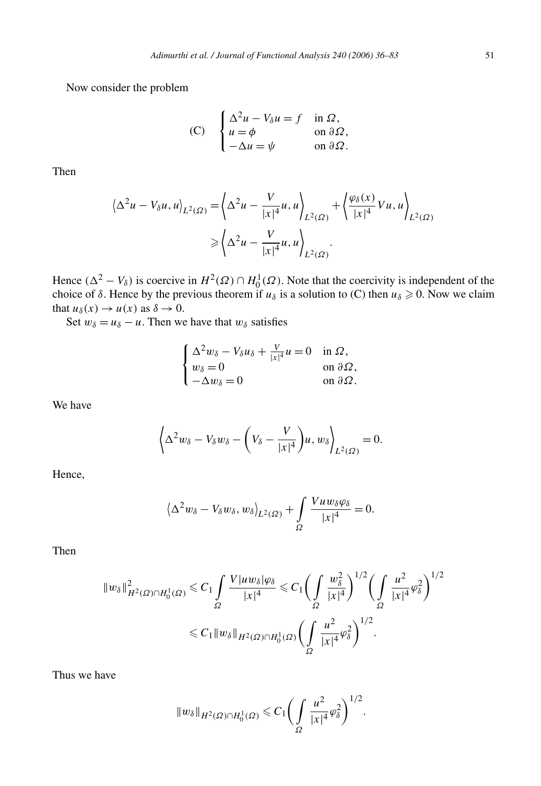Now consider the problem

(C) 
$$
\begin{cases} \Delta^2 u - V_\delta u = f & \text{in } \Omega, \\ u = \phi & \text{on } \partial \Omega, \\ -\Delta u = \psi & \text{on } \partial \Omega. \end{cases}
$$

Then

$$
\langle \Delta^2 u - V_{\delta} u, u \rangle_{L^2(\Omega)} = \langle \Delta^2 u - \frac{V}{|x|^4} u, u \rangle_{L^2(\Omega)} + \langle \frac{\varphi_{\delta}(x)}{|x|^4} V u, u \rangle_{L^2(\Omega)}
$$

$$
\geqslant \langle \Delta^2 u - \frac{V}{|x|^4} u, u \rangle_{L^2(\Omega)}.
$$

Hence  $(\Delta^2 - V_\delta)$  is coercive in  $H^2(\Omega) \cap H_0^1(\Omega)$ . Note that the coercivity is independent of the choice of  $\delta$ . Hence by the previous theorem if  $u_{\delta}$  is a solution to (C) then  $u_{\delta} \geq 0$ . Now we claim that  $u_{\delta}(x) \rightarrow u(x)$  as  $\delta \rightarrow 0$ .

Set  $w_\delta = u_\delta - u$ . Then we have that  $w_\delta$  satisfies

$$
\begin{cases} \Delta^2 w_\delta - V_\delta u_\delta + \frac{V}{|x|^4} u = 0 & \text{in } \Omega, \\ w_\delta = 0 & \text{on } \partial \Omega, \\ -\Delta w_\delta = 0 & \text{on } \partial \Omega. \end{cases}
$$

We have

$$
\left\langle \Delta^2 w_\delta - V_\delta w_\delta - \left( V_\delta - \frac{V}{|x|^4} \right) u, w_\delta \right\rangle_{L^2(\Omega)} = 0.
$$

Hence,

$$
\langle \Delta^2 w_\delta - V_\delta w_\delta, w_\delta \rangle_{L^2(\Omega)} + \int_{\Omega} \frac{V u w_\delta \varphi_\delta}{|x|^4} = 0.
$$

Then

$$
\|w_{\delta}\|_{H^2(\Omega)\cap H_0^1(\Omega)}^2 \leq C_1 \int_{\Omega} \frac{V|uw_{\delta}|\varphi_{\delta}}{|x|^4} \leq C_1 \left(\int_{\Omega} \frac{w_{\delta}^2}{|x|^4}\right)^{1/2} \left(\int_{\Omega} \frac{u^2}{|x|^4} \varphi_{\delta}^2\right)^{1/2}
$$
  

$$
\leq C_1 \|w_{\delta}\|_{H^2(\Omega)\cap H_0^1(\Omega)} \left(\int_{\Omega} \frac{u^2}{|x|^4} \varphi_{\delta}^2\right)^{1/2}.
$$

Thus we have

$$
||w_{\delta}||_{H^{2}(\Omega)\cap H^{1}_{0}(\Omega)} \leq C_{1} \bigg(\int_{\Omega} \frac{u^{2}}{|x|^{4}} \varphi_{\delta}^{2}\bigg)^{1/2}.
$$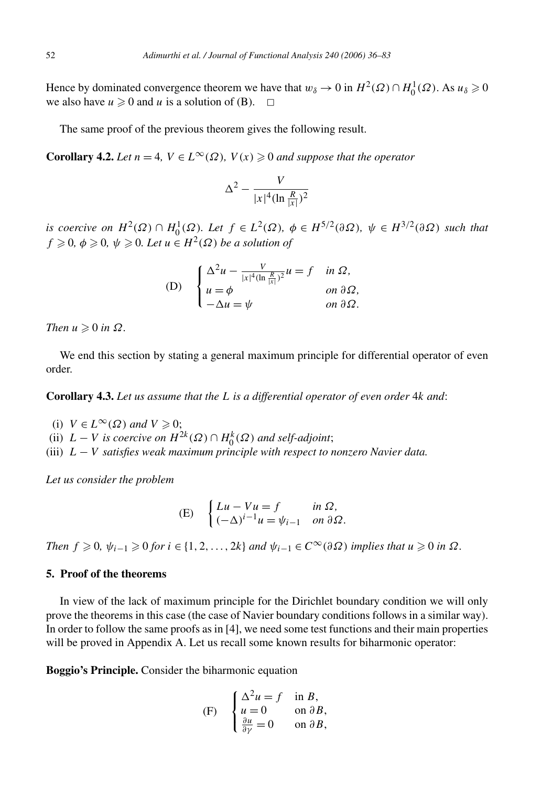Hence by dominated convergence theorem we have that  $w_\delta \to 0$  in  $H^2(\Omega) \cap H_0^1(\Omega)$ . As  $u_\delta \geq 0$ we also have  $u \ge 0$  and  $u$  is a solution of (B).  $\Box$ 

The same proof of the previous theorem gives the following result.

**Corollary 4.2.** *Let*  $n = 4$ *,*  $V \in L^{\infty}(\Omega)$ *,*  $V(x) \ge 0$  *and suppose that the operator* 

$$
\Delta^2 - \frac{V}{|x|^4 (\ln \frac{R}{|x|})^2}
$$

*is coercive on*  $H^2(\Omega) \cap H_0^1(\Omega)$ *. Let*  $f \in L^2(\Omega)$ *,*  $\phi \in H^{5/2}(\partial \Omega)$ *,*  $\psi \in H^{3/2}(\partial \Omega)$  *such that*  $f \geq 0$ ,  $\phi \geq 0$ ,  $\psi \geq 0$ . Let  $u \in H^2(\Omega)$  be a solution of

(D) 
$$
\begin{cases} \Delta^2 u - \frac{V}{|x|^4 (\ln \frac{R}{|x|})^2} u = f & \text{in } \Omega, \\ u = \phi & \text{on } \partial \Omega, \\ -\Delta u = \psi & \text{on } \partial \Omega. \end{cases}
$$

 $Then u \geqslant 0$  *in*  $\Omega$ *.* 

We end this section by stating a general maximum principle for differential operator of even order.

**Corollary 4.3.** *Let us assume that the L is a differential operator of even order* 4*k and*:

(i)  $V \in L^{\infty}(\Omega)$  and  $V \geq 0$ ;

(ii)  $L - V$  *is coercive on*  $H^{2k}(\Omega) \cap H_0^k(\Omega)$  *and self-adjoint*;

(iii) *L* − *V satisfies weak maximum principle with respect to nonzero Navier data.*

*Let us consider the problem*

(E) 
$$
\begin{cases} Lu - Vu = f & \text{in } \Omega, \\ (-\Delta)^{i-1}u = \psi_{i-1} & \text{on } \partial\Omega. \end{cases}
$$

*Then*  $f \ge 0$ ,  $\psi_{i-1} \ge 0$  *for*  $i \in \{1, 2, ..., 2k\}$  *and*  $\psi_{i-1} \in C^{\infty}(\partial \Omega)$  *implies that*  $u \ge 0$  *in*  $\Omega$ *.* 

#### **5. Proof of the theorems**

In view of the lack of maximum principle for the Dirichlet boundary condition we will only prove the theorems in this case (the case of Navier boundary conditions follows in a similar way). In order to follow the same proofs as in [4], we need some test functions and their main properties will be proved in Appendix A. Let us recall some known results for biharmonic operator:

**Boggio's Principle.** Consider the biharmonic equation

(F) 
$$
\begin{cases} \Delta^2 u = f & \text{in } B, \\ u = 0 & \text{on } \partial B, \\ \frac{\partial u}{\partial y} = 0 & \text{on } \partial B, \end{cases}
$$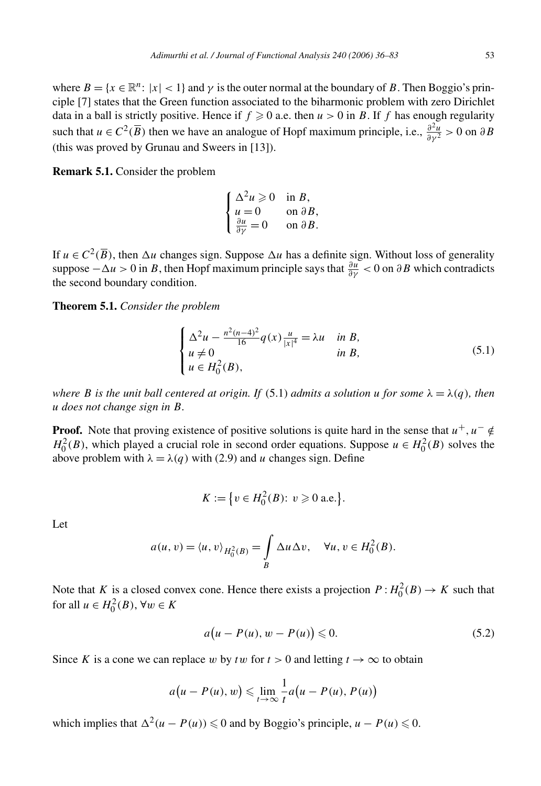where  $B = \{x \in \mathbb{R}^n : |x| < 1\}$  and  $\gamma$  is the outer normal at the boundary of *B*. Then Boggio's principle [7] states that the Green function associated to the biharmonic problem with zero Dirichlet data in a ball is strictly positive. Hence if  $f \ge 0$  a.e. then  $u > 0$  in *B*. If *f* has enough regularity such that  $u \in C^2(\overline{B})$  then we have an analogue of Hopf maximum principle, i.e.,  $\frac{\partial^2 u}{\partial y^2} > 0$  on  $\partial B$ (this was proved by Grunau and Sweers in [13]).

**Remark 5.1.** Consider the problem

$$
\begin{cases} \Delta^2 u \geqslant 0 & \text{in } B, \\ u = 0 & \text{on } \partial B, \\ \frac{\partial u}{\partial \gamma} = 0 & \text{on } \partial B. \end{cases}
$$

If  $u \in C^2(\overline{B})$ , then  $\Delta u$  changes sign. Suppose  $\Delta u$  has a definite sign. Without loss of generality suppose  $-\Delta u > 0$  in *B*, then Hopf maximum principle says that  $\frac{\partial u}{\partial y} < 0$  on  $\partial B$  which contradicts the second boundary condition.

**Theorem 5.1.** *Consider the problem*

$$
\begin{cases} \Delta^2 u - \frac{n^2(n-4)^2}{16} q(x) \frac{u}{|x|^4} = \lambda u & \text{in } B, \\ u \neq 0 & \text{in } B, \\ u \in H_0^2(B), \end{cases}
$$
 (5.1)

*where B* is the unit ball centered at origin. If (5.1) *admits a solution u* for some  $\lambda = \lambda(q)$ *, then u does not change sign in B.*

**Proof.** Note that proving existence of positive solutions is quite hard in the sense that  $u^+, u^- \notin$  $H_0^2(B)$ , which played a crucial role in second order equations. Suppose  $u \in H_0^2(B)$  solves the above problem with  $\lambda = \lambda(q)$  with (2.9) and *u* changes sign. Define

$$
K := \{ v \in H_0^2(B) : v \ge 0 \text{ a.e.} \}.
$$

Let

$$
a(u, v) = \langle u, v \rangle_{H_0^2(B)} = \int_B \Delta u \Delta v, \quad \forall u, v \in H_0^2(B).
$$

Note that *K* is a closed convex cone. Hence there exists a projection  $P: H_0^2(B) \to K$  such that for all  $u \in H_0^2(B)$ ,  $\forall w \in K$ 

$$
a(u - P(u), w - P(u)) \leq 0. \tag{5.2}
$$

Since *K* is a cone we can replace *w* by *tw* for  $t > 0$  and letting  $t \to \infty$  to obtain

$$
a(u - P(u), w) \leqslant \lim_{t \to \infty} \frac{1}{t} a(u - P(u), P(u))
$$

which implies that  $\Delta^2(u - P(u))$  ≤ 0 and by Boggio's principle,  $u - P(u)$  ≤ 0.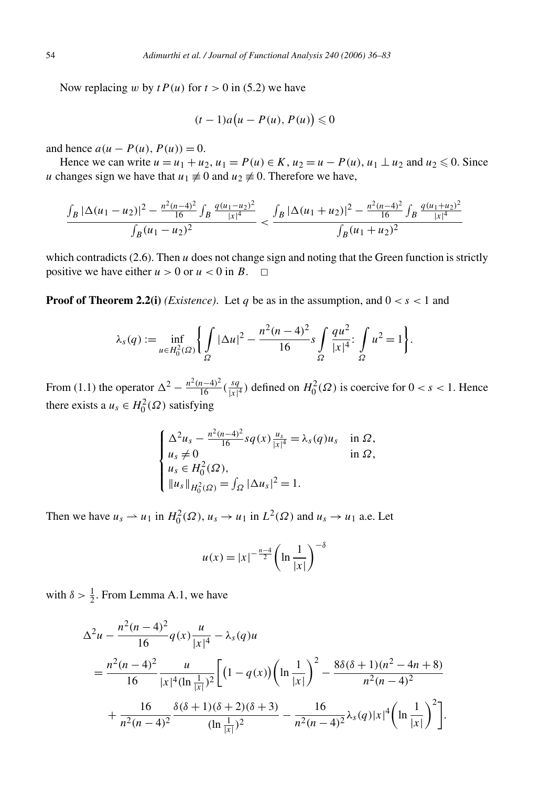Now replacing *w* by  $t P(u)$  for  $t > 0$  in (5.2) we have

$$
(t-1)a(u-P(u),P(u))\leq 0
$$

and hence  $a(u - P(u), P(u)) = 0$ .

Hence we can write *u* = *u*<sub>1</sub> + *u*<sub>2</sub>, *u*<sub>1</sub> = *P*(*u*) ∈ *K*, *u*<sub>2</sub> = *u* − *P*(*u*), *u*<sub>1</sub> ⊥ *u*<sub>2</sub> and *u*<sub>2</sub> ≤ 0. Since *u* changes sign we have that  $u_1 \neq 0$  and  $u_2 \neq 0$ . Therefore we have,

$$
\frac{\int_B |\Delta(u_1 - u_2)|^2 - \frac{n^2(n-4)^2}{16} \int_B \frac{q(u_1 - u_2)^2}{|x|^4}}{\int_B (u_1 - u_2)^2} < \frac{\int_B |\Delta(u_1 + u_2)|^2 - \frac{n^2(n-4)^2}{16} \int_B \frac{q(u_1 + u_2)^2}{|x|^4}}{\int_B (u_1 + u_2)^2}
$$

which contradicts  $(2.6)$ . Then  $u$  does not change sign and noting that the Green function is strictly positive we have either  $u > 0$  or  $u < 0$  in  $B$ .  $\Box$ 

**Proof of Theorem 2.2(i)** *(Existence)*. Let *q* be as in the assumption, and  $0 < s < 1$  and

$$
\lambda_{s}(q) := \inf_{u \in H_{0}^{2}(\Omega)} \left\{ \int_{\Omega} |\Delta u|^{2} - \frac{n^{2}(n-4)^{2}}{16} s \int_{\Omega} \frac{qu^{2}}{|x|^{4}} \cdot \int_{\Omega} u^{2} = 1 \right\}.
$$

From (1.1) the operator  $\Delta^2 - \frac{n^2(n-4)^2}{16} (\frac{sq}{|x|^4})$  defined on  $H_0^2(\Omega)$  is coercive for  $0 < s < 1$ . Hence there exists a  $u_s \in H_0^2(\Omega)$  satisfying

$$
\begin{cases}\n\Delta^2 u_s - \frac{n^2(n-4)^2}{16} s q(x) \frac{u_s}{|x|^4} = \lambda_s(q) u_s & \text{in } \Omega, \\
u_s \neq 0 & \text{in } \Omega, \\
u_s \in H_0^2(\Omega), \\
\|u_s\|_{H_0^2(\Omega)} = \int_{\Omega} |\Delta u_s|^2 = 1.\n\end{cases}
$$

Then we have  $u_s \rightharpoonup u_1$  in  $H_0^2(\Omega)$ ,  $u_s \rightharpoonup u_1$  in  $L^2(\Omega)$  and  $u_s \rightharpoonup u_1$  a.e. Let

$$
u(x) = |x|^{-\frac{n-4}{2}} \left( \ln \frac{1}{|x|} \right)^{-\delta}
$$

with  $\delta > \frac{1}{2}$ . From Lemma A.1, we have

$$
\Delta^{2} u - \frac{n^{2}(n-4)^{2}}{16} q(x) \frac{u}{|x|^{4}} - \lambda_{s}(q)u
$$
  
= 
$$
\frac{n^{2}(n-4)^{2}}{16} \frac{u}{|x|^{4}(\ln \frac{1}{|x|})^{2}} \left[ (1-q(x)) \left( \ln \frac{1}{|x|} \right)^{2} - \frac{8\delta(\delta+1)(n^{2}-4n+8)}{n^{2}(n-4)^{2}} + \frac{16}{n^{2}(n-4)^{2}} \frac{\delta(\delta+1)(\delta+2)(\delta+3)}{(\ln \frac{1}{|x|})^{2}} - \frac{16}{n^{2}(n-4)^{2}} \lambda_{s}(q)|x|^{4} \left( \ln \frac{1}{|x|} \right)^{2} \right].
$$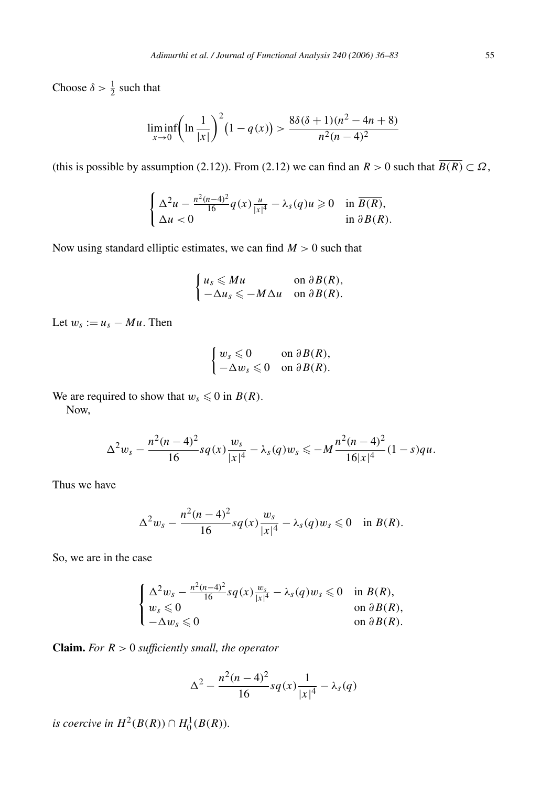Choose  $\delta > \frac{1}{2}$  such that

$$
\liminf_{x \to 0} \left( \ln \frac{1}{|x|} \right)^2 (1 - q(x)) > \frac{8\delta(\delta + 1)(n^2 - 4n + 8)}{n^2(n - 4)^2}
$$

(this is possible by assumption (2.12)). From (2.12) we can find an  $R > 0$  such that  $\overline{B(R)} \subset \Omega$ ,

$$
\begin{cases} \Delta^2 u - \frac{n^2(n-4)^2}{16} q(x) \frac{u}{|x|^4} - \lambda_s(q) u \ge 0 & \text{in } \overline{B(R)}, \\ \Delta u < 0 & \text{in } \partial B(R). \end{cases}
$$

Now using standard elliptic estimates, we can find *M >* 0 such that

$$
\begin{cases} u_s \leqslant M u & \text{on } \partial B(R), \\ -\Delta u_s \leqslant -M \Delta u & \text{on } \partial B(R). \end{cases}
$$

Let  $w_s := u_s - Mu$ . Then

$$
\begin{cases} w_s \leqslant 0 & \text{on } \partial B(R), \\ -\Delta w_s \leqslant 0 & \text{on } \partial B(R). \end{cases}
$$

We are required to show that  $w_s \leq 0$  in  $B(R)$ .

Now,

$$
\Delta^2 w_s - \frac{n^2(n-4)^2}{16} s q(x) \frac{w_s}{|x|^4} - \lambda_s(q) w_s \leqslant -M \frac{n^2(n-4)^2}{16|x|^4} (1-s) q u.
$$

Thus we have

$$
\Delta^2 w_s - \frac{n^2(n-4)^2}{16} s q(x) \frac{w_s}{|x|^4} - \lambda_s(q) w_s \leq 0 \quad \text{in } B(R).
$$

So, we are in the case

$$
\begin{cases} \Delta^2 w_s - \frac{n^2(n-4)^2}{16} s q(x) \frac{w_s}{|x|^4} - \lambda_s(q) w_s \leq 0 & \text{in } B(R), \\ w_s \leq 0 & \text{on } \partial B(R), \\ -\Delta w_s \leq 0 & \text{on } \partial B(R). \end{cases}
$$

**Claim.** *For R >* 0 *sufficiently small, the operator*

$$
\Delta^{2} - \frac{n^{2}(n-4)^{2}}{16}sq(x)\frac{1}{|x|^{4}} - \lambda_{s}(q)
$$

*is coercive in*  $H^2(B(R)) \cap H_0^1(B(R)).$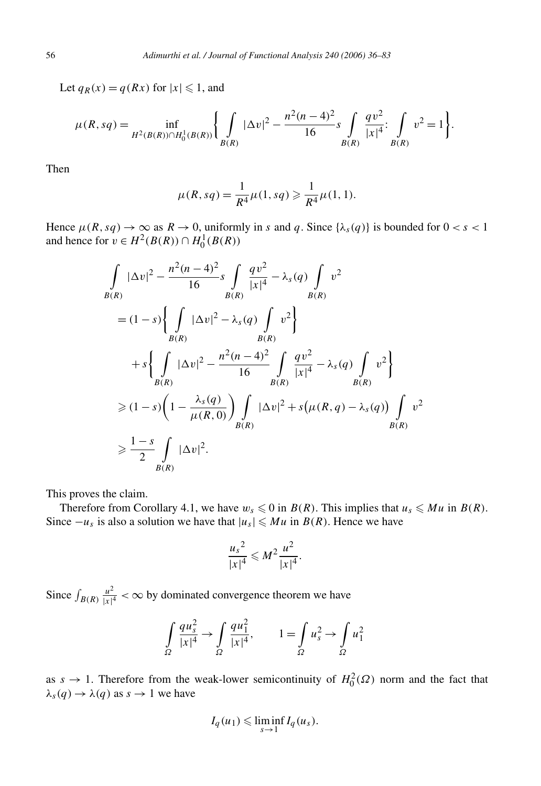Let  $q_R(x) = q(Rx)$  for  $|x| \leq 1$ , and

$$
\mu(R, sq) = \inf_{H^2(B(R)) \cap H_0^1(B(R))} \left\{ \int_{B(R)} |\Delta v|^2 - \frac{n^2(n-4)^2}{16} s \int_{B(R)} \frac{qv^2}{|x|^4} \Big| \int_{B(R)} v^2 = 1 \right\}.
$$

Then

$$
\mu(R, sq) = \frac{1}{R^4} \mu(1, sq) \geq \frac{1}{R^4} \mu(1, 1).
$$

Hence  $\mu(R, sq) \to \infty$  as  $R \to 0$ , uniformly in *s* and *q*. Since  $\{\lambda_s(q)\}$  is bounded for  $0 < s < 1$ and hence for *v* ∈  $H^2(B(R))$  ∩  $H_0^1(B(R))$ 

$$
\int_{B(R)} |\Delta v|^2 - \frac{n^2(n-4)^2}{16} s \int_{B(R)} \frac{qv^2}{|x|^4} - \lambda_s(q) \int_{B(R)} v^2
$$
  
=  $(1-s) \left\{ \int_{B(R)} |\Delta v|^2 - \lambda_s(q) \int_{B(R)} v^2 \right\}$   
+  $s \left\{ \int_{B(R)} |\Delta v|^2 - \frac{n^2(n-4)^2}{16} \int_{B(R)} \frac{qv^2}{|x|^4} - \lambda_s(q) \int_{B(R)} v^2 \right\}$   
 $\geq (1-s) \left( 1 - \frac{\lambda_s(q)}{\mu(R,0)} \right) \int_{B(R)} |\Delta v|^2 + s(\mu(R,q) - \lambda_s(q)) \int_{B(R)} v^2$   
 $\geq \frac{1-s}{2} \int_{B(R)} |\Delta v|^2.$ 

This proves the claim.

Therefore from Corollary 4.1, we have  $w_s \leq 0$  in  $B(R)$ . This implies that  $u_s \leq Mu$  in  $B(R)$ . Since  $-u_s$  is also a solution we have that  $|u_s| \leq M u$  in  $B(R)$ . Hence we have

$$
\frac{{u_s}^2}{|x|^4} \leqslant M^2 \frac{u^2}{|x|^4}.
$$

Since  $\int_{B(R)} \frac{u^2}{|x|^4} < \infty$  by dominated convergence theorem we have

$$
\int_{\Omega} \frac{qu_s^2}{|x|^4} \to \int_{\Omega} \frac{qu_1^2}{|x|^4}, \qquad 1 = \int_{\Omega} u_s^2 \to \int_{\Omega} u_1^2
$$

as  $s \to 1$ . Therefore from the weak-lower semicontinuity of  $H_0^2(\Omega)$  norm and the fact that  $\lambda_s(q) \rightarrow \lambda(q)$  as  $s \rightarrow 1$  we have

$$
I_q(u_1) \leqslant \liminf_{s \to 1} I_q(u_s).
$$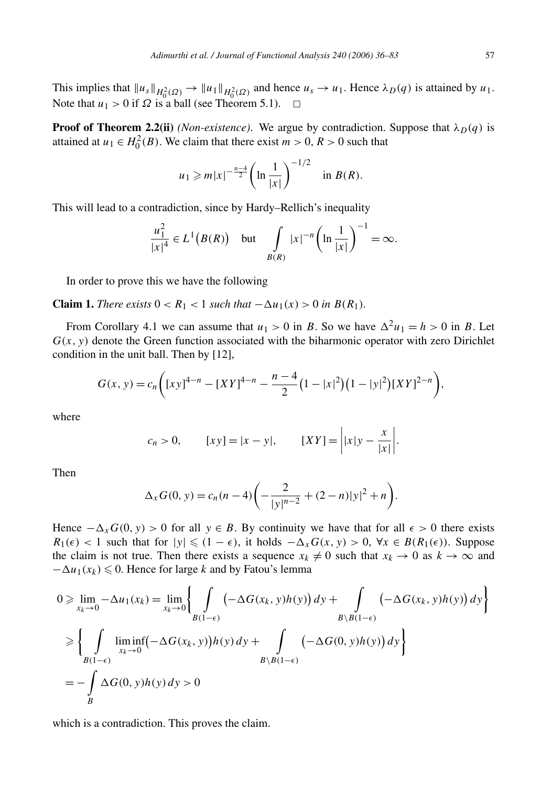This implies that  $||u_s||_{H_0^2(\Omega)} \to ||u_1||_{H_0^2(\Omega)}$  and hence  $u_s \to u_1$ . Hence  $\lambda_D(q)$  is attained by  $u_1$ . Note that  $u_1 > 0$  if  $\Omega$  is a ball (see Theorem 5.1).  $\Box$ 

**Proof of Theorem 2.2(ii)** *(Non-existence)*. We argue by contradiction. Suppose that  $\lambda_D(q)$  is attained at  $u_1 \in H_0^2(B)$ . We claim that there exist  $m > 0$ ,  $R > 0$  such that

$$
u_1 \ge m|x|^{-\frac{n-4}{2}} \left(\ln \frac{1}{|x|}\right)^{-1/2}
$$
 in  $B(R)$ .

This will lead to a contradiction, since by Hardy–Rellich's inequality

$$
\frac{u_1^2}{|x|^4} \in L^1(B(R)) \quad \text{but} \quad \int\limits_{B(R)} |x|^{-n} \left(\ln \frac{1}{|x|}\right)^{-1} = \infty.
$$

In order to prove this we have the following

**Claim 1.** *There exists*  $0 < R_1 < 1$  *such that*  $-\Delta u_1(x) > 0$  *in*  $B(R_1)$ *.* 

From Corollary 4.1 we can assume that  $u_1 > 0$  in *B*. So we have  $\Delta^2 u_1 = h > 0$  in *B*. Let  $G(x, y)$  denote the Green function associated with the biharmonic operator with zero Dirichlet condition in the unit ball. Then by [12],

$$
G(x, y) = c_n \bigg( [xy]^{4-n} - [XY]^{4-n} - \frac{n-4}{2} (1-|x|^2) (1-|y|^2) [XY]^{2-n} \bigg),
$$

where

$$
c_n > 0,
$$
  $[xy] = |x - y|,$   $[XY] = |x|y - \frac{x}{|x|}.$ 

Then

$$
\Delta_x G(0, y) = c_n (n - 4) \left( -\frac{2}{|y|^{n-2}} + (2 - n)|y|^2 + n \right).
$$

Hence  $-\Delta_x G(0, y) > 0$  for all  $y \in B$ . By continuity we have that for all  $\epsilon > 0$  there exists *R*<sub>1</sub>( $\epsilon$ ) < 1 such that for  $|y| \le (1 - \epsilon)$ , it holds  $-\Delta_x G(x, y) > 0$ , ∀*x* ∈ *B*( $R_1(\epsilon)$ ). Suppose the claim is not true. Then there exists a sequence  $x_k \neq 0$  such that  $x_k \to 0$  as  $k \to \infty$  and  $-\Delta u_1(x_k) \leq 0$ . Hence for large *k* and by Fatou's lemma

$$
0 \ge \lim_{x_k \to 0} -\Delta u_1(x_k) = \lim_{x_k \to 0} \left\{ \int_{B(1-\epsilon)} \left( -\Delta G(x_k, y)h(y) \right) dy + \int_{B \setminus B(1-\epsilon)} \left( -\Delta G(x_k, y)h(y) \right) dy \right\}
$$
  
\n
$$
\ge \left\{ \int_{B(1-\epsilon)} \liminf_{x_k \to 0} \left( -\Delta G(x_k, y) \right) h(y) dy + \int_{B \setminus B(1-\epsilon)} \left( -\Delta G(0, y)h(y) \right) dy \right\}
$$
  
\n
$$
= -\int_{B} \Delta G(0, y)h(y) dy > 0
$$

which is a contradiction. This proves the claim.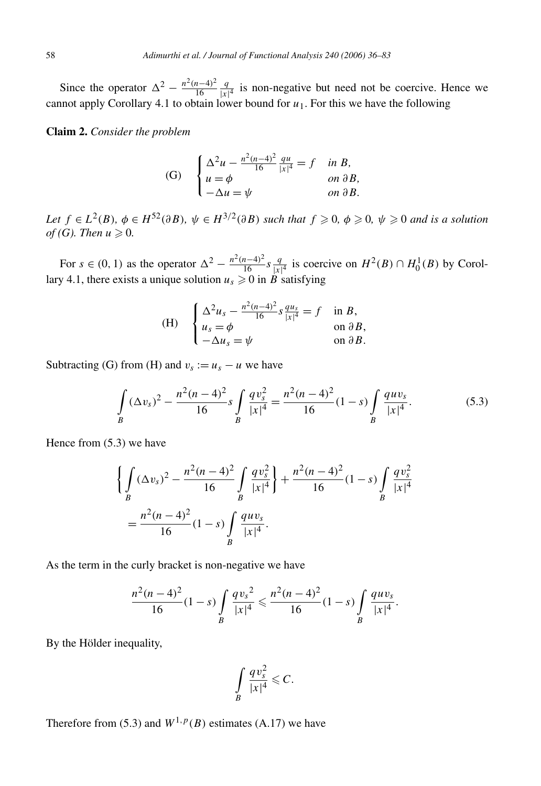Since the operator  $\Delta^2 - \frac{n^2(n-4)^2}{16}$ *q*  $\frac{q}{|x|^4}$  is non-negative but need not be coercive. Hence we cannot apply Corollary 4*.*1 to obtain lower bound for *u*1. For this we have the following

#### **Claim 2.** *Consider the problem*

(G) 
$$
\begin{cases} \Delta^2 u - \frac{n^2(n-4)^2}{16} \frac{qu}{|x|^4} = f & \text{in } B, \\ u = \phi & \text{on } \partial B, \\ -\Delta u = \psi & \text{on } \partial B. \end{cases}
$$

Let  $f \in L^2(B)$ ,  $\phi \in H^{52}(\partial B)$ ,  $\psi \in H^{3/2}(\partial B)$  such that  $f \geq 0$ ,  $\phi \geq 0$ ,  $\psi \geq 0$  and is a solution *of* (*G*). Then  $u \ge 0$ .

For  $s \in (0, 1)$  as the operator  $\Delta^2 - \frac{n^2(n-4)^2}{16} s \frac{q}{|x|^4}$  is coercive on  $H^2(B) \cap H_0^1(B)$  by Corollary 4.1, there exists a unique solution  $u_s \ge 0$  in *B* satisfying

(H) 
$$
\begin{cases} \Delta^2 u_s - \frac{n^2(n-4)^2}{16} s \frac{qu_s}{|x|^4} = f & \text{in } B, \\ u_s = \phi & \text{on } \partial B, \\ -\Delta u_s = \psi & \text{on } \partial B. \end{cases}
$$

Subtracting (G) from (H) and  $v_s := u_s - u$  we have

$$
\int_{B} (\Delta v_s)^2 - \frac{n^2 (n-4)^2}{16} s \int_{B} \frac{q v_s^2}{|x|^4} = \frac{n^2 (n-4)^2}{16} (1-s) \int_{B} \frac{q u v_s}{|x|^4}.
$$
\n(5.3)

Hence from (5.3) we have

$$
\left\{ \int_{B} (\Delta v_s)^2 - \frac{n^2 (n-4)^2}{16} \int_{B} \frac{q v_s^2}{|x|^4} \right\} + \frac{n^2 (n-4)^2}{16} (1-s) \int_{B} \frac{q v_s^2}{|x|^4}
$$

$$
= \frac{n^2 (n-4)^2}{16} (1-s) \int_{B} \frac{q u v_s}{|x|^4}.
$$

As the term in the curly bracket is non-negative we have

$$
\frac{n^2(n-4)^2}{16}(1-s)\int\limits_B \frac{qv_s^2}{|x|^4} \leq \frac{n^2(n-4)^2}{16}(1-s)\int\limits_B \frac{quv_s}{|x|^4}.
$$

By the Hölder inequality,

$$
\int\limits_B \frac{qv_s^2}{|x|^4} \leqslant C.
$$

Therefore from (5.3) and  $W^{1,p}(B)$  estimates (A.17) we have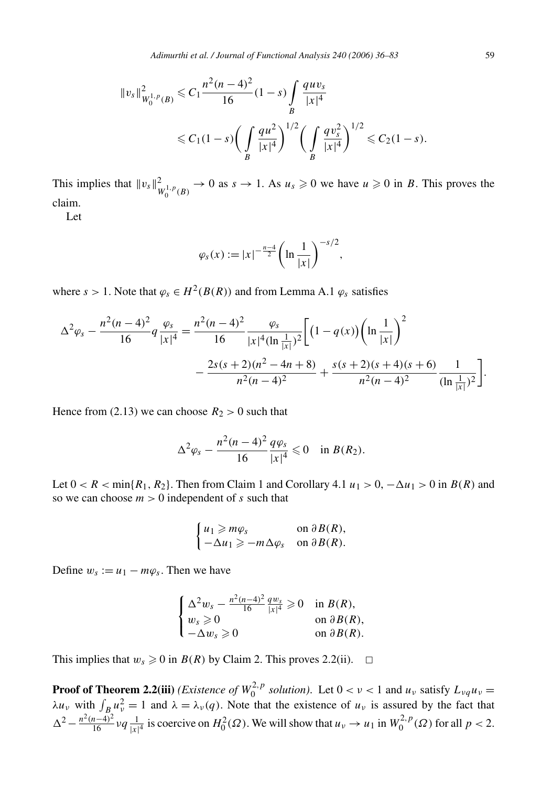*Adimurthi et al. / Journal of Functional Analysis 240 (2006) 36–83* 59

$$
||v_s||_{W_0^{1,p}(B)}^2 \le C_1 \frac{n^2(n-4)^2}{16} (1-s) \int_B \frac{quv_s}{|x|^4}
$$
  
 
$$
\le C_1 (1-s) \bigg( \int_B \frac{qu^2}{|x|^4} \bigg)^{1/2} \bigg( \int_B \frac{qv_s^2}{|x|^4} \bigg)^{1/2} \le C_2 (1-s).
$$

This implies that  $||v_s||^2_{W_0^{1,p}(B)} \to 0$  as  $s \to 1$ . As  $u_s \ge 0$  we have  $u \ge 0$  in *B*. This proves the claim.

Let

$$
\varphi_s(x) := |x|^{-\frac{n-4}{2}} \left( \ln \frac{1}{|x|} \right)^{-s/2},
$$

where  $s > 1$ . Note that  $\varphi_s \in H^2(B(R))$  and from Lemma A.1  $\varphi_s$  satisfies

$$
\Delta^{2} \varphi_{s} - \frac{n^{2}(n-4)^{2}}{16} q \frac{\varphi_{s}}{|x|^{4}} = \frac{n^{2}(n-4)^{2}}{16} \frac{\varphi_{s}}{|x|^{4}(\ln \frac{1}{|x|})^{2}} \left[ \left(1 - q(x)\right) \left(\ln \frac{1}{|x|}\right)^{2} - \frac{2s(s+2)(n^{2} - 4n + 8)}{n^{2}(n-4)^{2}} + \frac{s(s+2)(s+4)(s+6)}{n^{2}(n-4)^{2}} \frac{1}{(\ln \frac{1}{|x|})^{2}} \right].
$$

Hence from (2.13) we can choose  $R_2 > 0$  such that

$$
\Delta^2 \varphi_s - \frac{n^2(n-4)^2}{16} \frac{q\varphi_s}{|x|^4} \leq 0 \quad \text{in } B(R_2).
$$

Let  $0 < R < \min\{R_1, R_2\}$ . Then from Claim 1 and Corollary 4.1  $u_1 > 0$ ,  $-\Delta u_1 > 0$  in  $B(R)$  and so we can choose  $m > 0$  independent of *s* such that

$$
\begin{cases} u_1 \geqslant m\varphi_s & \text{on } \partial B(R), \\ -\Delta u_1 \geqslant -m\Delta \varphi_s & \text{on } \partial B(R). \end{cases}
$$

Define  $w_s := u_1 - m\varphi_s$ . Then we have

$$
\begin{cases} \Delta^2 w_s - \frac{n^2(n-4)^2}{16} \frac{q w_s}{|x|^4} \geqslant 0 & \text{in } B(R), \\ w_s \geqslant 0 & \text{on } \partial B(R), \\ -\Delta w_s \geqslant 0 & \text{on } \partial B(R). \end{cases}
$$

This implies that  $w_s \ge 0$  in  $B(R)$  by Claim 2. This proves 2.2(ii).  $\Box$ 

**Proof of Theorem 2.2(iii)** *(Existence of*  $W_0^{2,p}$  *solution)*. Let  $0 < \nu < 1$  and  $u_{\nu}$  satisfy  $L_{\nu q} u_{\nu} =$  $\lambda u_{\nu}$  with  $\int_{B_{\nu}} u_{\nu}^2 = 1$  and  $\lambda = \lambda_{\nu}(q)$ . Note that the existence of  $u_{\nu}$  is assured by the fact that  $\Delta^2 - \frac{n^2(n-4)^2}{16} \nu q \frac{1}{|x|^4}$  is coercive on  $H_0^2(\Omega)$ . We will show that  $u_v \to u_1$  in  $W_0^{2,p}(\Omega)$  for all  $p < 2$ .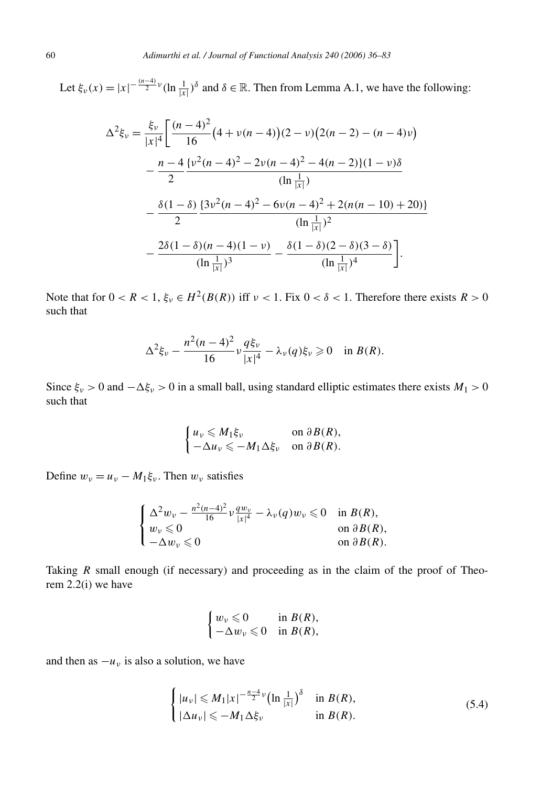Let  $\xi_{\nu}(x) = |x|^{-\frac{(n-4)}{2}\nu} (\ln \frac{1}{|x|})^{\delta}$  and  $\delta \in \mathbb{R}$ . Then from Lemma A.1, we have the following:

$$
\Delta^{2}\xi_{\nu} = \frac{\xi_{\nu}}{|x|^{4}} \left[ \frac{(n-4)^{2}}{16} \left( 4 + \nu(n-4) \right) (2 - \nu) \left( 2(n-2) - (n-4)\nu \right) \right.
$$

$$
- \frac{n-4}{2} \frac{\{\nu^{2}(n-4)^{2} - 2\nu(n-4)^{2} - 4(n-2)\}(1 - \nu)\delta}{(\ln\frac{1}{|x|})}
$$

$$
- \frac{\delta(1-\delta)}{2} \frac{\{3\nu^{2}(n-4)^{2} - 6\nu(n-4)^{2} + 2(n(n-10) + 20)\}}{(\ln\frac{1}{|x|})^{2}}
$$

$$
- \frac{2\delta(1-\delta)(n-4)(1-\nu)}{(\ln\frac{1}{|x|})^{3}} - \frac{\delta(1-\delta)(2-\delta)(3-\delta)}{(\ln\frac{1}{|x|})^{4}} \right].
$$

Note that for  $0 < R < 1$ ,  $\xi_{\nu} \in H^2(B(R))$  iff  $\nu < 1$ . Fix  $0 < \delta < 1$ . Therefore there exists  $R > 0$ such that

$$
\Delta^{2}\xi_{\nu} - \frac{n^{2}(n-4)^{2}}{16}\nu \frac{q\xi_{\nu}}{|x|^{4}} - \lambda_{\nu}(q)\xi_{\nu} \geq 0 \quad \text{in } B(R).
$$

Since  $\xi_{\nu} > 0$  and  $-\Delta \xi_{\nu} > 0$  in a small ball, using standard elliptic estimates there exists  $M_1 > 0$ such that

$$
\begin{cases} u_{\nu} \leqslant M_1 \xi_{\nu} & \text{on } \partial B(R), \\ -\Delta u_{\nu} \leqslant -M_1 \Delta \xi_{\nu} & \text{on } \partial B(R). \end{cases}
$$

Define  $w_v = u_v - M_1 \xi_v$ . Then  $w_v$  satisfies

$$
\begin{cases} \Delta^2 w_{\nu} - \frac{n^2(n-4)^2}{16} \nu \frac{qw_{\nu}}{|x|^4} - \lambda_{\nu}(q)w_{\nu} \leq 0 & \text{in } B(R), \\ w_{\nu} \leq 0 & \text{on } \partial B(R), \\ -\Delta w_{\nu} \leq 0 & \text{on } \partial B(R). \end{cases}
$$

Taking *R* small enough (if necessary) and proceeding as in the claim of the proof of Theorem 2.2(i) we have

$$
\begin{cases} w_{\nu} \leqslant 0 & \text{in } B(R), \\ -\Delta w_{\nu} \leqslant 0 & \text{in } B(R), \end{cases}
$$

and then as  $-u<sub>v</sub>$  is also a solution, we have

$$
\begin{cases} |u_v| \leqslant M_1 |x|^{-\frac{n-4}{2}\nu} (\ln \frac{1}{|x|})^{\delta} & \text{in } B(R), \\ |\Delta u_v| \leqslant -M_1 \Delta \xi_v & \text{in } B(R). \end{cases}
$$
(5.4)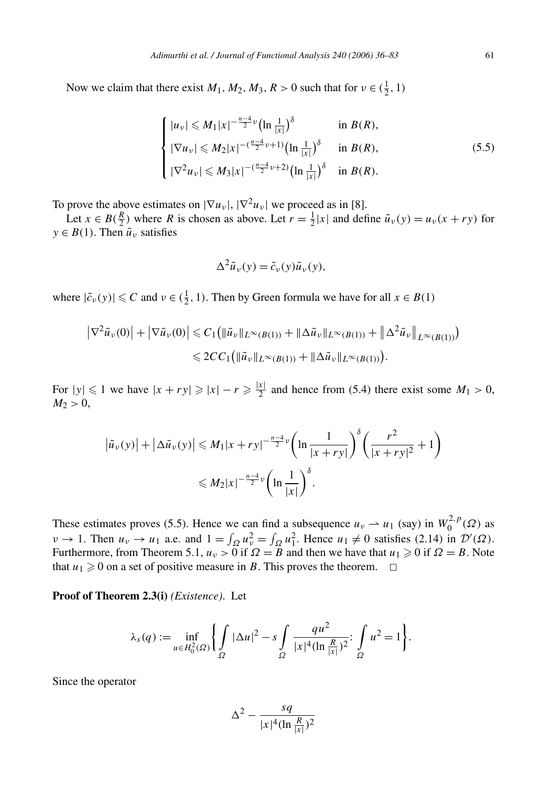Now we claim that there exist  $M_1, M_2, M_3, R > 0$  such that for  $v \in (\frac{1}{2}, 1)$ 

$$
\begin{cases} |u_{\nu}| \leqslant M_{1}|x|^{-\frac{n-4}{2}\nu}(\ln\frac{1}{|x|})^{\delta} & \text{in } B(R),\\ |\nabla u_{\nu}| \leqslant M_{2}|x|^{-(\frac{n-4}{2}\nu+1)}(\ln\frac{1}{|x|})^{\delta} & \text{in } B(R),\\ |\nabla^{2}u_{\nu}| \leqslant M_{3}|x|^{-(\frac{n-4}{2}\nu+2)}(\ln\frac{1}{|x|})^{\delta} & \text{in } B(R). \end{cases}
$$
(5.5)

To prove the above estimates on  $|\nabla u_{\nu}|$ ,  $|\nabla^2 u_{\nu}|$  we proceed as in [8].

Let  $x \in B(\frac{R}{2})$  where *R* is chosen as above. Let  $r = \frac{1}{2}|x|$  and define  $\tilde{u}_v(y) = u_v(x + ry)$  for  $y \in B(1)$ . Then  $\tilde{u}_y$  satisfies

$$
\Delta^2 \tilde{u}_{\nu}(y) = \tilde{c}_{\nu}(y)\tilde{u}_{\nu}(y),
$$

where  $|\tilde{c}_\nu(y)| \leq C$  and  $\nu \in (\frac{1}{2}, 1)$ . Then by Green formula we have for all  $x \in B(1)$ 

$$
\left|\nabla^2 \tilde{u}_{\nu}(0)\right| + \left|\nabla \tilde{u}_{\nu}(0)\right| \leq C_1 \left(\|\tilde{u}_{\nu}\|_{L^{\infty}(B(1))} + \|\Delta \tilde{u}_{\nu}\|_{L^{\infty}(B(1))} + \|\Delta^2 \tilde{u}_{\nu}\|_{L^{\infty}(B(1))}\right) \leq 2CC_1 \left(\|\tilde{u}_{\nu}\|_{L^{\infty}(B(1))} + \|\Delta \tilde{u}_{\nu}\|_{L^{\infty}(B(1))}\right).
$$

For  $|y| \le 1$  we have  $|x + ry| \ge |x| - r \ge \frac{|x|}{2}$  and hence from (5.4) there exist some  $M_1 > 0$ ,  $M_2 > 0$ ,

$$
\left| \tilde{u}_{\nu}(y) \right| + \left| \Delta \tilde{u}_{\nu}(y) \right| \leq M_1 |x + ry|^{-\frac{n-4}{2}\nu} \left( \ln \frac{1}{|x+ry|} \right)^{\delta} \left( \frac{r^2}{|x+ry|^2} + 1 \right)
$$
  

$$
\leq M_2 |x|^{-\frac{n-4}{2}\nu} \left( \ln \frac{1}{|x|} \right)^{\delta}.
$$

These estimates proves (5.5). Hence we can find a subsequence  $u_v \rightharpoonup u_1$  (say) in  $W_0^{2,p}(\Omega)$  as  $\nu \rightarrow 1$ . Then  $u_{\nu} \rightarrow u_1$  a.e. and  $1 = \int_{\Omega} u_{\nu}^2 = \int_{\Omega} u_1^2$ . Hence  $u_1 \neq 0$  satisfies (2.14) in  $\mathcal{D}'(\Omega)$ . Furthermore, from Theorem 5.1,  $u_v > 0$  if  $\Omega = B$  and then we have that  $u_1 \ge 0$  if  $\Omega = B$ . Note that  $u_1 \ge 0$  on a set of positive measure in *B*. This proves the theorem.  $\Box$ 

**Proof of Theorem 2.3(i)** *(Existence)*. Let

$$
\lambda_{s}(q) := \inf_{u \in H_{0}^{2}(\Omega)} \left\{ \int_{\Omega} |\Delta u|^{2} - s \int_{\Omega} \frac{q u^{2}}{|x|^{4} (\ln \frac{R}{|x|})^{2}} : \int_{\Omega} u^{2} = 1 \right\}.
$$

Since the operator

$$
\Delta^2 - \frac{sq}{|x|^4 (\ln \frac{R}{|x|})^2}
$$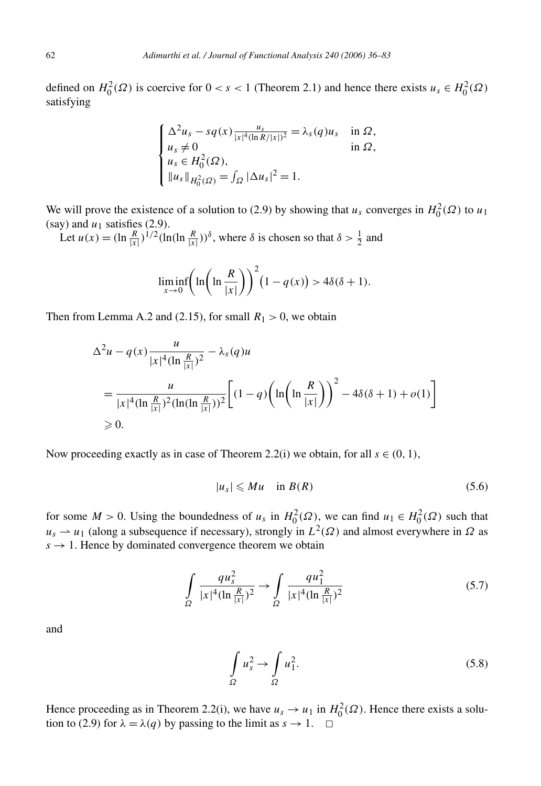defined on  $H_0^2(\Omega)$  is coercive for  $0 < s < 1$  (Theorem 2.1) and hence there exists  $u_s \in H_0^2(\Omega)$ satisfying

$$
\begin{cases}\n\Delta^2 u_s - s q(x) \frac{u_s}{|x|^4 (\ln R/|x|)^2} = \lambda_s(q) u_s & \text{in } \Omega, \\
u_s \neq 0 & \text{in } \Omega, \\
u_s \in H_0^2(\Omega), \\
\|u_s\|_{H_0^2(\Omega)} = \int_{\Omega} |\Delta u_s|^2 = 1.\n\end{cases}
$$

We will prove the existence of a solution to (2.9) by showing that  $u_s$  converges in  $H_0^2(\Omega)$  to  $u_1$ (say) and  $u_1$  satisfies (2.9).

Let  $u(x) = (\ln \frac{R}{|x|})^{1/2} (\ln(\ln \frac{R}{|x|}))^{\delta}$ , where  $\delta$  is chosen so that  $\delta > \frac{1}{2}$  and

$$
\liminf_{x \to 0} \left( \ln \left( \ln \frac{R}{|x|} \right) \right)^2 (1 - q(x)) > 4\delta(\delta + 1).
$$

Then from Lemma A.2 and (2.15), for small  $R_1 > 0$ , we obtain

$$
\Delta^{2}u - q(x)\frac{u}{|x|^{4}(\ln\frac{R}{|x|})^{2}} - \lambda_{s}(q)u
$$
  
= 
$$
\frac{u}{|x|^{4}(\ln\frac{R}{|x|})^{2}(\ln(\ln\frac{R}{|x|}))^{2}} \left[ (1-q)\left(\ln\left(\ln\frac{R}{|x|}\right)\right)^{2} - 4\delta(\delta+1) + o(1) \right]
$$
  
\ge 0.

Now proceeding exactly as in case of Theorem 2.2(i) we obtain, for all  $s \in (0, 1)$ ,

$$
|u_s| \leqslant Mu \quad \text{in } B(R) \tag{5.6}
$$

for some  $M > 0$ . Using the boundedness of  $u_s$  in  $H_0^2(\Omega)$ , we can find  $u_1 \in H_0^2(\Omega)$  such that  $u_s \rightharpoonup u_1$  (along a subsequence if necessary), strongly in  $L^2(\Omega)$  and almost everywhere in  $\Omega$  as  $s \rightarrow 1$ . Hence by dominated convergence theorem we obtain

$$
\int_{\Omega} \frac{qu_s^2}{|x|^4 (\ln \frac{R}{|x|})^2} \to \int_{\Omega} \frac{qu_1^2}{|x|^4 (\ln \frac{R}{|x|})^2}
$$
(5.7)

and

$$
\int_{\Omega} u_s^2 \to \int_{\Omega} u_1^2. \tag{5.8}
$$

Hence proceeding as in Theorem 2.2(i), we have  $u_s \to u_1$  in  $H_0^2(\Omega)$ . Hence there exists a solution to (2.9) for  $\lambda = \lambda(q)$  by passing to the limit as  $s \to 1$ .  $\Box$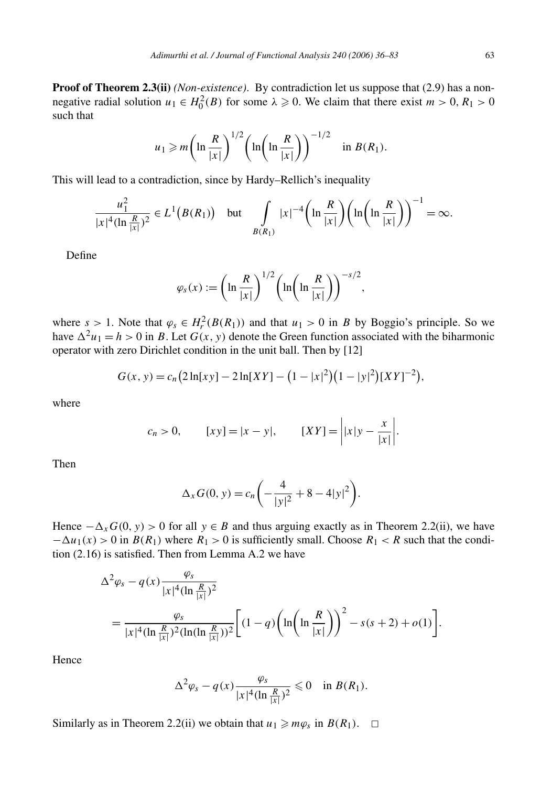**Proof of Theorem 2.3(ii)** *(Non-existence)*. By contradiction let us suppose that (2.9) has a nonnegative radial solution  $u_1 \in H_0^2(B)$  for some  $\lambda \ge 0$ . We claim that there exist  $m > 0$ ,  $R_1 > 0$ such that

$$
u_1 \geqslant m \bigg( \ln \frac{R}{|x|} \bigg)^{1/2} \bigg( \ln \bigg( \ln \frac{R}{|x|} \bigg) \bigg)^{-1/2} \quad \text{in } B(R_1).
$$

This will lead to a contradiction, since by Hardy–Rellich's inequality

$$
\frac{u_1^2}{|x|^4(\ln\frac{R}{|x|})^2}\in L^1(B(R_1))\quad\text{but}\quad\int\limits_{B(R_1)}|x|^{-4}\bigg(\ln\frac{R}{|x|}\bigg)\bigg(\ln\bigg(\ln\frac{R}{|x|}\bigg)\bigg)^{-1}=\infty.
$$

Define

$$
\varphi_s(x) := \left(\ln\frac{R}{|x|}\right)^{1/2} \left(\ln\left(\ln\frac{R}{|x|}\right)\right)^{-s/2},\,
$$

where  $s > 1$ . Note that  $\varphi_s \in H_r^2(B(R_1))$  and that  $u_1 > 0$  in *B* by Boggio's principle. So we have  $\Delta^2 u_1 = h > 0$  in *B*. Let  $G(x, y)$  denote the Green function associated with the biharmonic operator with zero Dirichlet condition in the unit ball. Then by [12]

$$
G(x, y) = c_n (2\ln[xy] - 2\ln[XY] - (1 - |x|^2)(1 - |y|^2)[XY]^{-2},
$$

where

$$
c_n > 0,
$$
  $[xy] = |x - y|,$   $[XY] = |x|y - \frac{x}{|x|}.$ 

Then

$$
\Delta_x G(0, y) = c_n \left( -\frac{4}{|y|^2} + 8 - 4|y|^2 \right).
$$

Hence  $-\Delta_x G(0, y) > 0$  for all  $y \in B$  and thus arguing exactly as in Theorem 2.2(ii), we have  $-\Delta u_1(x) > 0$  in  $B(R_1)$  where  $R_1 > 0$  is sufficiently small. Choose  $R_1 < R$  such that the condition (2.16) is satisfied. Then from Lemma A.2 we have

$$
\Delta^{2} \varphi_{s} - q(x) \frac{\varphi_{s}}{|x|^{4} (\ln \frac{R}{|x|})^{2}}
$$
  
= 
$$
\frac{\varphi_{s}}{|x|^{4} (\ln \frac{R}{|x|})^{2} (\ln(\ln \frac{R}{|x|}))^{2}} \Biggl[ (1-q) \Biggl( \ln \Biggl( \ln \frac{R}{|x|} \Biggr) \Biggr)^{2} - s(s+2) + o(1) \Biggr].
$$

Hence

$$
\Delta^2 \varphi_s - q(x) \frac{\varphi_s}{|x|^4 (\ln \frac{R}{|x|})^2} \leq 0 \quad \text{in } B(R_1).
$$

Similarly as in Theorem 2.2(ii) we obtain that  $u_1 \geq m\varphi_s$  in  $B(R_1)$ .  $\Box$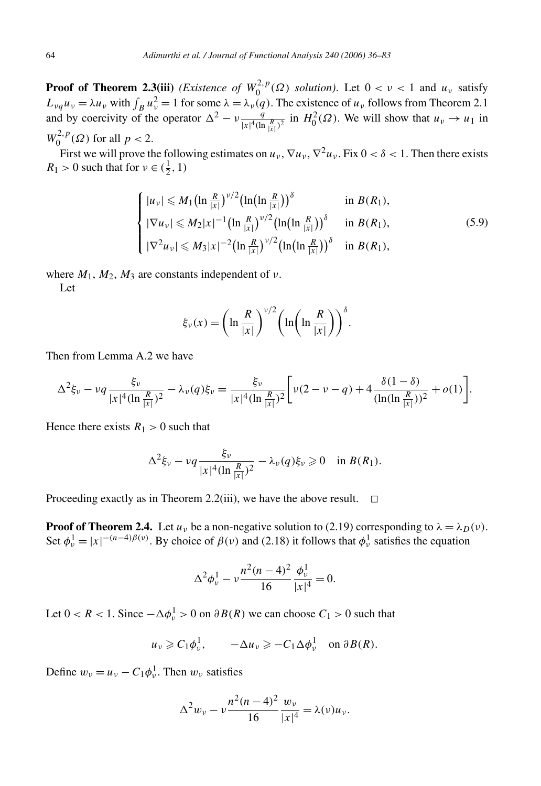**Proof of Theorem 2.3(iii)** *(Existence of*  $W_0^{2,p}(\Omega)$  *solution)*. Let  $0 < \nu < 1$  and  $u_{\nu}$  satisfy  $L_{\nu q} u_{\nu} = \lambda u_{\nu}$  with  $\int_B u_{\nu}^2 = 1$  for some  $\lambda = \lambda_{\nu}(q)$ . The existence of  $u_{\nu}$  follows from Theorem 2.1 and by coercivity of the operator  $\Delta^2 - v \frac{q}{|x|^4 (\ln \frac{R}{|x|^2})^2}$  in  $H_0^2(\Omega)$ . We will show that  $u_v \to u_1$  in *W*<sub>0</sub><sup>2</sup>,*p*</sup>( $\Omega$ ) for all *p* < 2.

First we will prove the following estimates on  $u_v$ ,  $\nabla u_v$ ,  $\nabla^2 u_v$ . Fix  $0 < \delta < 1$ . Then there exists  $R_1 > 0$  such that for  $v \in (\frac{1}{2}, 1)$ 

$$
\begin{cases}\n|u_{\nu}| \leq M_{1} \left(\ln \frac{R}{|x|}\right)^{\nu/2} \left(\ln\left(\ln \frac{R}{|x|}\right)\right)^{\delta} & \text{in } B(R_{1}), \\
|\nabla u_{\nu}| \leq M_{2}|x|^{-1} \left(\ln \frac{R}{|x|}\right)^{\nu/2} \left(\ln\left(\ln \frac{R}{|x|}\right)\right)^{\delta} & \text{in } B(R_{1}), \\
|\nabla^{2} u_{\nu}| \leq M_{3}|x|^{-2} \left(\ln \frac{R}{|x|}\right)^{\nu/2} \left(\ln\left(\ln \frac{R}{|x|}\right)\right)^{\delta} & \text{in } B(R_{1}),\n\end{cases}
$$
\n(5.9)

where  $M_1$ ,  $M_2$ ,  $M_3$  are constants independent of *ν*.

Let

$$
\xi_{\nu}(x) = \left(\ln\frac{R}{|x|}\right)^{\nu/2} \left(\ln\left(\ln\frac{R}{|x|}\right)\right)^{\delta}.
$$

Then from Lemma A.2 we have

$$
\Delta^{2}\xi_{\nu}-\nu q\frac{\xi_{\nu}}{|x|^{4}(\ln\frac{R}{|x|})^{2}}-\lambda_{\nu}(q)\xi_{\nu}=\frac{\xi_{\nu}}{|x|^{4}(\ln\frac{R}{|x|})^{2}}\bigg[\nu(2-\nu-q)+4\frac{\delta(1-\delta)}{(\ln(\ln\frac{R}{|x|}))^{2}}+o(1)\bigg].
$$

Hence there exists  $R_1 > 0$  such that

$$
\Delta^2 \xi_\nu - \nu q \frac{\xi_\nu}{|x|^4 (\ln \frac{R}{|x|})^2} - \lambda_\nu(q) \xi_\nu \geq 0 \quad \text{in } B(R_1).
$$

Proceeding exactly as in Theorem 2.2(iii), we have the above result.  $\Box$ 

**Proof of Theorem 2.4.** Let  $u_v$  be a non-negative solution to (2.19) corresponding to  $\lambda = \lambda_D(v)$ . Set  $\phi_v^1 = |x|^{-(n-4)\beta(v)}$ . By choice of  $\beta(v)$  and (2.18) it follows that  $\phi_v^1$  satisfies the equation

$$
\Delta^2 \phi_v^1 - v \frac{n^2(n-4)^2}{16} \frac{\phi_v^1}{|x|^4} = 0.
$$

Let  $0 < R < 1$ . Since  $-\Delta \phi_v^1 > 0$  on  $\partial B(R)$  we can choose  $C_1 > 0$  such that

$$
u_{\nu} \geqslant C_1 \phi_{\nu}^1
$$
,  $-\Delta u_{\nu} \geqslant -C_1 \Delta \phi_{\nu}^1$  on  $\partial B(R)$ .

Define  $w_v = u_v - C_1 \phi_v^1$ . Then  $w_v$  satisfies

$$
\Delta^{2}w_{\nu} - \nu \frac{n^{2}(n-4)^{2}}{16} \frac{w_{\nu}}{|x|^{4}} = \lambda(\nu)u_{\nu}.
$$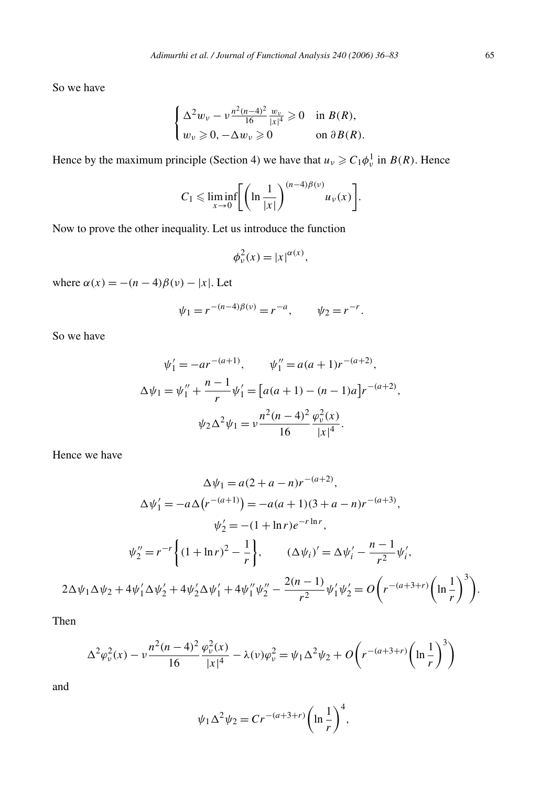So we have

$$
\begin{cases} \Delta^2 w_{\nu} - \nu \frac{n^2(n-4)^2}{16} \frac{w_{\nu}}{|x|^4} \geq 0 & \text{in } B(R), \\ w_{\nu} \geq 0, -\Delta w_{\nu} \geq 0 & \text{on } \partial B(R). \end{cases}
$$

Hence by the maximum principle (Section 4) we have that  $u_v \geq C_1 \phi_v^1$  in  $B(R)$ . Hence

$$
C_1 \leqslant \liminf_{x \to 0} \Biggl[ \biggl( \ln \frac{1}{|x|} \biggr)^{(n-4)\beta(\nu)} u_{\nu}(x) \Biggr].
$$

Now to prove the other inequality. Let us introduce the function

$$
\phi_v^2(x) = |x|^{\alpha(x)},
$$

where  $\alpha(x) = -(n-4)\beta(\nu) - |x|$ . Let

$$
\psi_1 = r^{-(n-4)\beta(\nu)} = r^{-a}, \qquad \psi_2 = r^{-r}.
$$

So we have

$$
\psi_1' = -ar^{-(a+1)}, \qquad \psi_1'' = a(a+1)r^{-(a+2)},
$$
  
\n
$$
\Delta \psi_1 = \psi_1'' + \frac{n-1}{r} \psi_1' = [a(a+1) - (n-1)a]r^{-(a+2)},
$$
  
\n
$$
\psi_2 \Delta^2 \psi_1 = v \frac{n^2(n-4)^2}{16} \frac{\varphi_v^2(x)}{|x|^4}.
$$

Hence we have

$$
\Delta \psi_1 = a(2 + a - n)r^{-(a+2)},
$$
  
\n
$$
\Delta \psi'_1 = -a\Delta (r^{-(a+1)}) = -a(a+1)(3 + a - n)r^{-(a+3)},
$$
  
\n
$$
\psi'_2 = -(1 + \ln r)e^{-r \ln r},
$$
  
\n
$$
\psi''_2 = r^{-r} \left\{ (1 + \ln r)^2 - \frac{1}{r} \right\}, \qquad (\Delta \psi_i)' = \Delta \psi'_i - \frac{n-1}{r^2} \psi'_i,
$$
  
\n
$$
2\Delta \psi_1 \Delta \psi_2 + 4\psi'_1 \Delta \psi'_2 + 4\psi'_2 \Delta \psi'_1 + 4\psi''_1 \psi''_2 - \frac{2(n-1)}{r^2} \psi'_1 \psi'_2 = O\left(r^{-(a+3+r)} \left(\ln \frac{1}{r}\right)^3\right).
$$

Then

$$
\Delta^2 \varphi_v^2(x) - v \frac{n^2(n-4)^2}{16} \frac{\varphi_v^2(x)}{|x|^4} - \lambda(v)\varphi_v^2 = \psi_1 \Delta^2 \psi_2 + O\left(r^{-(a+3+r)} \left(\ln \frac{1}{r}\right)^3\right)
$$

and

$$
\psi_1 \Delta^2 \psi_2 = Cr^{-(a+3+r)} \left( \ln \frac{1}{r} \right)^4,
$$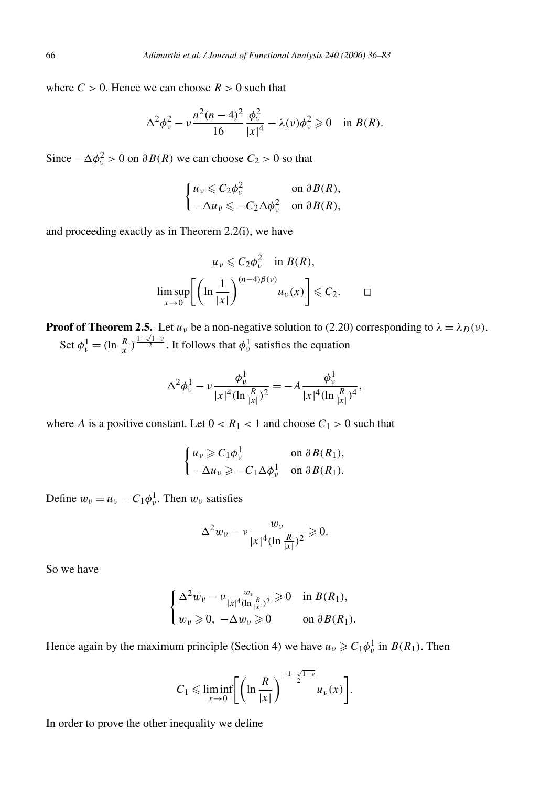where  $C > 0$ . Hence we can choose  $R > 0$  such that

$$
\Delta^2 \phi_\nu^2 - \nu \frac{n^2(n-4)^2}{16} \frac{\phi_\nu^2}{|x|^4} - \lambda(\nu) \phi_\nu^2 \geq 0 \quad \text{in } B(R).
$$

Since  $-\Delta\phi_v^2 > 0$  on  $\partial B(R)$  we can choose  $C_2 > 0$  so that

$$
\begin{cases} u_{\nu} \leqslant C_2 \phi_{\nu}^2 & \text{on } \partial B(R), \\ -\Delta u_{\nu} \leqslant -C_2 \Delta \phi_{\nu}^2 & \text{on } \partial B(R), \end{cases}
$$

and proceeding exactly as in Theorem 2.2(i), we have

$$
u_{\nu} \leqslant C_2 \phi_{\nu}^2 \quad \text{in } B(R),
$$
  

$$
\limsup_{x \to 0} \left[ \left( \ln \frac{1}{|x|} \right)^{(n-4)\beta(\nu)} u_{\nu}(x) \right] \leqslant C_2.
$$

**Proof of Theorem 2.5.** Let  $u<sub>v</sub>$  be a non-negative solution to (2.20) corresponding to  $\lambda = \lambda_D(v)$ . Set  $\phi_v^1 = (\ln \frac{R}{|x|})^{\frac{1-\sqrt{1-v}}{2}}$ . It follows that  $\phi_v^1$  satisfies the equation

$$
\Delta^2 \phi_{\nu}^1 - \nu \frac{\phi_{\nu}^1}{|x|^4 (\ln \frac{R}{|x|})^2} = -A \frac{\phi_{\nu}^1}{|x|^4 (\ln \frac{R}{|x|})^4},
$$

where *A* is a positive constant. Let  $0 < R_1 < 1$  and choose  $C_1 > 0$  such that

$$
\begin{cases} u_{\nu} \geqslant C_1 \phi_{\nu}^1 & \text{on } \partial B(R_1), \\ -\Delta u_{\nu} \geqslant -C_1 \Delta \phi_{\nu}^1 & \text{on } \partial B(R_1). \end{cases}
$$

Define  $w_v = u_v - C_1 \phi_v^1$ . Then  $w_v$  satisfies

$$
\Delta^{2}w_{\nu} - \nu \frac{w_{\nu}}{|x|^{4}(\ln \frac{R}{|x|})^{2}} \geq 0.
$$

So we have

$$
\begin{cases} \Delta^2 w_{\nu} - \nu \frac{w_{\nu}}{|x|^4 (\ln \frac{R}{|x|})^2} \geqslant 0 & \text{in } B(R_1), \\ w_{\nu} \geqslant 0, -\Delta w_{\nu} \geqslant 0 & \text{on } \partial B(R_1). \end{cases}
$$

Hence again by the maximum principle (Section 4) we have  $u_v \geq C_1 \phi_v^1$  in  $B(R_1)$ . Then

$$
C_1 \leqslant \liminf_{x \to 0} \Biggl[ \biggl( \ln \frac{R}{|x|} \biggr)^{\frac{-1+\sqrt{1-\nu}}{2}} u_{\nu}(x) \Biggr].
$$

In order to prove the other inequality we define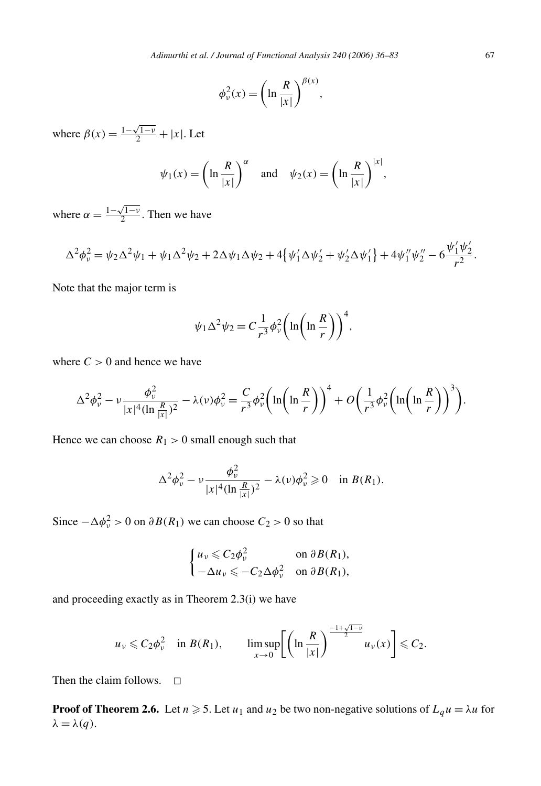$$
\phi_{\nu}^{2}(x) = \left(\ln\frac{R}{|x|}\right)^{\beta(x)},
$$

where  $\beta(x) = \frac{1 - \sqrt{1 - v}}{2} + |x|$ . Let

$$
\psi_1(x) = \left(\ln \frac{R}{|x|}\right)^{\alpha}
$$
 and  $\psi_2(x) = \left(\ln \frac{R}{|x|}\right)^{|x|},$ 

where  $\alpha = \frac{1 - \sqrt{1 - v}}{2}$ . Then we have

$$
\Delta^2 \phi_\nu^2 = \psi_2 \Delta^2 \psi_1 + \psi_1 \Delta^2 \psi_2 + 2 \Delta \psi_1 \Delta \psi_2 + 4 \{\psi_1' \Delta \psi_2' + \psi_2' \Delta \psi_1'\} + 4 \psi_1'' \psi_2'' - 6 \frac{\psi_1' \psi_2'}{r^2}.
$$

Note that the major term is

$$
\psi_1 \Delta^2 \psi_2 = C \frac{1}{r^3} \phi_v^2 \left( \ln \left( \ln \frac{R}{r} \right) \right)^4,
$$

where  $C > 0$  and hence we have

$$
\Delta^{2} \phi_{\nu}^{2} - \nu \frac{\phi_{\nu}^{2}}{|x|^{4} (\ln \frac{R}{|x|})^{2}} - \lambda(\nu) \phi_{\nu}^{2} = \frac{C}{r^{3}} \phi_{\nu}^{2} \left( \ln \left( \ln \frac{R}{r} \right) \right)^{4} + O \left( \frac{1}{r^{3}} \phi_{\nu}^{2} \left( \ln \left( \ln \frac{R}{r} \right) \right)^{3} \right).
$$

Hence we can choose  $R_1 > 0$  small enough such that

$$
\Delta^2 \phi_\nu^2 - \nu \frac{\phi_\nu^2}{|x|^4 (\ln \frac{R}{|x|})^2} - \lambda(\nu) \phi_\nu^2 \geq 0 \quad \text{in } B(R_1).
$$

Since  $-\Delta\phi_v^2 > 0$  on  $\partial B(R_1)$  we can choose  $C_2 > 0$  so that

$$
\begin{cases} u_{\nu} \leqslant C_2 \phi_{\nu}^2 & \text{on } \partial B(R_1), \\ -\Delta u_{\nu} \leqslant -C_2 \Delta \phi_{\nu}^2 & \text{on } \partial B(R_1), \end{cases}
$$

and proceeding exactly as in Theorem 2.3(i) we have

$$
u_{\nu} \leqslant C_2 \phi_{\nu}^2 \quad \text{in } B(R_1), \qquad \limsup_{x \to 0} \left[ \left( \ln \frac{R}{|x|} \right)^{\frac{-1+\sqrt{1-\nu}}{2}} u_{\nu}(x) \right] \leqslant C_2.
$$

Then the claim follows.  $\square$ 

**Proof of Theorem 2.6.** Let  $n \ge 5$ . Let  $u_1$  and  $u_2$  be two non-negative solutions of  $L_q u = \lambda u$  for  $λ = λ(q)$ .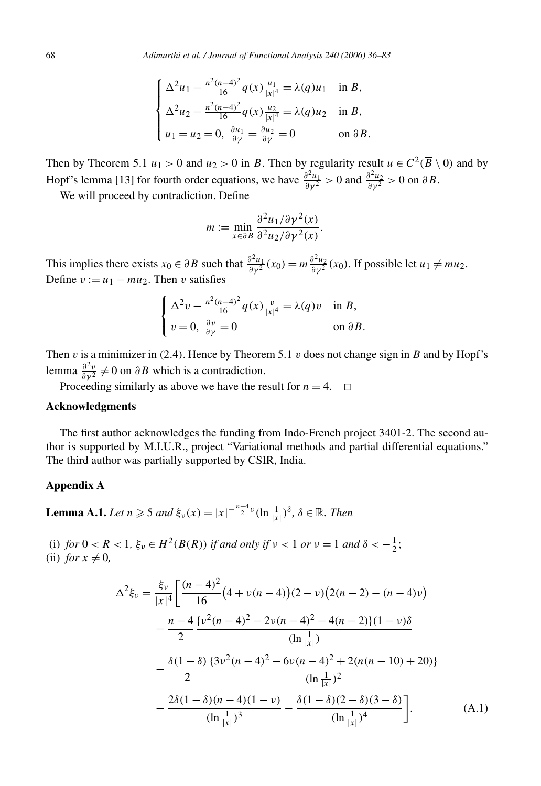$$
\begin{cases} \Delta^2 u_1 - \frac{n^2(n-4)^2}{16} q(x) \frac{u_1}{|x|^4} = \lambda(q) u_1 & \text{in } B, \\ \Delta^2 u_2 - \frac{n^2(n-4)^2}{16} q(x) \frac{u_2}{|x|^4} = \lambda(q) u_2 & \text{in } B, \\ u_1 = u_2 = 0, \ \frac{\partial u_1}{\partial \gamma} = \frac{\partial u_2}{\partial \gamma} = 0 & \text{on } \partial B. \end{cases}
$$

Then by Theorem 5.1 *u*<sub>1</sub> > 0 and *u*<sub>2</sub> > 0 in *B*. Then by regularity result *u*  $\in C^2(\overline{B} \setminus 0)$  and by Hopf's lemma [13] for fourth order equations, we have  $\frac{\partial^2 u_1}{\partial y^2} > 0$  and  $\frac{\partial^2 u_2}{\partial y^2} > 0$  on  $\partial B$ .

We will proceed by contradiction. Define

$$
m := \min_{x \in \partial B} \frac{\partial^2 u_1 / \partial \gamma^2(x)}{\partial^2 u_2 / \partial \gamma^2(x)}.
$$

This implies there exists  $x_0 \in \partial B$  such that  $\frac{\partial^2 u_1}{\partial y^2}(x_0) = m \frac{\partial^2 u_2}{\partial y^2}(x_0)$ . If possible let  $u_1 \neq mu_2$ . Define  $v := u_1 - mu_2$ . Then *v* satisfies

$$
\begin{cases} \Delta^2 v - \frac{n^2(n-4)^2}{16} q(x) \frac{v}{|x|^4} = \lambda(q) v & \text{in } B, \\ v = 0, \ \frac{\partial v}{\partial \gamma} = 0 & \text{on } \partial B. \end{cases}
$$

Then  $v$  is a minimizer in (2.4). Hence by Theorem 5.1  $v$  does not change sign in  $B$  and by Hopf's lemma  $\frac{\partial^2 v}{\partial y^2} \neq 0$  on  $\partial B$  which is a contradiction.

Proceeding similarly as above we have the result for  $n = 4$ .  $\Box$ 

#### **Acknowledgments**

The first author acknowledges the funding from Indo-French project 3401-2. The second author is supported by M.I.U.R., project "Variational methods and partial differential equations." The third author was partially supported by CSIR, India.

### **Appendix A**

**Lemma A.1.** *Let*  $n \ge 5$  *and*  $\xi_v(x) = |x|^{-\frac{n-4}{2}v} (\ln \frac{1}{|x|})^{\delta}, \delta \in \mathbb{R}$ *. Then* 

(i) *for*  $0 < R < 1$ ,  $\xi_{\nu} \in H^2(B(R))$  *if and only if*  $\nu < 1$  *or*  $\nu = 1$  *and*  $\delta < -\frac{1}{2}$ ; (ii) *for*  $x \neq 0$ ,

$$
\Delta^{2}\xi_{\nu} = \frac{\xi_{\nu}}{|x|^{4}} \left[ \frac{(n-4)^{2}}{16} \left( 4 + \nu(n-4) \right) (2 - \nu) \left( 2(n-2) - (n-4)\nu \right) \right.
$$
  
\n
$$
- \frac{n-4}{2} \frac{\{\nu^{2}(n-4)^{2} - 2\nu(n-4)^{2} - 4(n-2)\} (1 - \nu)\delta}{(\ln \frac{1}{|x|})}
$$
  
\n
$$
- \frac{\delta(1-\delta)}{2} \frac{\{3\nu^{2}(n-4)^{2} - 6\nu(n-4)^{2} + 2(n(n-10) + 20)\}}{(\ln \frac{1}{|x|})^{2}}
$$
  
\n
$$
- \frac{2\delta(1-\delta)(n-4)(1-\nu)}{(\ln \frac{1}{|x|})^{3}} - \frac{\delta(1-\delta)(2-\delta)(3-\delta)}{(\ln \frac{1}{|x|})^{4}} \right].
$$
 (A.1)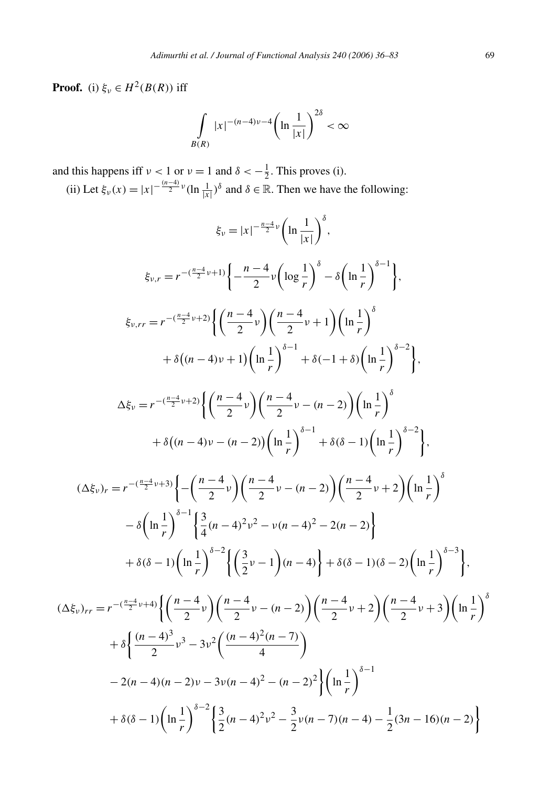**Proof.** (i)  $\xi_v \in H^2(B(R))$  iff

$$
\int\limits_{B(R)} |x|^{-(n-4)\nu - 4} \left(\ln \frac{1}{|x|}\right)^{2\delta} < \infty
$$

and this happens iff  $\nu < 1$  or  $\nu = 1$  and  $\delta < -\frac{1}{2}$ . This proves (i).

(ii) Let  $\xi_{\nu}(x) = |x|^{-\frac{(n-4)}{2}\nu} (\ln \frac{1}{|x|})^{\delta}$  and  $\delta \in \mathbb{R}$ . Then we have the following:

$$
\xi_{\nu} = |x|^{-\frac{n-4}{2}\nu} \left( \ln \frac{1}{|x|} \right)^{\delta},
$$
\n
$$
\xi_{\nu,r} = r^{-(\frac{n-4}{2}\nu+1)} \left\{ -\frac{n-4}{2}\nu \left( \log \frac{1}{r} \right)^{\delta} - \delta \left( \ln \frac{1}{r} \right)^{\delta-1} \right\},
$$
\n
$$
\xi_{\nu,rr} = r^{-(\frac{n-4}{2}\nu+2)} \left\{ \left( \frac{n-4}{2}\nu \right) \left( \frac{n-4}{2}\nu + 1 \right) \left( \ln \frac{1}{r} \right)^{\delta} \right\}.
$$
\n
$$
\Delta \xi_{\nu} = r^{-(\frac{n-4}{2}\nu+2)} \left\{ \left( \frac{n-4}{2}\nu \right) \left( \frac{n-4}{2}\nu - (n-2) \right) \left( \ln \frac{1}{r} \right)^{\delta-2} \right\},
$$
\n
$$
\Delta \xi_{\nu} = r^{-(\frac{n-4}{2}\nu+2)} \left\{ \left( \frac{n-4}{2}\nu \right) \left( \frac{n-4}{2}\nu - (n-2) \right) \left( \ln \frac{1}{r} \right)^{\delta} \right\}.
$$
\n
$$
(\Delta \xi_{\nu})_r = r^{-(\frac{n-4}{2}\nu+3)} \left\{ - \left( \frac{n-4}{2}\nu \right) \left( \frac{n-4}{2}\nu - (n-2) \right) \left( \ln \frac{1}{r} \right)^{\delta-2} \right\},
$$
\n
$$
(\Delta \xi_{\nu})_r = r^{-(\frac{n-4}{2}\nu+3)} \left\{ - \left( \frac{n-4}{2}\nu \right) \left( \frac{n-4}{2}\nu - (n-2) \right) \left( \frac{n-4}{2}\nu + 2 \right) \left( \ln \frac{1}{r} \right)^{\delta} \right.
$$
\n
$$
-\delta \left( \ln \frac{1}{r} \right)^{\delta-1} \left\{ \frac{3}{4}(n-4)^2\nu^2 - \nu(n-4)^2 - 2(n-2) \right\} \right.
$$
\n
$$
+\delta(\delta-1) \left( \ln \frac{1}{r} \right)^{\delta-2} \left\{ \left( \frac{3}{2}\nu - 1
$$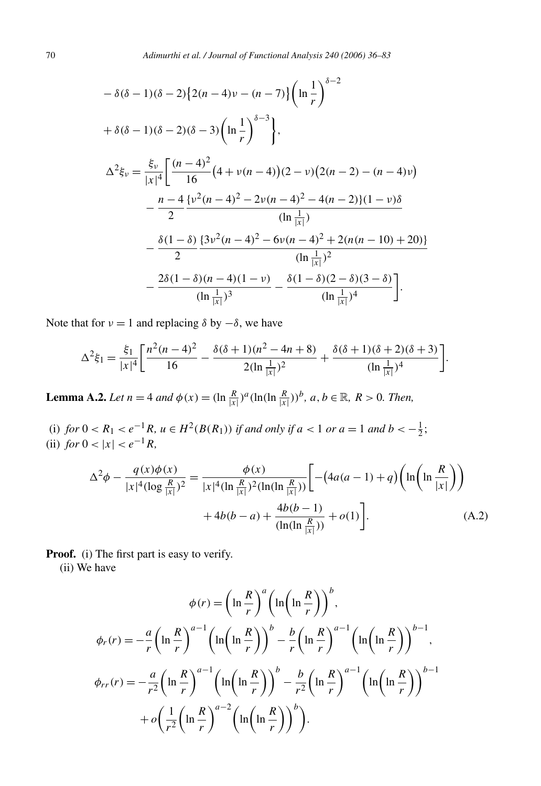$$
-\delta(\delta - 1)(\delta - 2)\left\{2(n - 4)v - (n - 7)\right\}\left(\ln\frac{1}{r}\right)^{\delta - 2}
$$
  
+  $\delta(\delta - 1)(\delta - 2)(\delta - 3)\left(\ln\frac{1}{r}\right)^{\delta - 3}$ ,  

$$
\Delta^2 \xi_v = \frac{\xi_v}{|x|^4} \left[\frac{(n - 4)^2}{16}(4 + v(n - 4))(2 - v)(2(n - 2) - (n - 4)v)\right]
$$
  

$$
-\frac{n - 4}{2} \frac{\{v^2(n - 4)^2 - 2v(n - 4)^2 - 4(n - 2)\}(1 - v)\delta}{(\ln\frac{1}{|x|})}
$$
  

$$
-\frac{\delta(1 - \delta)}{2} \frac{\{3v^2(n - 4)^2 - 6v(n - 4)^2 + 2(n(n - 10) + 20)\}}{(\ln\frac{1}{|x|})^2}
$$
  

$$
-\frac{2\delta(1 - \delta)(n - 4)(1 - v)}{(\ln\frac{1}{|x|})^3} - \frac{\delta(1 - \delta)(2 - \delta)(3 - \delta)}{(\ln\frac{1}{|x|})^4}.
$$

Note that for  $v = 1$  and replacing  $\delta$  by  $-\delta$ , we have

$$
\Delta^2 \xi_1 = \frac{\xi_1}{|x|^4} \left[ \frac{n^2(n-4)^2}{16} - \frac{\delta(\delta+1)(n^2-4n+8)}{2(\ln \frac{1}{|x|})^2} + \frac{\delta(\delta+1)(\delta+2)(\delta+3)}{(\ln \frac{1}{|x|})^4} \right].
$$

**Lemma A.2.** *Let*  $n = 4$  *and*  $\phi(x) = (\ln \frac{R}{|x|})^a (\ln(\ln \frac{R}{|x|}))^b$ ,  $a, b \in \mathbb{R}$ ,  $R > 0$ . *Then,* 

(i) *for*  $0 < R_1 < e^{-1}R$ *,*  $u \in H^2(B(R_1))$  *if and only if*  $a < 1$  *or*  $a = 1$  *and*  $b < -\frac{1}{2}$ ; (ii) *for*  $0 < |x| < e^{-1}R$ ,

$$
\Delta^{2}\phi - \frac{q(x)\phi(x)}{|x|^{4}(\log\frac{R}{|x|})^{2}} = \frac{\phi(x)}{|x|^{4}(\ln\frac{R}{|x|})^{2}(\ln(\ln\frac{R}{|x|}))} \left[ -(4a(a-1) + q)\left(\ln\left(\ln\frac{R}{|x|}\right) \right) + 4b(b-a) + \frac{4b(b-1)}{(\ln(\ln\frac{R}{|x|}))} + o(1) \right].
$$
\n(A.2)

**Proof.** (i) The first part is easy to verify.

(ii) We have

$$
\phi(r) = \left(\ln \frac{R}{r}\right)^a \left(\ln\left(\ln \frac{R}{r}\right)\right)^b,
$$
  

$$
\phi_r(r) = -\frac{a}{r} \left(\ln \frac{R}{r}\right)^{a-1} \left(\ln\left(\ln \frac{R}{r}\right)\right)^b - \frac{b}{r} \left(\ln \frac{R}{r}\right)^{a-1} \left(\ln\left(\ln \frac{R}{r}\right)\right)^{b-1},
$$
  

$$
\phi_{rr}(r) = -\frac{a}{r^2} \left(\ln \frac{R}{r}\right)^{a-1} \left(\ln\left(\ln \frac{R}{r}\right)\right)^b - \frac{b}{r^2} \left(\ln \frac{R}{r}\right)^{a-1} \left(\ln\left(\ln \frac{R}{r}\right)\right)^{b-1} + o\left(\frac{1}{r^2} \left(\ln \frac{R}{r}\right)^{a-2} \left(\ln\left(\ln \frac{R}{r}\right)\right)^b\right).
$$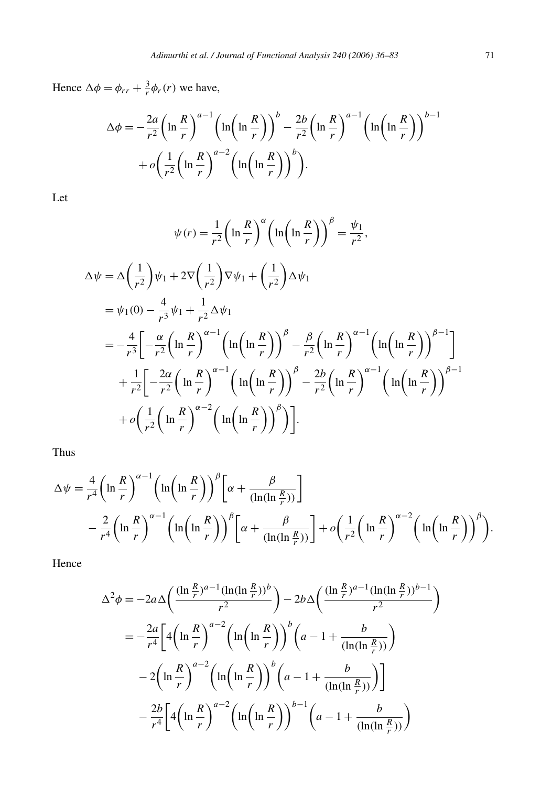Hence  $\Delta \phi = \phi_{rr} + \frac{3}{r} \phi_r(r)$  we have,

$$
\Delta \phi = -\frac{2a}{r^2} \left( \ln \frac{R}{r} \right)^{a-1} \left( \ln \left( \ln \frac{R}{r} \right) \right)^b - \frac{2b}{r^2} \left( \ln \frac{R}{r} \right)^{a-1} \left( \ln \left( \ln \frac{R}{r} \right) \right)^{b-1} + o \left( \frac{1}{r^2} \left( \ln \frac{R}{r} \right)^{a-2} \left( \ln \left( \ln \frac{R}{r} \right) \right)^b \right).
$$

Let

$$
\psi(r) = \frac{1}{r^2} \left( \ln \frac{R}{r} \right)^{\alpha} \left( \ln \left( \ln \frac{R}{r} \right) \right)^{\beta} = \frac{\psi_1}{r^2},
$$
  
\n
$$
\Delta \psi = \Delta \left( \frac{1}{r^2} \right) \psi_1 + 2 \nabla \left( \frac{1}{r^2} \right) \nabla \psi_1 + \left( \frac{1}{r^2} \right) \Delta \psi_1
$$
  
\n
$$
= \psi_1(0) - \frac{4}{r^3} \psi_1 + \frac{1}{r^2} \Delta \psi_1
$$
  
\n
$$
= -\frac{4}{r^3} \left[ -\frac{\alpha}{r^2} \left( \ln \frac{R}{r} \right)^{\alpha - 1} \left( \ln \left( \ln \frac{R}{r} \right) \right)^{\beta} - \frac{\beta}{r^2} \left( \ln \frac{R}{r} \right)^{\alpha - 1} \left( \ln \left( \ln \frac{R}{r} \right) \right)^{\beta - 1} \right]
$$
  
\n
$$
+ \frac{1}{r^2} \left[ -\frac{2\alpha}{r^2} \left( \ln \frac{R}{r} \right)^{\alpha - 1} \left( \ln \left( \ln \frac{R}{r} \right) \right)^{\beta} - \frac{2b}{r^2} \left( \ln \frac{R}{r} \right)^{\alpha - 1} \left( \ln \left( \ln \frac{R}{r} \right) \right)^{\beta - 1} \right]
$$
  
\n
$$
+ o \left( \frac{1}{r^2} \left( \ln \frac{R}{r} \right)^{\alpha - 2} \left( \ln \left( \ln \frac{R}{r} \right) \right)^{\beta} \right).
$$

Thus

$$
\Delta \psi = \frac{4}{r^4} \left( \ln \frac{R}{r} \right)^{\alpha - 1} \left( \ln \left( \ln \frac{R}{r} \right) \right)^{\beta} \left[ \alpha + \frac{\beta}{(\ln(\ln \frac{R}{r}))} \right]
$$
  
 
$$
- \frac{2}{r^4} \left( \ln \frac{R}{r} \right)^{\alpha - 1} \left( \ln \left( \ln \frac{R}{r} \right) \right)^{\beta} \left[ \alpha + \frac{\beta}{(\ln(\ln \frac{R}{r}))} \right] + o \left( \frac{1}{r^2} \left( \ln \frac{R}{r} \right)^{\alpha - 2} \left( \ln \left( \ln \frac{R}{r} \right) \right)^{\beta} \right).
$$

Hence

$$
\Delta^2 \phi = -2a \Delta \left( \frac{(\ln \frac{R}{r})^{a-1} (\ln(\ln \frac{R}{r}))^b}{r^2} \right) - 2b \Delta \left( \frac{(\ln \frac{R}{r})^{a-1} (\ln(\ln \frac{R}{r}))^{b-1}}{r^2} \right)
$$

$$
= -\frac{2a}{r^4} \left[ 4 \left( \ln \frac{R}{r} \right)^{a-2} \left( \ln \left( \ln \frac{R}{r} \right) \right)^b \left( a - 1 + \frac{b}{(\ln(\ln \frac{R}{r}))} \right)
$$

$$
- 2 \left( \ln \frac{R}{r} \right)^{a-2} \left( \ln \left( \ln \frac{R}{r} \right) \right)^b \left( a - 1 + \frac{b}{(\ln(\ln \frac{R}{r}))} \right)
$$

$$
- \frac{2b}{r^4} \left[ 4 \left( \ln \frac{R}{r} \right)^{a-2} \left( \ln \left( \ln \frac{R}{r} \right) \right)^{b-1} \left( a - 1 + \frac{b}{(\ln(\ln \frac{R}{r}))} \right) \right]
$$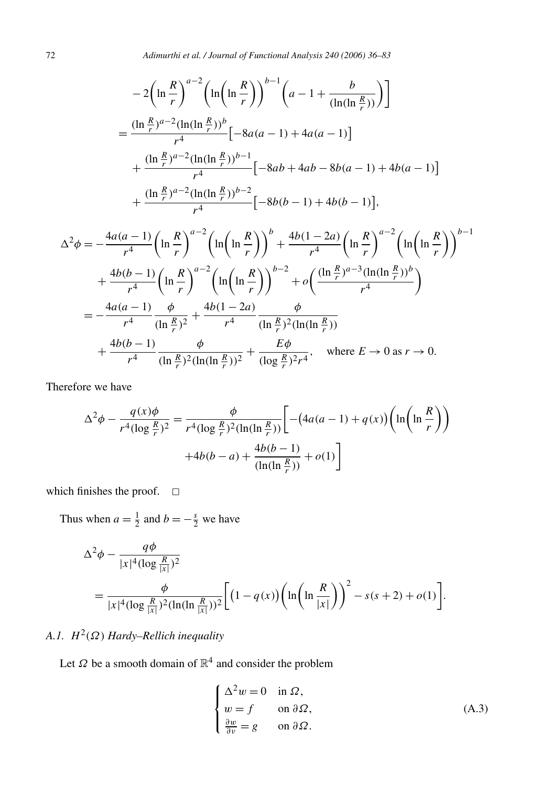$$
-2\left(\ln\frac{R}{r}\right)^{a-2}\left(\ln\left(\ln\frac{R}{r}\right)\right)^{b-1}\left(a-1+\frac{b}{(\ln(\ln\frac{R}{r}))}\right)
$$
  
= 
$$
\frac{(\ln\frac{R}{r})^{a-2}(\ln(\ln\frac{R}{r}))^b}{r^4}\left[-8a(a-1)+4a(a-1)\right]
$$
  
+ 
$$
\frac{(\ln\frac{R}{r})^{a-2}(\ln(\ln\frac{R}{r}))^{b-1}}{r^4}\left[-8ab+4ab-8b(a-1)+4b(a-1)\right]
$$
  
+ 
$$
\frac{(\ln\frac{R}{r})^{a-2}(\ln(\ln\frac{R}{r}))^{b-2}}{r^4}\left[-8b(b-1)+4b(b-1)\right],
$$

$$
\Delta^{2}\phi = -\frac{4a(a-1)}{r^{4}} \left(\ln\frac{R}{r}\right)^{a-2} \left(\ln\left(\ln\frac{R}{r}\right)\right)^{b} + \frac{4b(1-2a)}{r^{4}} \left(\ln\frac{R}{r}\right)^{a-2} \left(\ln\left(\ln\frac{R}{r}\right)\right)^{b-1} \n+ \frac{4b(b-1)}{r^{4}} \left(\ln\frac{R}{r}\right)^{a-2} \left(\ln\left(\ln\frac{R}{r}\right)\right)^{b-2} + o\left(\frac{(\ln\frac{R}{r})^{a-3}(\ln(\ln\frac{R}{r}))^{b}}{r^{4}}\right) \n= -\frac{4a(a-1)}{r^{4}} \frac{\phi}{(\ln\frac{R}{r})^{2}} + \frac{4b(1-2a)}{r^{4}} \frac{\phi}{(\ln\frac{R}{r})^{2}(\ln(\ln\frac{R}{r}))} \n+ \frac{4b(b-1)}{r^{4}} \frac{\phi}{(\ln\frac{R}{r})^{2}(\ln(\ln\frac{R}{r}))^{2}} + \frac{E\phi}{(\log\frac{R}{r})^{2}r^{4}}, \text{ where } E \to 0 \text{ as } r \to 0.
$$

Therefore we have

$$
\Delta^2 \phi - \frac{q(x)\phi}{r^4 (\log \frac{R}{r})^2} = \frac{\phi}{r^4 (\log \frac{R}{r})^2 (\ln(\ln \frac{R}{r}))} \Bigg[ -(4a(a-1) + q(x)) \left( \ln \left( \ln \frac{R}{r} \right) \right) + 4b(b-a) + \frac{4b(b-1)}{(\ln(\ln \frac{R}{r}))} + o(1) \Bigg]
$$

which finishes the proof.  $\square$ 

Thus when  $a = \frac{1}{2}$  and  $b = -\frac{s}{2}$  we have

$$
\Delta^2 \phi - \frac{q\phi}{|x|^4 (\log \frac{R}{|x|})^2}
$$
  
= 
$$
\frac{\phi}{|x|^4 (\log \frac{R}{|x|})^2 (\ln(\ln \frac{R}{|x|}))^2} \Biggl[ (1 - q(x)) \left( \ln \left( \ln \frac{R}{|x|} \right) \right)^2 - s(s+2) + o(1) \Biggr].
$$

# *A.1. H*2*(Ω) Hardy–Rellich inequality*

Let  $\Omega$  be a smooth domain of  $\mathbb{R}^4$  and consider the problem

$$
\begin{cases}\n\Delta^2 w = 0 & \text{in } \Omega, \\
w = f & \text{on } \partial \Omega, \\
\frac{\partial w}{\partial \nu} = g & \text{on } \partial \Omega.\n\end{cases}
$$
\n(A.3)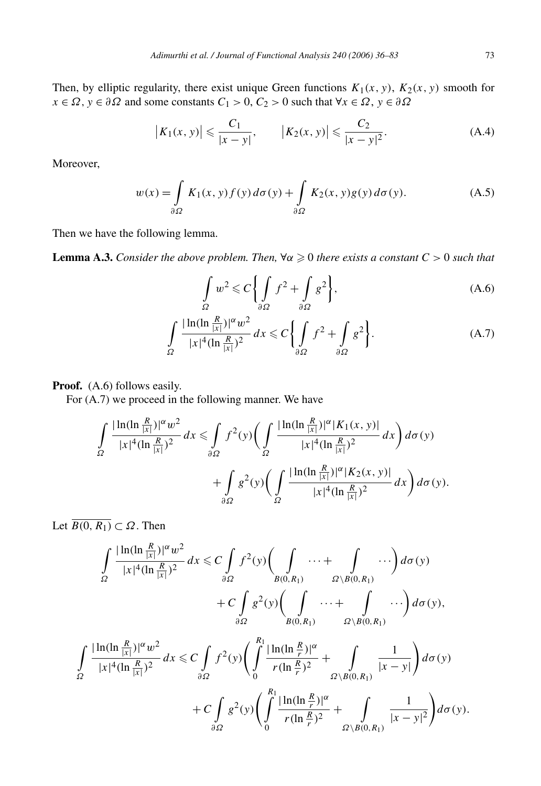Then, by elliptic regularity, there exist unique Green functions  $K_1(x, y)$ ,  $K_2(x, y)$  smooth for  $x \in \Omega$ ,  $y \in \partial \Omega$  and some constants  $C_1 > 0$ ,  $C_2 > 0$  such that  $\forall x \in \Omega$ ,  $y \in \partial \Omega$ 

$$
|K_1(x, y)| \leqslant \frac{C_1}{|x - y|}, \qquad |K_2(x, y)| \leqslant \frac{C_2}{|x - y|^2}.
$$
 (A.4)

Moreover,

$$
w(x) = \int_{\partial \Omega} K_1(x, y) f(y) d\sigma(y) + \int_{\partial \Omega} K_2(x, y) g(y) d\sigma(y).
$$
 (A.5)

Then we have the following lemma.

**Lemma A.3.** *Consider the above problem. Then,*  $\forall \alpha \ge 0$  *there exists a constant C* > 0 *such that* 

$$
\int_{\Omega} w^2 \leqslant C \bigg\{ \int_{\partial \Omega} f^2 + \int_{\partial \Omega} g^2 \bigg\},\tag{A.6}
$$

$$
\int_{\Omega} \frac{|\ln(\ln \frac{R}{|x|})|^{\alpha} w^2}{|x|^4 (\ln \frac{R}{|x|})^2} dx \leq C \left\{ \int_{\partial \Omega} f^2 + \int_{\partial \Omega} g^2 \right\}.
$$
 (A.7)

#### Proof. (A.6) follows easily.

For (A.7) we proceed in the following manner. We have

$$
\int_{\Omega} \frac{|\ln(\ln \frac{R}{|x|})|^{\alpha} w^2}{|x|^4 (\ln \frac{R}{|x|})^2} dx \leq \int_{\partial \Omega} f^2(y) \bigg( \int_{\Omega} \frac{|\ln(\ln \frac{R}{|x|})|^{\alpha} |K_1(x, y)|}{|x|^4 (\ln \frac{R}{|x|})^2} dx \bigg) d\sigma(y) + \int_{\partial \Omega} g^2(y) \bigg( \int_{\Omega} \frac{|\ln(\ln \frac{R}{|x|})|^{\alpha} |K_2(x, y)|}{|x|^4 (\ln \frac{R}{|x|})^2} dx \bigg) d\sigma(y).
$$

Let  $\overline{B(0, R_1)} \subset \Omega$ . Then

$$
\int_{\Omega} \frac{|\ln(\ln \frac{R}{|x|})|^{\alpha} w^2}{|x|^4 (\ln \frac{R}{|x|})^2} dx \leq C \int_{\partial \Omega} f^2(y) \left( \int_{B(0,R_1)} \cdots + \int_{\Omega \setminus B(0,R_1)} \cdots \right) d\sigma(y) + C \int_{\partial \Omega} g^2(y) \left( \int_{B(0,R_1)} \cdots + \int_{\Omega \setminus B(0,R_1)} \cdots \right) d\sigma(y),
$$

$$
\int_{\Omega} \frac{|\ln(\ln \frac{R}{|x|})|^{\alpha} w^2}{|x|^4 (\ln \frac{R}{|x|})^2} dx \leq C \int_{\partial \Omega} f^2(y) \left( \int_0^R \frac{|\ln(\ln \frac{R}{r})|^{\alpha}}{r (\ln \frac{R}{r})^2} + \int_{\Omega \setminus B(0, R_1)} \frac{1}{|x - y|} \right) d\sigma(y) + C \int_{\partial \Omega} g^2(y) \left( \int_0^R \frac{|\ln(\ln \frac{R}{r})|^{\alpha}}{r (\ln \frac{R}{r})^2} + \int_{\Omega \setminus B(0, R_1)} \frac{1}{|x - y|^2} \right) d\sigma(y).
$$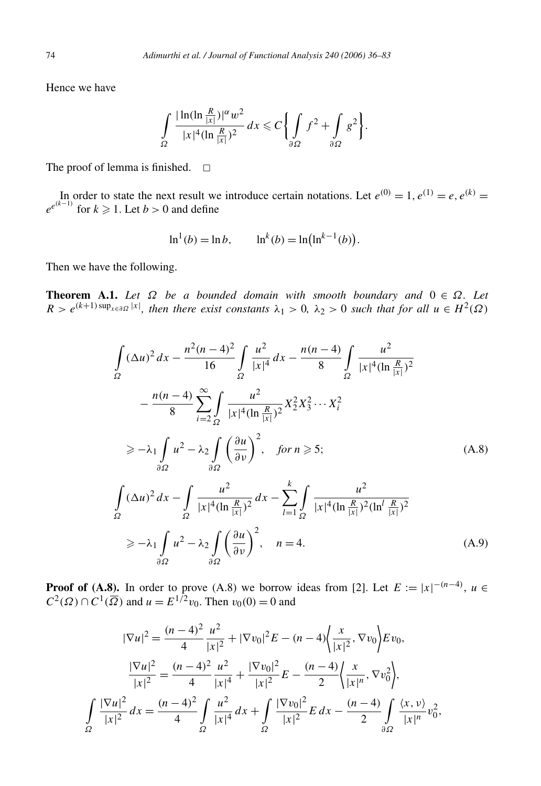Hence we have

$$
\int_{\Omega} \frac{|\ln(\ln \frac{R}{|x|})|^{\alpha} w^2}{|x|^4 (\ln \frac{R}{|x|})^2} dx \leqslant C \left\{ \int_{\partial \Omega} f^2 + \int_{\partial \Omega} g^2 \right\}.
$$

The proof of lemma is finished.  $\square$ 

In order to state the next result we introduce certain notations. Let  $e^{(0)} = 1, e^{(1)} = e, e^{(k)} = 1$  $e^{e^{(k-1)}}$  for  $k \ge 1$ . Let  $b > 0$  and define

$$
\ln^1(b) = \ln b
$$
,  $\ln^k(b) = \ln(\ln^{k-1}(b))$ .

Then we have the following.

**Theorem A.1.** Let  $\Omega$  be a bounded domain with smooth boundary and  $0 \in \Omega$ . Let  $R > e^{(k+1) \sup_{x \in \partial \Omega} |x|}$ , then there exist constants  $\lambda_1 > 0$ ,  $\lambda_2 > 0$  such that for all  $u \in H^2(\Omega)$ 

$$
\int_{\Omega} (\Delta u)^2 dx - \frac{n^2 (n-4)^2}{16} \int_{\Omega} \frac{u^2}{|x|^4} dx - \frac{n(n-4)}{8} \int_{\Omega} \frac{u^2}{|x|^4 (\ln \frac{R}{|x|})^2} \n- \frac{n(n-4)}{8} \sum_{i=2}^{\infty} \int_{\Omega} \frac{u^2}{|x|^4 (\ln \frac{R}{|x|})^2} x_2^2 x_3^2 \cdots x_i^2 \n\ge -\lambda_1 \int_{\partial \Omega} u^2 - \lambda_2 \int_{\partial \Omega} \left(\frac{\partial u}{\partial \nu}\right)^2, \quad \text{for } n \ge 5; \n\int_{\Omega} (\Delta u)^2 dx - \int_{\Omega} \frac{u^2}{|x|^4 (\ln \frac{R}{|x|})^2} dx - \sum_{l=1}^k \int_{\Omega} \frac{u^2}{|x|^4 (\ln \frac{R}{|x|})^2 (\ln^l \frac{R}{|x|})^2} \n\ge -\lambda_1 \int_{\partial \Omega} u^2 - \lambda_2 \int_{\partial \Omega} \left(\frac{\partial u}{\partial \nu}\right)^2, \quad n = 4.
$$
\n(A.9)

**Proof of (A.8).** In order to prove (A.8) we borrow ideas from [2]. Let  $E := |x|^{-(n-4)}$ ,  $u \in$ *C*<sup>2</sup>(Ω) ∩ *C*<sup>1</sup>( $\overline{\Omega}$ ) and *u* = *E*<sup>1/2</sup>*v*<sub>0</sub>. Then *v*<sub>0</sub>(0) = 0 and

$$
|\nabla u|^2 = \frac{(n-4)^2}{4} \frac{u^2}{|x|^2} + |\nabla v_0|^2 E - (n-4) \left\langle \frac{x}{|x|^2}, \nabla v_0 \right\rangle E v_0,
$$
  

$$
\frac{|\nabla u|^2}{|x|^2} = \frac{(n-4)^2}{4} \frac{u^2}{|x|^4} + \frac{|\nabla v_0|^2}{|x|^2} E - \frac{(n-4)}{2} \left\langle \frac{x}{|x|^n}, \nabla v_0^2 \right\rangle,
$$
  

$$
\int_{\Omega} \frac{|\nabla u|^2}{|x|^2} dx = \frac{(n-4)^2}{4} \int_{\Omega} \frac{u^2}{|x|^4} dx + \int_{\Omega} \frac{|\nabla v_0|^2}{|x|^2} E dx - \frac{(n-4)}{2} \int_{\partial\Omega} \frac{\langle x, v \rangle}{|x|^n} v_0^2,
$$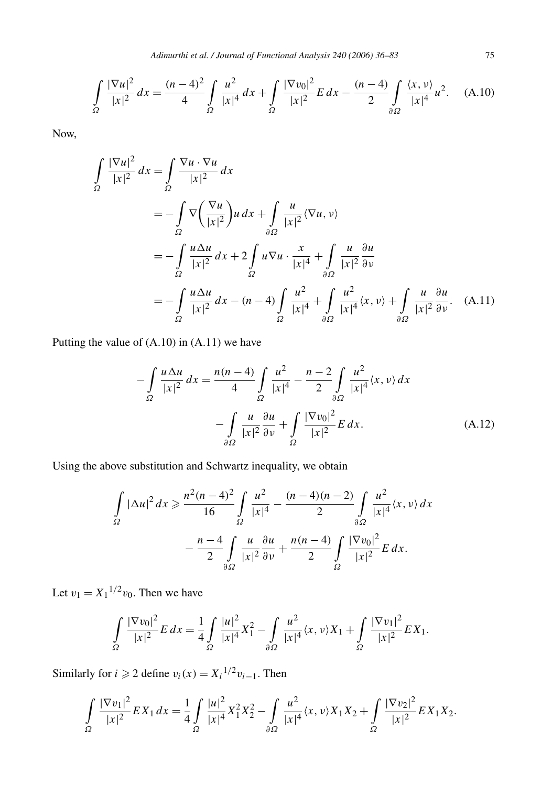*Adimurthi et al. / Journal of Functional Analysis 240 (2006) 36–83* 75

$$
\int_{\Omega} \frac{|\nabla u|^2}{|x|^2} dx = \frac{(n-4)^2}{4} \int_{\Omega} \frac{u^2}{|x|^4} dx + \int_{\Omega} \frac{|\nabla v_0|^2}{|x|^2} E dx - \frac{(n-4)}{2} \int_{\partial\Omega} \frac{\langle x, v \rangle}{|x|^4} u^2. \tag{A.10}
$$

Now,

$$
\int_{\Omega} \frac{|\nabla u|^2}{|x|^2} dx = \int_{\Omega} \frac{\nabla u \cdot \nabla u}{|x|^2} dx
$$
  
=  $-\int_{\Omega} \nabla \left(\frac{\nabla u}{|x|^2}\right) u dx + \int_{\partial\Omega} \frac{u}{|x|^2} \langle \nabla u, v \rangle$   
=  $-\int_{\Omega} \frac{u \Delta u}{|x|^2} dx + 2 \int_{\Omega} u \nabla u \cdot \frac{x}{|x|^4} + \int_{\partial\Omega} \frac{u}{|x|^2} \frac{\partial u}{\partial v}$   
=  $-\int_{\Omega} \frac{u \Delta u}{|x|^2} dx - (n-4) \int_{\Omega} \frac{u^2}{|x|^4} + \int_{\partial\Omega} \frac{u^2}{|x|^4} \langle x, v \rangle + \int_{\partial\Omega} \frac{u}{|x|^2} \frac{\partial u}{\partial v}. \quad (A.11)$ 

Putting the value of (A.10) in (A.11) we have

$$
-\int_{\Omega} \frac{u \Delta u}{|x|^2} dx = \frac{n(n-4)}{4} \int_{\Omega} \frac{u^2}{|x|^4} - \frac{n-2}{2} \int_{\partial \Omega} \frac{u^2}{|x|^4} \langle x, v \rangle dx
$$

$$
-\int_{\partial \Omega} \frac{u}{|x|^2} \frac{\partial u}{\partial v} + \int_{\Omega} \frac{|\nabla v_0|^2}{|x|^2} E dx.
$$
(A.12)

Using the above substitution and Schwartz inequality, we obtain

$$
\int_{\Omega} |\Delta u|^2 dx \geq \frac{n^2 (n-4)^2}{16} \int_{\Omega} \frac{u^2}{|x|^4} - \frac{(n-4)(n-2)}{2} \int_{\partial \Omega} \frac{u^2}{|x|^4} \langle x, v \rangle dx
$$

$$
- \frac{n-4}{2} \int_{\partial \Omega} \frac{u}{|x|^2} \frac{\partial u}{\partial v} + \frac{n(n-4)}{2} \int_{\Omega} \frac{|\nabla v_0|^2}{|x|^2} E dx.
$$

Let  $v_1 = X_1^{1/2} v_0$ . Then we have

$$
\int_{\Omega} \frac{|\nabla v_0|^2}{|x|^2} E dx = \frac{1}{4} \int_{\Omega} \frac{|u|^2}{|x|^4} X_1^2 - \int_{\partial \Omega} \frac{u^2}{|x|^4} \langle x, v \rangle X_1 + \int_{\Omega} \frac{|\nabla v_1|^2}{|x|^2} E X_1.
$$

Similarly for *i*  $\geq 2$  define  $v_i(x) = X_i^{1/2}v_{i-1}$ . Then

$$
\int_{\Omega} \frac{|\nabla v_1|^2}{|x|^2} E X_1 dx = \frac{1}{4} \int_{\Omega} \frac{|u|^2}{|x|^4} X_1^2 X_2^2 - \int_{\partial \Omega} \frac{u^2}{|x|^4} \langle x, v \rangle X_1 X_2 + \int_{\Omega} \frac{|\nabla v_2|^2}{|x|^2} E X_1 X_2.
$$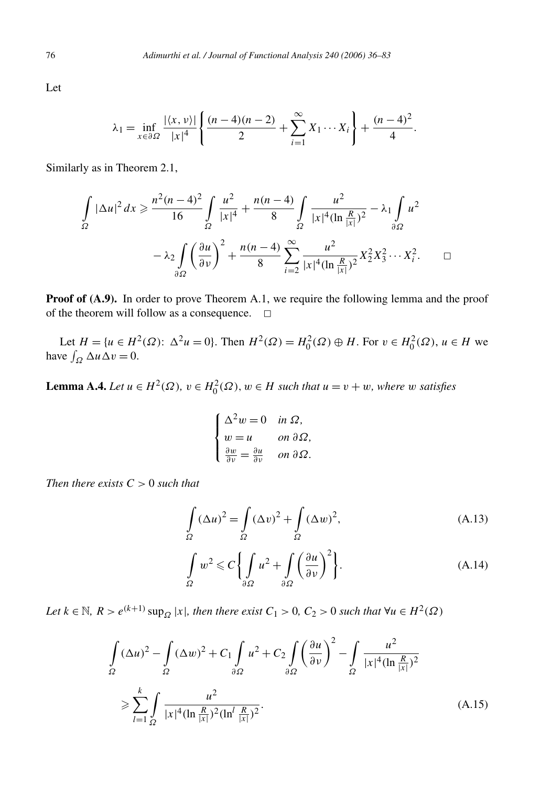Let

$$
\lambda_1 = \inf_{x \in \partial \Omega} \frac{|\langle x, v \rangle|}{|x|^4} \left\{ \frac{(n-4)(n-2)}{2} + \sum_{i=1}^{\infty} X_1 \cdots X_i \right\} + \frac{(n-4)^2}{4}.
$$

Similarly as in Theorem 2.1,

$$
\int_{\Omega} |\Delta u|^2 dx \ge \frac{n^2 (n-4)^2}{16} \int_{\Omega} \frac{u^2}{|x|^4} + \frac{n(n-4)}{8} \int_{\Omega} \frac{u^2}{|x|^4 (\ln \frac{R}{|x|})^2} - \lambda_1 \int_{\partial \Omega} u^2
$$

$$
- \lambda_2 \int_{\partial \Omega} \left(\frac{\partial u}{\partial \nu}\right)^2 + \frac{n(n-4)}{8} \sum_{i=2}^{\infty} \frac{u^2}{|x|^4 (\ln \frac{R}{|x|})^2} X_2^2 X_3^2 \cdots X_i^2. \qquad \Box
$$

**Proof of (A.9).** In order to prove Theorem A.1, we require the following lemma and the proof of the theorem will follow as a consequence.  $\Box$ 

Let *H* = {*u* ∈ *H*<sup>2</sup>(Ω):  $\Delta^2 u = 0$ }. Then  $H^2(\Omega) = H_0^2(\Omega) \oplus H$ . For  $v \in H_0^2(\Omega)$ ,  $u \in H$  we have  $\int_{\Omega} \Delta u \Delta v = 0$ .

**Lemma A.4.** *Let*  $u \in H^2(\Omega)$ ,  $v \in H_0^2(\Omega)$ ,  $w \in H$  *such that*  $u = v + w$ *, where w satisfies* 

$$
\begin{cases} \Delta^2 w = 0 & \text{in } \Omega, \\ w = u & \text{on } \partial \Omega, \\ \frac{\partial w}{\partial \nu} = \frac{\partial u}{\partial \nu} & \text{on } \partial \Omega. \end{cases}
$$

*Then there exists*  $C > 0$  *such that* 

$$
\int_{\Omega} (\Delta u)^2 = \int_{\Omega} (\Delta v)^2 + \int_{\Omega} (\Delta w)^2,
$$
\n(A.13)

$$
\int_{\Omega} w^2 \leqslant C \bigg\{ \int_{\partial \Omega} u^2 + \int_{\partial \Omega} \bigg( \frac{\partial u}{\partial \nu} \bigg)^2 \bigg\}.
$$
\n(A.14)

*Let k* ∈  $N$ *, R > e*<sup>(*k*+1)</sup> sup<sub>*Ω*</sub> |*x*|*, then there exist C*<sub>1</sub> > 0*, C*<sub>2</sub> > 0 *such that* ∀*u* ∈ *H*<sup>2</sup>(*Ω*)

$$
\int_{\Omega} (\Delta u)^2 - \int_{\Omega} (\Delta w)^2 + C_1 \int_{\partial \Omega} u^2 + C_2 \int_{\partial \Omega} \left(\frac{\partial u}{\partial \nu}\right)^2 - \int_{\Omega} \frac{u^2}{|x|^4 (\ln \frac{R}{|x|})^2} \n\geq \sum_{l=1}^k \int_{\Omega} \frac{u^2}{|x|^4 (\ln \frac{R}{|x|})^2 (\ln^l \frac{R}{|x|})^2}.
$$
\n(A.15)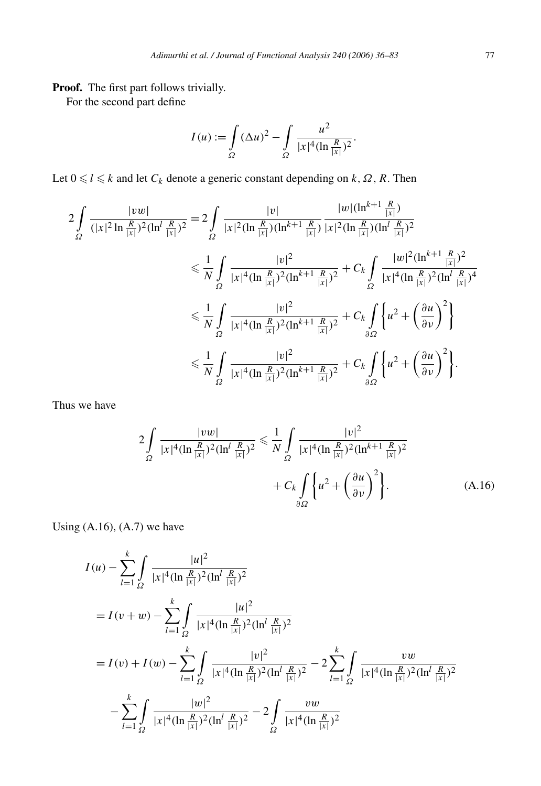**Proof.** The first part follows trivially.

For the second part define

$$
I(u) := \int_{\Omega} (\Delta u)^2 - \int_{\Omega} \frac{u^2}{|x|^4 (\ln \frac{R}{|x|})^2}.
$$

Let  $0 \leq l \leq k$  and let  $C_k$  denote a generic constant depending on  $k, \Omega, R$ . Then

$$
2\int_{\Omega} \frac{|vw|}{(|x|^2 \ln \frac{R}{|x|})^2 (\ln^l \frac{R}{|x|})^2} = 2\int_{\Omega} \frac{|v|}{|x|^2 (\ln \frac{R}{|x|}) (\ln^{k+1} \frac{R}{|x|})} \frac{|w| (\ln^{k+1} \frac{R}{|x|})}{|x|^2 (\ln \frac{R}{|x|}) (\ln^l \frac{R}{|x|})^2}
$$
  
\n
$$
\leq \frac{1}{N} \int_{\Omega} \frac{|v|^2}{|x|^4 (\ln \frac{R}{|x|})^2 (\ln^{k+1} \frac{R}{|x|})^2} + C_k \int_{\Omega} \frac{|w|^2 (\ln^{k+1} \frac{R}{|x|})^2}{|x|^4 (\ln \frac{R}{|x|})^2 (\ln^l \frac{R}{|x|})^4}
$$
  
\n
$$
\leq \frac{1}{N} \int_{\Omega} \frac{|v|^2}{|x|^4 (\ln \frac{R}{|x|})^2 (\ln^{k+1} \frac{R}{|x|})^2} + C_k \int_{\partial \Omega} \left\{ u^2 + \left(\frac{\partial u}{\partial v}\right)^2 \right\}
$$
  
\n
$$
\leq \frac{1}{N} \int_{\Omega} \frac{|v|^2}{|x|^4 (\ln \frac{R}{|x|})^2 (\ln^{k+1} \frac{R}{|x|})^2} + C_k \int_{\partial \Omega} \left\{ u^2 + \left(\frac{\partial u}{\partial v}\right)^2 \right\}.
$$

Thus we have

$$
2\int_{\Omega} \frac{|vw|}{|x|^4 (\ln \frac{R}{|x|})^2 (\ln^l \frac{R}{|x|})^2} \le \frac{1}{N} \int_{\Omega} \frac{|v|^2}{|x|^4 (\ln \frac{R}{|x|})^2 (\ln^{k+1} \frac{R}{|x|})^2} + C_k \int_{\partial \Omega} \left\{ u^2 + \left( \frac{\partial u}{\partial v} \right)^2 \right\}.
$$
 (A.16)

Using  $(A.16)$ ,  $(A.7)$  we have

$$
I(u) - \sum_{l=1}^{k} \int \frac{|u|^2}{|x|^4 (\ln \frac{R}{|x|})^2 (\ln^l \frac{R}{|x|})^2}
$$
  
=  $I(v + w) - \sum_{l=1}^{k} \int \frac{|u|^2}{|x|^4 (\ln \frac{R}{|x|})^2 (\ln^l \frac{R}{|x|})^2}$   
=  $I(v) + I(w) - \sum_{l=1}^{k} \int \frac{|v|^2}{|x|^4 (\ln \frac{R}{|x|})^2 (\ln^l \frac{R}{|x|})^2} - 2 \sum_{l=1}^{k} \int \frac{vw}{|x|^4 (\ln \frac{R}{|x|})^2 (\ln^l \frac{R}{|x|})^2}$   
 $- \sum_{l=1}^{k} \int \frac{|w|^2}{|x|^4 (\ln \frac{R}{|x|})^2 (\ln^l \frac{R}{|x|})^2} - 2 \int \frac{vw}{|x|^4 (\ln \frac{R}{|x|})^2}$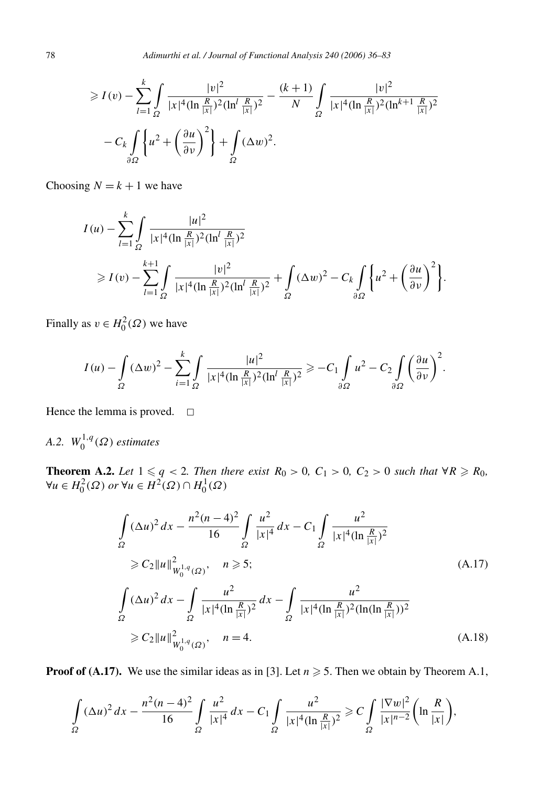$$
\geq I(v) - \sum_{l=1}^{k} \int_{\Omega} \frac{|v|^2}{|x|^4 (\ln \frac{R}{|x|})^2 (\ln^l \frac{R}{|x|})^2} - \frac{(k+1)}{N} \int_{\Omega} \frac{|v|^2}{|x|^4 (\ln \frac{R}{|x|})^2 (\ln^{k+1} \frac{R}{|x|})^2}
$$

$$
- C_k \int_{\partial\Omega} \left\{ u^2 + \left(\frac{\partial u}{\partial v}\right)^2 \right\} + \int_{\Omega} (\Delta w)^2.
$$

Choosing  $N = k + 1$  we have

$$
I(u) - \sum_{l=1}^{k} \int_{\Omega} \frac{|u|^2}{|x|^4 (\ln \frac{R}{|x|})^2 (\ln^l \frac{R}{|x|})^2}
$$
  
\n
$$
\geq I(v) - \sum_{l=1}^{k+1} \int_{\Omega} \frac{|v|^2}{|x|^4 (\ln \frac{R}{|x|})^2 (\ln^l \frac{R}{|x|})^2} + \int_{\Omega} (\Delta w)^2 - C_k \int_{\partial \Omega} \left\{ u^2 + \left( \frac{\partial u}{\partial v} \right)^2 \right\}.
$$

Finally as  $v \in H_0^2(\Omega)$  we have

$$
I(u) - \int_{\Omega} (\Delta w)^2 - \sum_{i=1}^k \int_{\Omega} \frac{|u|^2}{|x|^4 (\ln \frac{R}{|x|})^2 (\ln^l \frac{R}{|x|})^2} \geq -C_1 \int_{\partial \Omega} u^2 - C_2 \int_{\partial \Omega} \left(\frac{\partial u}{\partial \nu}\right)^2.
$$

Hence the lemma is proved.  $\square$ 

## *A.2.*  $W_0^{1,q}(\Omega)$  *estimates*

**Theorem A.2.** Let  $1 \leq q < 2$ . Then there exist  $R_0 > 0$ ,  $C_1 > 0$ ,  $C_2 > 0$  such that  $\forall R \geq R_0$ ,  $\forall u \in H_0^2(\Omega) \text{ or } \forall u \in H^2(\Omega) \cap H_0^1(\Omega)$ 

$$
\int_{\Omega} (\Delta u)^2 dx - \frac{n^2 (n-4)^2}{16} \int_{\Omega} \frac{u^2}{|x|^4} dx - C_1 \int_{\Omega} \frac{u^2}{|x|^4 (\ln \frac{R}{|x|})^2}
$$
\n
$$
\geq C_2 \|u\|_{W_0^{1,q}(\Omega)}^2, \quad n \geq 5; \tag{A.17}
$$
\n
$$
\int_{\Omega} (\Delta u)^2 dx - \int_{\Omega} \frac{u^2}{|x|^4 (\ln \frac{R}{|x|})^2} dx - \int_{\Omega} \frac{u^2}{|x|^4 (\ln \frac{R}{|x|})^2 (\ln(\ln \frac{R}{|x|}))^2}
$$
\n
$$
\geq C_2 \|u\|_{W_0^{1,q}(\Omega)}^2, \quad n = 4. \tag{A.18}
$$

**Proof of (A.17).** We use the similar ideas as in [3]. Let  $n \ge 5$ . Then we obtain by Theorem A.1,

$$
\int_{\Omega} (\Delta u)^2 dx - \frac{n^2 (n-4)^2}{16} \int_{\Omega} \frac{u^2}{|x|^4} dx - C_1 \int_{\Omega} \frac{u^2}{|x|^4 (\ln \frac{R}{|x|})^2} \geqslant C \int_{\Omega} \frac{|\nabla w|^2}{|x|^{n-2}} \left( \ln \frac{R}{|x|} \right),
$$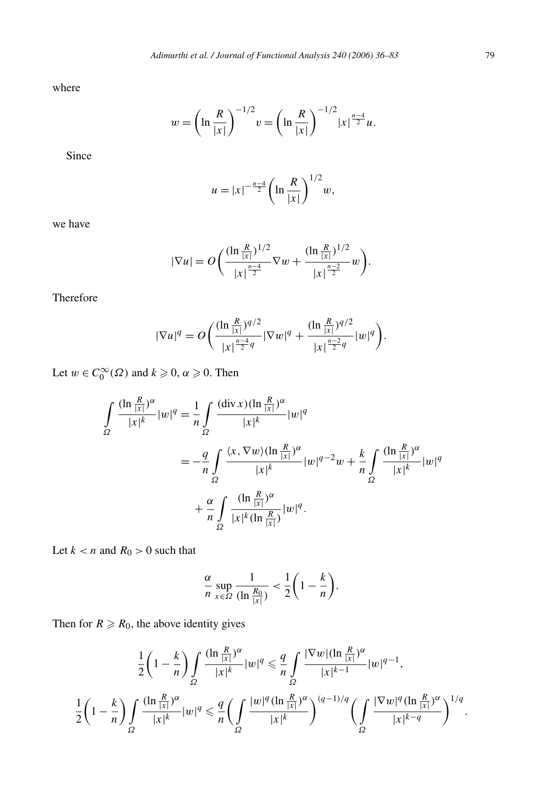where

$$
w = \left(\ln\frac{R}{|x|}\right)^{-1/2} v = \left(\ln\frac{R}{|x|}\right)^{-1/2} |x|^{\frac{n-4}{2}} u.
$$

Since

$$
u = |x|^{-\frac{n-4}{2}} \left( \ln \frac{R}{|x|} \right)^{1/2} w,
$$

we have

$$
|\nabla u| = O\bigg(\frac{(\ln \frac{R}{|x|})^{1/2}}{|x|^{\frac{n-4}{2}}} \nabla w + \frac{(\ln \frac{R}{|x|})^{1/2}}{|x|^{\frac{n-2}{2}}} w\bigg).
$$

Therefore

$$
|\nabla u|^q = O\bigg(\frac{(\ln \frac{R}{|x|})^{q/2}}{|x|^{\frac{n-4}{2}q}}|\nabla w|^q + \frac{(\ln \frac{R}{|x|})^{q/2}}{|x|^{\frac{n-2}{2}q}}|w|^q\bigg).
$$

Let  $w \in C_0^{\infty}(\Omega)$  and  $k \geqslant 0$ ,  $\alpha \geqslant 0$ . Then

$$
\int_{\Omega} \frac{(\ln \frac{R}{|x|})^{\alpha}}{|x|^k} |w|^q = \frac{1}{n} \int_{\Omega} \frac{(\text{div } x)(\ln \frac{R}{|x|})^{\alpha}}{|x|^k} |w|^q
$$

$$
= -\frac{q}{n} \int_{\Omega} \frac{\langle x, \nabla w \rangle (\ln \frac{R}{|x|})^{\alpha}}{|x|^k} |w|^{q-2} w + \frac{k}{n} \int_{\Omega} \frac{(\ln \frac{R}{|x|})^{\alpha}}{|x|^k} |w|^q
$$

$$
+ \frac{\alpha}{n} \int_{\Omega} \frac{(\ln \frac{R}{|x|})^{\alpha}}{|x|^k (\ln \frac{R}{|x|})} |w|^q.
$$

Let  $k < n$  and  $R_0 > 0$  such that

$$
\frac{\alpha}{n} \sup_{x \in \Omega} \frac{1}{(\ln \frac{R_0}{|x|})} < \frac{1}{2} \left( 1 - \frac{k}{n} \right).
$$

Then for  $R \ge R_0$ , the above identity gives

$$
\frac{1}{2}\left(1-\frac{k}{n}\right)\int_{\Omega}\frac{(\ln\frac{R}{|x|})^{\alpha}}{|x|^k}|w|^q \leq \frac{q}{n}\int_{\Omega}\frac{|\nabla w|(\ln\frac{R}{|x|})^{\alpha}}{|x|^{k-1}}|w|^{q-1},
$$
  

$$
\frac{1}{2}\left(1-\frac{k}{n}\right)\int_{\Omega}\frac{(\ln\frac{R}{|x|})^{\alpha}}{|x|^k}|w|^q \leq \frac{q}{n}\left(\int_{\Omega}\frac{|w|^q(\ln\frac{R}{|x|})^{\alpha}}{|x|^k}\right)^{(q-1)/q}\left(\int_{\Omega}\frac{|\nabla w|^q(\ln\frac{R}{|x|})^{\alpha}}{|x|^{k-q}}\right)^{1/q}
$$

*.*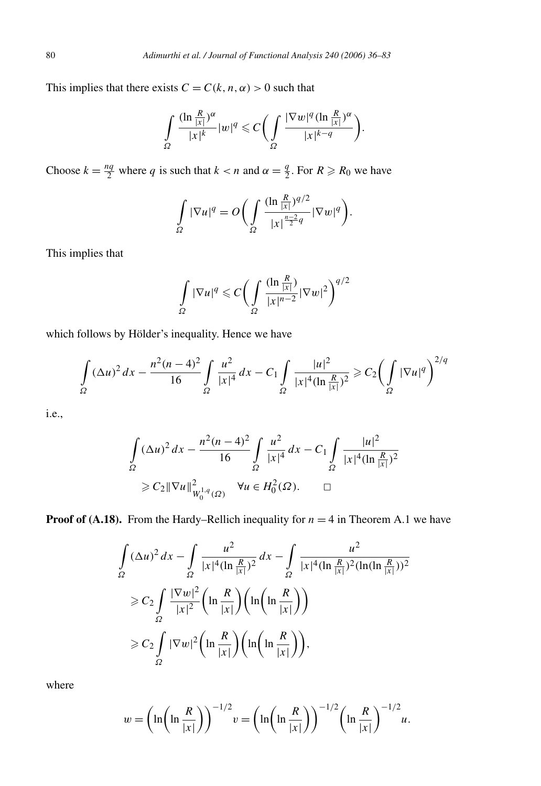This implies that there exists  $C = C(k, n, \alpha) > 0$  such that

$$
\int_{\Omega} \frac{(\ln \frac{R}{|x|})^{\alpha}}{|x|^{k}} |w|^{q} \leq C \bigg(\int_{\Omega} \frac{|\nabla w|^{q} (\ln \frac{R}{|x|})^{\alpha}}{|x|^{k-q}}\bigg).
$$

Choose  $k = \frac{nq}{2}$  where *q* is such that  $k < n$  and  $\alpha = \frac{q}{2}$ . For  $R \ge R_0$  we have

$$
\int_{\Omega} |\nabla u|^q = O\bigg(\int_{\Omega} \frac{(\ln \frac{R}{|x|})^{q/2}}{|x|^{\frac{n-2}{2}q}} |\nabla w|^q\bigg).
$$

This implies that

$$
\int_{\Omega} |\nabla u|^q \leqslant C \bigg( \int_{\Omega} \frac{(\ln \frac{R}{|x|})}{|x|^{n-2}} |\nabla w|^2 \bigg)^{q/2}
$$

which follows by Hölder's inequality. Hence we have

$$
\int_{\Omega} (\Delta u)^2 dx - \frac{n^2 (n-4)^2}{16} \int_{\Omega} \frac{u^2}{|x|^4} dx - C_1 \int_{\Omega} \frac{|u|^2}{|x|^4 (\ln \frac{R}{|x|})^2} \ge C_2 \left( \int_{\Omega} |\nabla u|^q \right)^{2/q}
$$

i.e.,

$$
\int_{\Omega} (\Delta u)^2 dx - \frac{n^2 (n-4)^2}{16} \int_{\Omega} \frac{u^2}{|x|^4} dx - C_1 \int_{\Omega} \frac{|u|^2}{|x|^4 (\ln \frac{R}{|x|})^2}
$$
  
\n
$$
\geq C_2 ||\nabla u||^2_{W_0^{1,q}(\Omega)} \quad \forall u \in H_0^2(\Omega). \qquad \Box
$$

**Proof of (A.18).** From the Hardy–Rellich inequality for  $n = 4$  in Theorem A.1 we have

$$
\int_{\Omega} (\Delta u)^2 dx - \int_{\Omega} \frac{u^2}{|x|^4 (\ln \frac{R}{|x|})^2} dx - \int_{\Omega} \frac{u^2}{|x|^4 (\ln \frac{R}{|x|})^2 (\ln(\ln \frac{R}{|x|}))^2}
$$
  
\n
$$
\geq C_2 \int_{\Omega} \frac{|\nabla w|^2}{|x|^2} \left(\ln \frac{R}{|x|}\right) \left(\ln\left(\ln \frac{R}{|x|}\right)\right)
$$
  
\n
$$
\geq C_2 \int_{\Omega} |\nabla w|^2 \left(\ln \frac{R}{|x|}\right) \left(\ln\left(\ln \frac{R}{|x|}\right)\right),
$$

where

$$
w = \left(\ln\left(\ln\frac{R}{|x|}\right)\right)^{-1/2} v = \left(\ln\left(\ln\frac{R}{|x|}\right)\right)^{-1/2} \left(\ln\frac{R}{|x|}\right)^{-1/2} u.
$$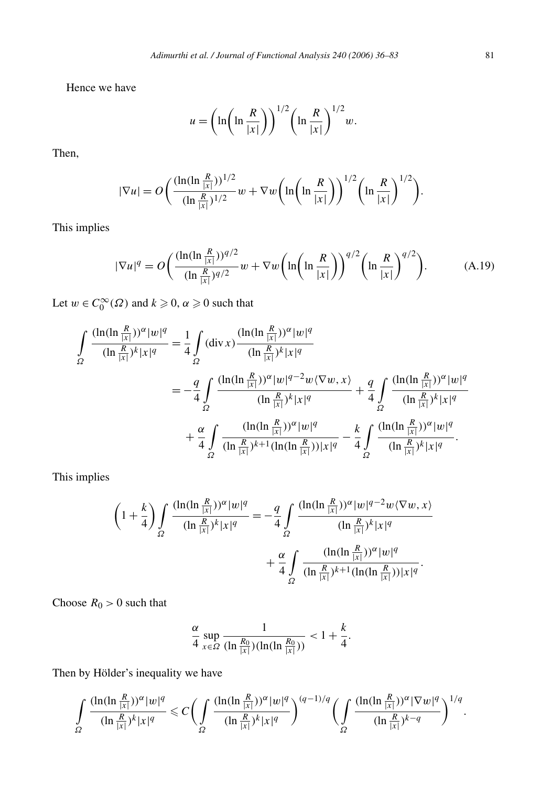Hence we have

$$
u = \left(\ln\left(\ln\frac{R}{|x|}\right)\right)^{1/2} \left(\ln\frac{R}{|x|}\right)^{1/2} w.
$$

Then,

$$
|\nabla u| = O\bigg(\frac{(\ln(\ln\frac{R}{|x|}))^{1/2}}{(\ln\frac{R}{|x|})^{1/2}}w + \nabla w\bigg(\ln\bigg(\ln\frac{R}{|x|}\bigg)\bigg)^{1/2}\bigg(\ln\frac{R}{|x|}\bigg)^{1/2}\bigg).
$$

This implies

$$
|\nabla u|^q = O\bigg(\frac{(\ln(\ln \frac{R}{|x|}))^{q/2}}{(\ln \frac{R}{|x|})^{q/2}} w + \nabla w \bigg(\ln\bigg(\ln \frac{R}{|x|}\bigg)\bigg)^{q/2} \bigg(\ln \frac{R}{|x|}\bigg)^{q/2}\bigg). \tag{A.19}
$$

Let  $w \in C_0^{\infty}(\Omega)$  and  $k \geqslant 0$ ,  $\alpha \geqslant 0$  such that

$$
\int_{\Omega} \frac{(\ln(\ln \frac{R}{|x|}))^{\alpha} |w|^{q}}{(\ln \frac{R}{|x|})^{k} |x|^{q}} = \frac{1}{4} \int_{\Omega} (\text{div } x) \frac{(\ln(\ln \frac{R}{|x|}))^{\alpha} |w|^{q}}{(\ln \frac{R}{|x|})^{k} |x|^{q}} \n= -\frac{q}{4} \int_{\Omega} \frac{(\ln(\ln \frac{R}{|x|}))^{\alpha} |w|^{q-2} w \langle \nabla w, x \rangle}{(\ln \frac{R}{|x|})^{k} |x|^{q}} + \frac{q}{4} \int_{\Omega} \frac{(\ln(\ln \frac{R}{|x|}))^{\alpha} |w|^{q}}{(\ln \frac{R}{|x|})^{k} |x|^{q}} \n+ \frac{\alpha}{4} \int_{\Omega} \frac{(\ln(\ln \frac{R}{|x|}))^{\alpha} |w|^{q}}{(\ln \frac{R}{|x|})^{k+1} (\ln(\ln \frac{R}{|x|})) |x|^{q}} - \frac{k}{4} \int_{\Omega} \frac{(\ln(\ln \frac{R}{|x|}))^{\alpha} |w|^{q}}{(\ln \frac{R}{|x|})^{k} |x|^{q}}.
$$

This implies

$$
\left(1+\frac{k}{4}\right) \int_{\Omega} \frac{(\ln(\ln \frac{R}{|x|}))^{\alpha} |w|^{q}}{(\ln \frac{R}{|x|})^{k} |x|^{q}} = -\frac{q}{4} \int_{\Omega} \frac{(\ln(\ln \frac{R}{|x|}))^{\alpha} |w|^{q-2} w \langle \nabla w, x \rangle}{(\ln \frac{R}{|x|})^{k} |x|^{q}} + \frac{\alpha}{4} \int_{\Omega} \frac{(\ln(\ln \frac{R}{|x|}))^{\alpha} |w|^{q}}{(\ln \frac{R}{|x|})^{k+1} (\ln(\ln \frac{R}{|x|})) |x|^{q}}.
$$

Choose  $R_0 > 0$  such that

$$
\frac{\alpha}{4} \sup_{x \in \Omega} \frac{1}{(\ln \frac{R_0}{|x|})(\ln(\ln \frac{R_0}{|x|}))} < 1 + \frac{k}{4}.
$$

Then by Hölder's inequality we have

$$
\int\limits_{\Omega} \frac{(\ln(\ln\frac{R}{|x|}))^{\alpha}|w|^{q}}{(\ln\frac{R}{|x|})^{k}|x|^{q}}\leqslant C\bigg(\int\limits_{\Omega} \frac{(\ln(\ln\frac{R}{|x|}))^{\alpha}|w|^{q}}{(\ln\frac{R}{|x|})^{k}|x|^{q}}\bigg)^{(q-1)/q}\bigg(\int\limits_{\Omega} \frac{(\ln(\ln\frac{R}{|x|}))^{\alpha}|\nabla w|^{q}}{(\ln\frac{R}{|x|})^{k-q}}\bigg)^{1/q}.
$$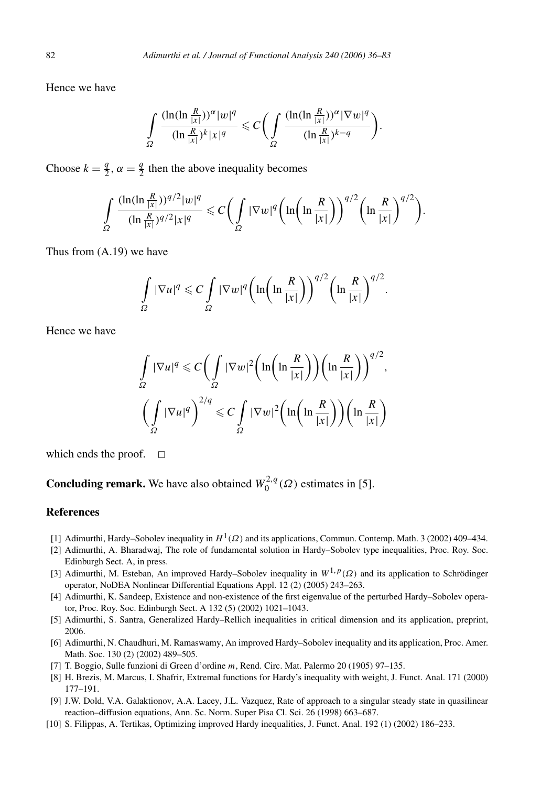Hence we have

$$
\int_{\Omega} \frac{(\ln(\ln \frac{R}{|x|}))^{\alpha} |w|^{q}}{(\ln \frac{R}{|x|})^{k} |x|^{q}} \leqslant C \bigg( \int_{\Omega} \frac{(\ln(\ln \frac{R}{|x|}))^{\alpha} |\nabla w|^{q}}{(\ln \frac{R}{|x|})^{k-q}} \bigg).
$$

Choose  $k = \frac{q}{2}$ ,  $\alpha = \frac{q}{2}$  then the above inequality becomes

$$
\int_{\Omega} \frac{(\ln(\ln \frac{R}{|x|}))^{q/2} |w|^q}{(\ln \frac{R}{|x|})^{q/2} |x|^q} \leqslant C \bigg(\int_{\Omega} |\nabla w|^q \bigg(\ln\bigg(\ln\frac{R}{|x|}\bigg)\bigg)^{q/2} \bigg(\ln\frac{R}{|x|}\bigg)^{q/2}\bigg).
$$

Thus from (A.19) we have

$$
\int_{\Omega} |\nabla u|^q \leqslant C \int_{\Omega} |\nabla w|^q \bigg( \ln \bigg( \ln \frac{R}{|x|} \bigg) \bigg)^{q/2} \bigg( \ln \frac{R}{|x|} \bigg)^{q/2}.
$$

Hence we have

$$
\int_{\Omega} |\nabla u|^q \leq C \bigg( \int_{\Omega} |\nabla w|^2 \bigg( \ln \bigg( \ln \frac{R}{|x|} \bigg) \bigg) \bigg( \ln \frac{R}{|x|} \bigg) \bigg)^{q/2},
$$

$$
\bigg( \int_{\Omega} |\nabla u|^q \bigg)^{2/q} \leq C \int_{\Omega} |\nabla w|^2 \bigg( \ln \bigg( \ln \frac{R}{|x|} \bigg) \bigg) \bigg( \ln \frac{R}{|x|} \bigg)
$$

which ends the proof.  $\square$ 

**Concluding remark.** We have also obtained  $W_0^{2,q}(\Omega)$  estimates in [5].

#### **References**

- [1] Adimurthi, Hardy–Sobolev inequality in *H*1*(Ω)* and its applications, Commun. Contemp. Math. 3 (2002) 409–434.
- [2] Adimurthi, A. Bharadwaj, The role of fundamental solution in Hardy–Sobolev type inequalities, Proc. Roy. Soc. Edinburgh Sect. A, in press.
- [3] Adimurthi, M. Esteban, An improved Hardy–Sobolev inequality in *W*<sup>1</sup>*,p(Ω)* and its application to Schrödinger operator, NoDEA Nonlinear Differential Equations Appl. 12 (2) (2005) 243–263.
- [4] Adimurthi, K. Sandeep, Existence and non-existence of the first eigenvalue of the perturbed Hardy–Sobolev operator, Proc. Roy. Soc. Edinburgh Sect. A 132 (5) (2002) 1021–1043.
- [5] Adimurthi, S. Santra, Generalized Hardy–Rellich inequalities in critical dimension and its application, preprint, 2006.
- [6] Adimurthi, N. Chaudhuri, M. Ramaswamy, An improved Hardy–Sobolev inequality and its application, Proc. Amer. Math. Soc. 130 (2) (2002) 489–505.
- [7] T. Boggio, Sulle funzioni di Green d'ordine *m*, Rend. Circ. Mat. Palermo 20 (1905) 97–135.
- [8] H. Brezis, M. Marcus, I. Shafrir, Extremal functions for Hardy's inequality with weight, J. Funct. Anal. 171 (2000) 177–191.
- [9] J.W. Dold, V.A. Galaktionov, A.A. Lacey, J.L. Vazquez, Rate of approach to a singular steady state in quasilinear reaction–diffusion equations, Ann. Sc. Norm. Super Pisa Cl. Sci. 26 (1998) 663–687.
- [10] S. Filippas, A. Tertikas, Optimizing improved Hardy inequalities, J. Funct. Anal. 192 (1) (2002) 186–233.